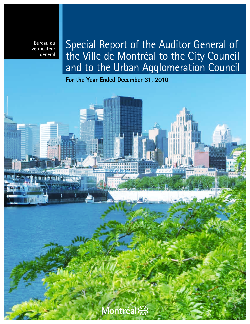Bureau du vérificateur général

exemplanents

# Special Report of the Auditor General of the Ville de Montréal to the City Council and to the Urban Agglomeration Council

**For the Year Ended December 31, 2010**

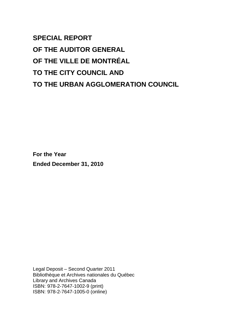**SPECIAL REPORT OF THE AUDITOR GENERAL OF THE VILLE DE MONTRÉAL TO THE CITY COUNCIL AND TO THE URBAN AGGLOMERATION COUNCIL** 

**For the Year Ended December 31, 2010** 

Legal Deposit – Second Quarter 2011 Bibliothèque et Archives nationales du Québec Library and Archives Canada ISBN: 978-2-7647-1002-9 (print) ISBN: 978-2-7647-1005-0 (online)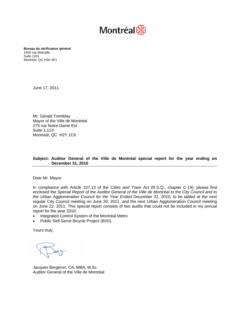

 Montréal, QC H3A 3P1 **Bureau du vérificateur général**  1550 rue Metcalfe Suite 1201

June 17, 2011

Mr. Gérald Tremblay Mayor of the Ville de Montréal 275 rue Notre-Dame Est Suite 1.113 Montréal, QC H2Y 1C6

#### **Subject: Auditor General of the Ville de Montréal special report for the year ending on December 31, 2010**

Dear Mr. Mayor:

In compliance with Article 107.13 of the *Cities and Town Act* (R.S.Q., chapter C-19), please find enclosed the *Special Report of the Auditor General of the Ville de Montréal to the City Council and to the Urban Agglomeration Council for the Year Ended December 31, 2010,* to be tabled at the next regular City Council meeting on June 20, 2011, and the next Urban Agglomeration Council meeting on June 22, 2011. This special report consists of two audits that could not be included in my annual report for the year 2010:

- Integrated Control System of the Montréal Metro
- Public Self-Serve Bicycle Project (BIXI).

Yours truly,

Jacques Bergeron, CA, MBA, M.Sc. Auditor General of the Ville de Montréal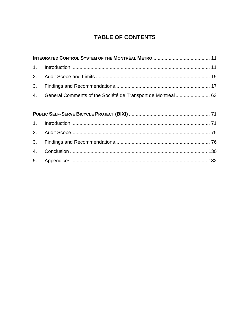# **TABLE OF CONTENTS**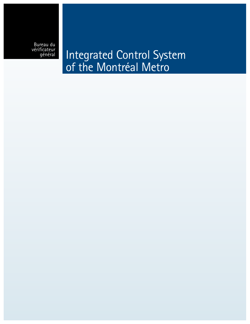Bureau du vérificateur

**général** Integrated Control System of the Montréal Metro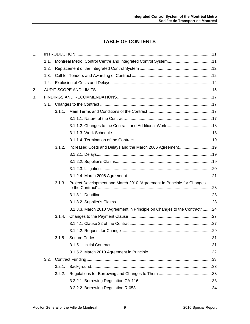# **TABLE OF CONTENTS**

| 1. |      |        |                                                                            |  |  |
|----|------|--------|----------------------------------------------------------------------------|--|--|
|    | 1.1. |        |                                                                            |  |  |
|    | 1.2. |        |                                                                            |  |  |
|    | 1.3. |        |                                                                            |  |  |
|    | 1.4. |        |                                                                            |  |  |
| 2. |      |        |                                                                            |  |  |
| 3. |      |        |                                                                            |  |  |
|    |      |        |                                                                            |  |  |
|    |      | 3.1.1. |                                                                            |  |  |
|    |      |        |                                                                            |  |  |
|    |      |        |                                                                            |  |  |
|    |      |        |                                                                            |  |  |
|    |      |        |                                                                            |  |  |
|    |      | 3.1.2. |                                                                            |  |  |
|    |      |        |                                                                            |  |  |
|    |      |        |                                                                            |  |  |
|    |      |        |                                                                            |  |  |
|    |      |        |                                                                            |  |  |
|    |      | 3.1.3. | Project Development and March 2010 "Agreement in Principle for Changes     |  |  |
|    |      |        |                                                                            |  |  |
|    |      |        |                                                                            |  |  |
|    |      |        | 3.1.3.3. March 2010 "Agreement in Principle on Changes to the Contract" 24 |  |  |
|    |      | 3.1.4. |                                                                            |  |  |
|    |      |        |                                                                            |  |  |
|    |      |        |                                                                            |  |  |
|    |      | 3.1.5. |                                                                            |  |  |
|    |      |        |                                                                            |  |  |
|    |      |        |                                                                            |  |  |
|    | 3.2. |        |                                                                            |  |  |
|    |      | 3.2.1. |                                                                            |  |  |
|    |      | 3.2.2. |                                                                            |  |  |
|    |      |        |                                                                            |  |  |
|    |      |        |                                                                            |  |  |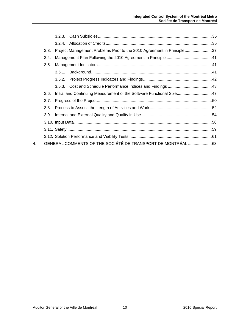|    |      | 3.2.3. |                                                                        |  |
|----|------|--------|------------------------------------------------------------------------|--|
|    |      | 3.2.4. |                                                                        |  |
|    | 3.3. |        | Project Management Problems Prior to the 2010 Agreement in Principle37 |  |
|    | 3.4. |        |                                                                        |  |
|    | 3.5. |        |                                                                        |  |
|    |      | 3.5.1. |                                                                        |  |
|    |      | 3.5.2. |                                                                        |  |
|    |      |        |                                                                        |  |
|    | 3.6. |        | Initial and Continuing Measurement of the Software Functional Size47   |  |
|    | 3.7. |        |                                                                        |  |
|    | 3.8. |        |                                                                        |  |
|    | 3.9. |        |                                                                        |  |
|    |      |        |                                                                        |  |
|    |      |        |                                                                        |  |
|    |      |        |                                                                        |  |
| 4. |      |        | GENERAL COMMENTS OF THE SOCIÉTÉ DE TRANSPORT DE MONTRÉAL 63            |  |
|    |      |        |                                                                        |  |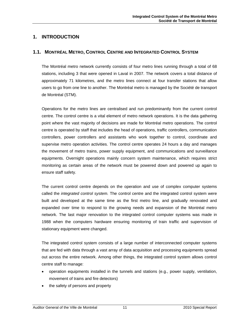# <span id="page-12-0"></span>**1. INTRODUCTION**

## **1.1. MONTRÉAL METRO, CONTROL CENTRE AND INTEGRATED CONTROL SYSTEM**

The Montréal metro network currently consists of four metro lines running through a total of 68 stations, including 3 that were opened in Laval in 2007. The network covers a total distance of approximately 71 kilometres, and the metro lines connect at four transfer stations that allow users to go from one line to another. The Montréal metro is managed by the Société de transport de Montréal (STM).

Operations for the metro lines are centralised and run predominantly from the current control centre. The control centre is a vital element of metro network operations. It is the data gathering point where the vast majority of decisions are made for Montréal metro operations. The control centre is operated by staff that includes the head of operations, traffic controllers, communication controllers, power controllers and assistants who work together to control, coordinate and supervise metro operation activities. The control centre operates 24 hours a day and manages the movement of metro trains, power supply equipment, and communications and surveillance equipments. Overnight operations mainly concern system maintenance, which requires strict monitoring as certain areas of the network must be powered down and powered up again to ensure staff safety.

The current control centre depends on the operation and use of complex computer systems called the *integrated control system.* The control centre and the integrated control system were built and developed at the same time as the first metro line, and gradually renovated and expanded over time to respond to the growing needs and expansion of the Montréal metro network. The last major renovation to the integrated control computer systems was made in 1988 when the computers hardware ensuring monitoring of train traffic and supervision of stationary equipment were changed.

The integrated control system consists of a large number of interconnected computer systems that are fed with data through a vast array of data acquisition and processing equipments spread out across the entire network. Among other things, the integrated control system allows control centre staff to manage:

- operation equipments installed in the tunnels and stations (e.g., power supply, ventilation, movement of trains and fire detectors)
- the safety of persons and property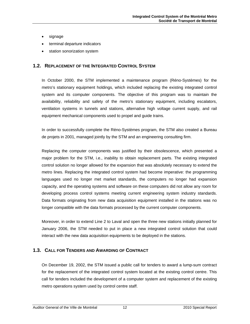- <span id="page-13-0"></span>• signage
- terminal departure indicators
- station sonorization system

#### **1.2. REPLACEMENT OF THE INTEGRATED CONTROL SYSTEM**

In October 2000, the STM implemented a maintenance program (Réno-Systèmes) for the metro's stationary equipment holdings, which included replacing the existing integrated control system and its computer components. The objective of this program was to maintain the availability, reliability and safety of the metro's stationary equipment, including escalators, ventilation systems in tunnels and stations, alternative high voltage current supply, and rail equipment mechanical components used to propel and guide trains.

In order to successfully complete the Réno-Systèmes program, the STM also created a Bureau de projets in 2001, managed jointly by the STM and an engineering consulting firm.

Replacing the computer components was justified by their obsolescence, which presented a major problem for the STM, i.e., inability to obtain replacement parts. The existing integrated control solution no longer allowed for the expansion that was absolutely necessary to extend the metro lines. Replacing the integrated control system had become imperative: the programming languages used no longer met market standards, the computers no longer had expansion capacity, and the operating systems and software on these computers did not allow any room for developing process control systems meeting current engineering system industry standards. Data formats originating from new data acquisition equipment installed in the stations was no longer compatible with the data formats processed by the current computer components.

Moreover, in order to extend Line 2 to Laval and open the three new stations initially planned for January 2006, the STM needed to put in place a new integrated control solution that could interact with the new data acquisition equipments to be deployed in the stations.

#### **1.3. CALL FOR TENDERS AND AWARDING OF CONTRACT**

On December 19, 2002, the STM issued a public call for tenders to award a lump-sum contract for the replacement of the integrated control system located at the existing control centre. This call for tenders included the development of a computer system and replacement of the existing metro operations system used by control centre staff.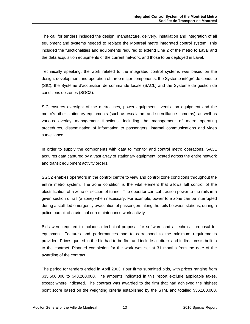The call for tenders included the design, manufacture, delivery, installation and integration of all equipment and systems needed to replace the Montréal metro integrated control system. This included the functionalities and equipments required to extend Line 2 of the metro to Laval and the data acquisition equipments of the current network, and those to be deployed in Laval.

Technically speaking, the work related to the integrated control systems was based on the design, development and operation of three major components: the Système intégré de conduite (SIC), the Système d'acquisition de commande locale (SACL) and the Système de gestion de conditions de zones (SGCZ).

SIC ensures oversight of the metro lines, power equipments, ventilation equipment and the metro's other stationary equipments (such as escalators and surveillance cameras), as well as various overlay management functions, including the management of metro operating procedures, dissemination of information to passengers, internal communications and video surveillance.

In order to supply the components with data to monitor and control metro operations, SACL acquires data captured by a vast array of stationary equipment located across the entire network and transit equipment activity orders.

SGCZ enables operators in the control centre to view and control zone conditions throughout the entire metro system. The zone condition is the vital element that allows full control of the electrification of a zone or section of tunnel. The operator can cut traction power to the rails in a given section of rail (a zone) when necessary. For example, power to a zone can be interrupted during a staff-led emergency evacuation of passengers along the rails between stations, during a police pursuit of a criminal or a maintenance work activity.

Bids were required to include a technical proposal for software and a technical proposal for equipment. Features and performances had to correspond to the minimum requirements provided. Prices quoted in the bid had to be firm and include all direct and indirect costs built in to the contract. Planned completion for the work was set at 31 months from the date of the awarding of the contract.

The period for tenders ended in April 2003. Four firms submitted bids, with prices ranging from \$35,500,000 to \$48,200,000. The amounts indicated in this report exclude applicable taxes, except where indicated. The contract was awarded to the firm that had achieved the highest point score based on the weighting criteria established by the STM, and totalled \$36,100,000,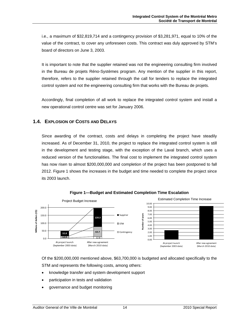<span id="page-15-0"></span>i.e., a maximum of \$32,819,714 and a contingency provision of \$3,281,971, equal to 10% of the value of the contract, to cover any unforeseen costs. This contract was duly approved by STM's board of directors on June 3, 2003.

It is important to note that the supplier retained was not the engineering consulting firm involved in the Bureau de projets Réno-Systèmes program. Any mention of the supplier in this report, therefore, refers to the supplier retained through the call for tenders to replace the integrated control system and not the engineering consulting firm that works with the Bureau de projets.

Accordingly, final completion of all work to replace the integrated control system and install a new operational control centre was set for January 2006.

## **1.4. EXPLOSION OF COSTS AND DELAYS**

Since awarding of the contract, costs and delays in completing the project have steadily increased. As of December 31, 2010, the project to replace the integrated control system is still in the development and testing stage, with the exception of the Laval branch, which uses a reduced version of the functionalities. The final cost to implement the integrated control system has now risen to almost \$200,000,000 and completion of the project has been postponed to fall 2012. Figure 1 shows the increases in the budget and time needed to complete the project since its 2003 launch.



**Figure 1—Budget and Estimated Completion Time Escalation** 

Of the \$200,000,000 mentioned above, \$63,700,000 is budgeted and allocated specifically to the STM and represents the following costs, among others:

- knowledge transfer and system development support
- participation in tests and validation
- governance and budget monitoring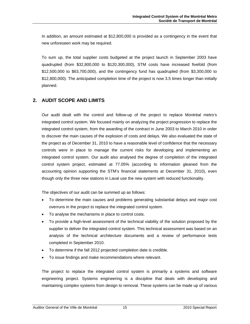<span id="page-16-0"></span>In addition, an amount estimated at \$12,800,000 is provided as a contingency in the event that new unforeseen work may be required.

To sum up, the total supplier costs budgeted at the project launch in September 2003 have quadrupled (from \$32,800,000 to \$120,300,000), STM costs have increased fivefold (from \$12,500,000 to \$63,700,000), and the contingency fund has quadrupled (from \$3,300,000 to \$12,800,000). The anticipated completion time of the project is now 3.5 times longer than initially planned.

# **2. AUDIT SCOPE AND LIMITS**

Our audit dealt with the control and follow-up of the project to replace Montréal metro's integrated control system. We focused mainly on analyzing the project progression to replace the integrated control system, from the awarding of the contract in June 2003 to March 2010 in order to discover the main causes of the explosion of costs and delays. We also evaluated the state of the project as of December 31, 2010 to have a reasonable level of confidence that the necessary controls were in place to manage the current risks for developing and implementing an integrated control system. Our audit also analysed the degree of completion of the integrated control system project, estimated at 77.05% (according to information gleaned from the accounting opinion supporting the STM's financial statements at December 31, 2010), even though only the three new stations in Laval use the new system with reduced functionality.

The objectives of our audit can be summed up as follows:

- To determine the main causes and problems generating substantial delays and major cost overruns in the project to replace the integrated control system.
- To analyse the mechanisms in place to control costs.
- To provide a high-level assessment of the technical viability of the solution proposed by the supplier to deliver the integrated control system. This technical assessment was based on an analysis of the technical architecture documents and a review of performance tests completed in September 2010.
- To determine if the fall 2012 projected completion date is credible.
- To issue findings and make recommendations where relevant.

The project to replace the integrated control system is primarily a systems and software engineering project. Systems engineering is a discipline that deals with developing and maintaining complex systems from design to removal. These systems can be made up of various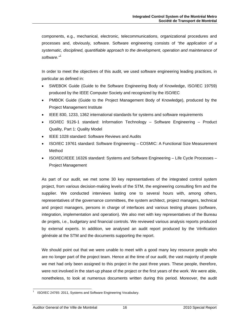components, e.g., mechanical, electronic, telecommunications, organizational procedures and processes and, obviously, software. Software engineering consists of *"the application of a systematic, disciplined, quantifiable approach to the development, operation and maintenance of software."*[1](#page-17-0)

In order to meet the objectives of this audit, we used software engineering leading practices, in particular as defined in:

- SWEBOK Guide (Guide to the Software Engineering Body of Knowledge, ISO/IEC 19759) produced by the IEEE Computer Society and recognized by the ISO/IEC
- PMBOK Guide (Guide to the Project Management Body of Knowledge), produced by the Project Management Institute
- IEEE 830, 1233, 1362 international standards for systems and software requirements
- ISO/IEC 9126-1 standard: Information Technology Software Engineering Product Quality, Part 1: Quality Model
- IEEE 1028 standard: Software Reviews and Audits
- ISO/IEC 19761 standard: Software Engineering COSMIC: A Functional Size Measurement Method
- ISO/IEC/IEEE 16326 standard: Systems and Software Engineering Life Cycle Processes Project Management

As part of our audit, we met some 30 key representatives of the integrated control system project, from various decision-making levels of the STM, the engineering consulting firm and the supplier. We conducted interviews lasting one to several hours with, among others, representatives of the governance committees, the system architect, project managers, technical and project managers, persons in charge of interfaces and various testing phases (software, integration, implementation and operation). We also met with key representatives of the Bureau de projets, i.e., budgetary and financial controls. We reviewed various analysis reports produced by external experts. In addition, we analysed an audit report produced by the Vérification générale at the STM and the documents supporting the report.

We should point out that we were unable to meet with a good many key resource people who are no longer part of the project team. Hence at the time of our audit, the vast majority of people we met had only been assigned to this project in the past three years. These people, therefore, were not involved in the start-up phase of the project or the first years of the work. We were able, nonetheless, to look at numerous documents written during this period. Moreover, the audit

<span id="page-17-0"></span>l 1

ISO/IEC 24765: 2011, Systems and Software Engineering Vocabulary.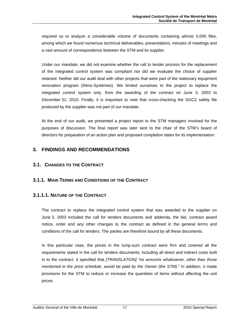<span id="page-18-0"></span>required us to analyze a considerable volume of documents containing almost 5,000 files, among which we found numerous technical deliverables, presentations, minutes of meetings and a vast amount of correspondence between the STM and its supplier.

Under our mandate, we did not examine whether the call to tender process for the replacement of the integrated control system was compliant nor did we evaluate the choice of supplier retained. Neither did our audit deal with other projects that were part of the stationary equipment renovation program (Réno-Systèmes). We limited ourselves to the project to replace the integrated control system only, from the awarding of the contract on June 3, 2003 to December 31, 2010. Finally, it is important to note that cross-checking the SGCZ safety file produced by the supplier was not part of our mandate.

At the end of our audit, we presented a project report to the STM managers involved for the purposes of discussion. The final report was later sent to the chair of the STM's board of directors for preparation of an action plan and proposed completion dates for its implementation.

# **3. FINDINGS AND RECOMMENDATIONS**

## **3.1. CHANGES TO THE CONTRACT**

## **3.1.1. MAIN TERMS AND CONDITIONS OF THE CONTRACT**

## **3.1.1.1. NATURE OF THE CONTRACT**

The contract to replace the integrated control system that was awarded to the supplier on June 3, 2003 included the call for tenders documents and addenda, the bid, contract award notice, order and any other changes to the contract as defined in the general terms and conditions of the call for tenders. The parties are therefore bound by all these documents.

In this particular case, the prices in the lump-sum contract were firm and covered all the requirements stated in the call for tenders documents, including all direct and indirect costs built in to the contract. It specified that *[TRANSLATION] "no amounts whatsoever, other than those mentioned in the price schedule, would be paid by the Owner (the STM)."* In addition, it made provisions for the STM to reduce or increase the quantities of items without affecting the unit prices.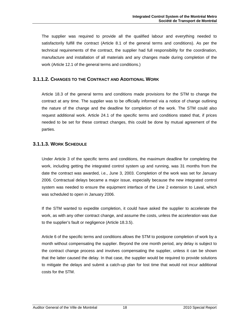<span id="page-19-0"></span>The supplier was required to provide all the qualified labour and everything needed to satisfactorily fulfill the contract (Article 8.1 of the general terms and conditions). As per the technical requirements of the contract, the supplier had full responsibility for the coordination, manufacture and installation of all materials and any changes made during completion of the work (Article 12.1 of the general terms and conditions.)

#### **3.1.1.2. CHANGES TO THE CONTRACT AND ADDITIONAL WORK**

Article 18.3 of the general terms and conditions made provisions for the STM to change the contract at any time. The supplier was to be officially informed via a notice of change outlining the nature of the change and the deadline for completion of the work. The STM could also request additional work. Article 24.1 of the specific terms and conditions stated that, if prices needed to be set for these contract changes, this could be done by mutual agreement of the parties.

#### **3.1.1.3. WORK SCHEDULE**

Under Article 3 of the specific terms and conditions, the maximum deadline for completing the work, including getting the integrated control system up and running, was 31 months from the date the contract was awarded, i.e., June 3, 2003. Completion of the work was set for January 2006. Contractual delays became a major issue, especially because the new integrated control system was needed to ensure the equipment interface of the Line 2 extension to Laval, which was scheduled to open in January 2006.

If the STM wanted to expedite completion, it could have asked the supplier to accelerate the work, as with any other contract change, and assume the costs, unless the acceleration was due to the supplier's fault or negligence (Article 18.3.5).

Article 6 of the specific terms and conditions allows the STM to postpone completion of work by a month without compensating the supplier. Beyond the one month period, any delay is subject to the contract change process and involves compensating the supplier, unless it can be shown that the latter caused the delay. In that case, the supplier would be required to provide solutions to mitigate the delays and submit a catch-up plan for lost time that would not incur additional costs for the STM.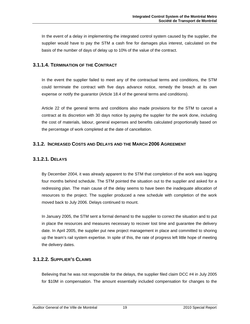<span id="page-20-0"></span>In the event of a delay in implementing the integrated control system caused by the supplier, the supplier would have to pay the STM a cash fine for damages plus interest, calculated on the basis of the number of days of delay up to 10% of the value of the contract.

# **3.1.1.4. TERMINATION OF THE CONTRACT**

In the event the supplier failed to meet any of the contractual terms and conditions, the STM could terminate the contract with five days advance notice, remedy the breach at its own expense or notify the guarantor (Article 18.4 of the general terms and conditions).

Article 22 of the general terms and conditions also made provisions for the STM to cancel a contract at its discretion with 30 days notice by paying the supplier for the work done, including the cost of materials, labour, general expenses and benefits calculated proportionally based on the percentage of work completed at the date of cancellation.

## **3.1.2. INCREASED COSTS AND DELAYS AND THE MARCH 2006 AGREEMENT**

# **3.1.2.1. DELAYS**

By December 2004, it was already apparent to the STM that completion of the work was lagging four months behind schedule. The STM pointed the situation out to the supplier and asked for a redressing plan. The main cause of the delay seems to have been the inadequate allocation of resources to the project. The supplier produced a new schedule with completion of the work moved back to July 2006. Delays continued to mount.

In January 2005, the STM sent a formal demand to the supplier to correct the situation and to put in place the resources and measures necessary to recover lost time and guarantee the delivery date. In April 2005, the supplier put new project management in place and committed to shoring up the team's rail system expertise. In spite of this, the rate of progress left little hope of meeting the delivery dates.

# **3.1.2.2. SUPPLIER'S CLAIMS**

Believing that he was not responsible for the delays, the supplier filed claim DCC #4 in July 2005 for \$10M in compensation. The amount essentially included compensation for changes to the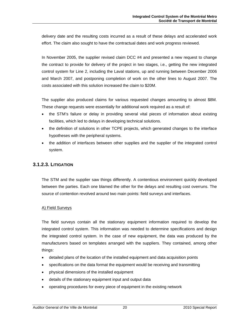<span id="page-21-0"></span>delivery date and the resulting costs incurred as a result of these delays and accelerated work effort. The claim also sought to have the contractual dates and work progress reviewed.

In November 2005, the supplier revised claim DCC #4 and presented a new request to change the contract to provide for delivery of the project in two stages, i.e., getting the new integrated control system for Line 2, including the Laval stations, up and running between December 2006 and March 2007, and postponing completion of work on the other lines to August 2007. The costs associated with this solution increased the claim to \$20M.

The supplier also produced claims for various requested changes amounting to almost \$8M. These change requests were essentially for additional work required as a result of:

- the STM's failure or delay in providing several vital pieces of information about existing facilities, which led to delays in developing technical solutions.
- the definition of solutions in other TCPE projects, which generated changes to the interface hypotheses with the peripheral systems.
- the addition of interfaces between other supplies and the supplier of the integrated control system.

#### **3.1.2.3. LITIGATION**

The STM and the supplier saw things differently. A contentious environment quickly developed between the parties. Each one blamed the other for the delays and resulting cost overruns. The source of contention revolved around two main points: field surveys and interfaces.

#### A) Field Surveys

The field surveys contain all the stationary equipment information required to develop the integrated control system. This information was needed to determine specifications and design the integrated control system. In the case of new equipment, the data was produced by the manufacturers based on templates arranged with the suppliers. They contained, among other things:

- detailed plans of the location of the installed equipment and data acquisition points
- specifications on the data format the equipment would be receiving and transmitting
- physical dimensions of the installed equipment
- details of the stationary equipment input and output data
- operating procedures for every piece of equipment in the existing network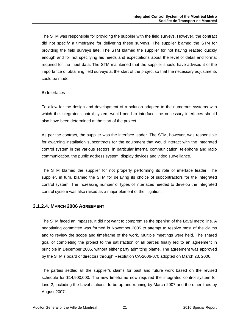<span id="page-22-0"></span>The STM was responsible for providing the supplier with the field surveys. However, the contract did not specify a timeframe for delivering these surveys. The supplier blamed the STM for providing the field surveys late. The STM blamed the supplier for not having reacted quickly enough and for not specifying his needs and expectations about the level of detail and format required for the input data. The STM maintained that the supplier should have advised it of the importance of obtaining field surveys at the start of the project so that the necessary adjustments could be made.

#### B) Interfaces

To allow for the design and development of a solution adapted to the numerous systems with which the integrated control system would need to interface, the necessary interfaces should also have been determined at the start of the project.

As per the contract, the supplier was the interface leader. The STM, however, was responsible for awarding installation subcontracts for the equipment that would interact with the integrated control system in the various sectors, in particular internal communication, telephone and radio communication, the public address system, display devices and video surveillance.

The STM blamed the supplier for not properly performing its role of interface leader. The supplier, in turn, blamed the STM for delaying its choice of subcontractors for the integrated control system. The increasing number of types of interfaces needed to develop the integrated control system was also raised as a major element of the litigation.

## **3.1.2.4. MARCH 2006 AGREEMENT**

The STM faced an impasse. It did not want to compromise the opening of the Laval metro line. A negotiating committee was formed in November 2005 to attempt to resolve most of the claims and to review the scope and timeframe of the work. Multiple meetings were held. The shared goal of completing the project to the satisfaction of all parties finally led to an agreement in principle in December 2005, without either party admitting blame. The agreement was approved by the STM's board of directors through Resolution CA-2006-070 adopted on March 23, 2006.

The parties settled all the supplier's claims for past and future work based on the revised schedule for \$14,900,000. The new timeframe now required the integrated control system for Line 2, including the Laval stations, to be up and running by March 2007 and the other lines by August 2007.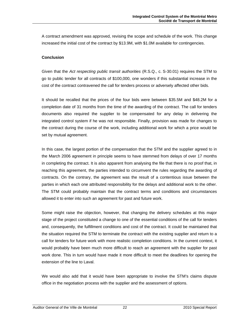A contract amendment was approved, revising the scope and schedule of the work. This change increased the initial cost of the contract by \$13.9M, with \$1.0M available for contingencies.

#### **Conclusion**

Given that the *Act respecting public transit authorities* (R.S.Q., c. S-30.01) requires the STM to go to public tender for all contracts of \$100,000, one wonders if this substantial increase in the cost of the contract contravened the call for tenders process or adversely affected other bids.

It should be recalled that the prices of the four bids were between \$35.5M and \$48.2M for a completion date of 31 months from the time of the awarding of the contract. The call for tenders documents also required the supplier to be compensated for any delay in delivering the integrated control system if he was not responsible. Finally, provision was made for changes to the contract during the course of the work, including additional work for which a price would be set by mutual agreement.

In this case, the largest portion of the compensation that the STM and the supplier agreed to in the March 2006 agreement in principle seems to have stemmed from delays of over 17 months in completing the contract. It is also apparent from analysing the file that there is no proof that, in reaching this agreement, the parties intended to circumvent the rules regarding the awarding of contracts. On the contrary, the agreement was the result of a contentious issue between the parties in which each one attributed responsibility for the delays and additional work to the other. The STM could probably maintain that the contract terms and conditions and circumstances allowed it to enter into such an agreement for past and future work.

Some might raise the objection, however, that changing the delivery schedules at this major stage of the project constituted a change to one of the essential conditions of the call for tenders and, consequently, the fulfillment conditions and cost of the contract. It could be maintained that the situation required the STM to terminate the contract with the existing supplier and return to a call for tenders for future work with more realistic completion conditions. In the current context, it would probably have been much more difficult to reach an agreement with the supplier for past work done. This in turn would have made it more difficult to meet the deadlines for opening the extension of the line to Laval.

We would also add that it would have been appropriate to involve the STM's claims dispute office in the negotiation process with the supplier and the assessment of options.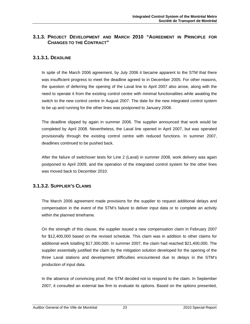# <span id="page-24-0"></span>**3.1.3. PROJECT DEVELOPMENT AND MARCH 2010 "AGREEMENT IN PRINCIPLE FOR CHANGES TO THE CONTRACT"**

#### **3.1.3.1. DEADLINE**

In spite of the March 2006 agreement, by July 2006 it became apparent to the STM that there was insufficient progress to meet the deadline agreed to in December 2005. For other reasons, the question of deferring the opening of the Laval line to April 2007 also arose, along with the need to operate it from the existing control centre with minimal functionalities while awaiting the switch to the new control centre in August 2007. The date for the new integrated control system to be up and running for the other lines was postponed to January 2008.

The deadline slipped by again in summer 2006. The supplier announced that work would be completed by April 2008. Nevertheless, the Laval line opened in April 2007, but was operated provisionally through the existing control centre with reduced functions. In summer 2007, deadlines continued to be pushed back.

After the failure of switchover tests for Line 2 (Laval) in summer 2008, work delivery was again postponed to April 2009, and the operation of the integrated control system for the other lines was moved back to December 2010.

## **3.1.3.2. SUPPLIER'S CLAIMS**

The March 2006 agreement made provisions for the supplier to request additional delays and compensation in the event of the STM's failure to deliver input data or to complete an activity within the planned timeframe.

On the strength of this clause, the supplier issued a new compensation claim in February 2007 for \$12,400,000 based on the revised schedule. This claim was in addition to other claims for additional work totalling \$17,300,000. In summer 2007, the claim had reached \$21,400,000. The supplier essentially justified the claim by the mitigation solution developed for the opening of the three Laval stations and development difficulties encountered due to delays in the STM's production of input data.

In the absence of convincing proof, the STM decided not to respond to the claim. In September 2007, it consulted an external law firm to evaluate its options. Based on the options presented,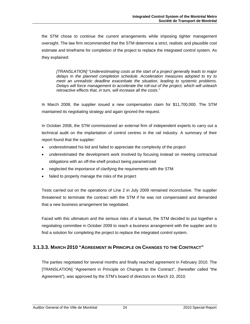<span id="page-25-0"></span>the STM chose to continue the current arrangements while imposing tighter management oversight. The law firm recommended that the STM determine a strict, realistic and plausible cost estimate and timeframe for completion of the project to replace the integrated control system. As they explained:

*[TRANSLATION] "Underestimating costs at the start of a project generally leads to major delays in the planned completion schedule. Acceleration measures adopted to try to meet an unrealistic deadline exacerbate the situation, leading to systemic problems. Delays will force management to accelerate the roll-out of the project, which will unleash retroactive effects that, in turn, will increase all the costs."* 

In March 2008, the supplier issued a new compensation claim for \$11,700,000. The STM maintained its negotiating strategy and again ignored the request.

In October 2008, the STM commissioned an external firm of independent experts to carry out a technical audit on the implantation of control centres in the rail industry. A summary of their report found that the supplier:

- underestimated his bid and failed to appreciate the complexity of the project
- underestimated the development work involved by focusing instead on meeting contractual obligations with an off-the-shelf product being parametrized
- neglected the importance of clarifying the requirements with the STM
- failed to properly manage the risks of the project

Tests carried out on the operations of Line 2 in July 2009 remained inconclusive. The supplier threatened to terminate the contract with the STM if he was not compensated and demanded that a new business arrangement be negotiated.

Faced with this ultimatum and the serious risks of a lawsuit, the STM decided to put together a negotiating committee in October 2009 to reach a business arrangement with the supplier and to find a solution for completing the project to replace the integrated control system.

## **3.1.3.3. MARCH 2010 "AGREEMENT IN PRINCIPLE ON CHANGES TO THE CONTRACT"**

The parties negotiated for several months and finally reached agreement in February 2010. The [TRANSLATION] "Agreement in Principle on Changes to the Contract", (hereafter called "the Agreement"), was approved by the STM's board of directors on March 10, 2010.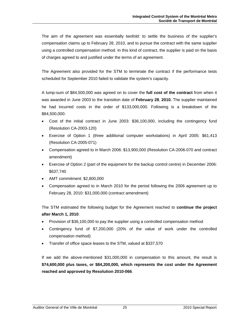The aim of the agreement was essentially twofold: to settle the business of the supplier's compensation claims up to February 28, 2010, and to pursue the contract with the same supplier using a controlled compensation method. In this kind of contract, the supplier is paid on the basis of charges agreed to and justified under the terms of an agreement.

The Agreement also provided for the STM to terminate the contract if the performance tests scheduled for September 2010 failed to validate the system's capacity.

A lump-sum of \$84,500,000 was agreed on to cover the **full cost of the contract** from when it was awarded in June 2003 to the transition date of **February 28**, **2010.** The supplier maintained he had incurred costs in the order of \$133,000,000. Following is a breakdown of the \$84,500,000:

- Cost of the initial contract in June 2003: \$36,100,000, including the contingency fund (Resolution CA-2003-120)
- Exercise of Option 1 (three additional computer workstations) in April 2005: \$61,413 (Resolution CA-2005-071)
- Compensation agreed to in March 2006: \$13,900,000 (Resolution CA-2006-070 and contract amendment)
- Exercise of Option 2 (part of the equipment for the backup control centre) in December 2006: \$637,740
- AMT commitment: \$2,800,000
- Compensation agreed to in March 2010 for the period following the 2006 agreement up to February 28, 2010: \$31,000,000 (contract amendment)

The STM estimated the following budget for the Agreement reached to **continue the project after March 1, 2010**:

- Provision of \$36,100,000 to pay the supplier using a controlled compensation method
- Contingency fund of \$7,200,000 (20% of the value of work under the controlled compensation method)
- Transfer of office space leases to the STM, valued at \$337,570

If we add the above-mentioned \$31,000,000 in compensation to this amount, the result is **\$74,600,000 plus taxes, or \$84,200,000, which represents the cost under the Agreement reached and approved by Resolution 2010-066**.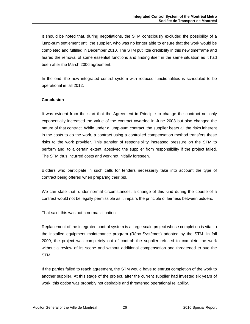It should be noted that, during negotiations, the STM consciously excluded the possibility of a lump-sum settlement until the supplier, who was no longer able to ensure that the work would be completed and fulfilled in December 2010. The STM put little credibility in this new timeframe and feared the removal of some essential functions and finding itself in the same situation as it had been after the March 2006 agreement.

In the end, the new integrated control system with reduced functionalities is scheduled to be operational in fall 2012.

#### **Conclusion**

It was evident from the start that the Agreement in Principle to change the contract not only exponentially increased the value of the contract awarded in June 2003 but also changed the nature of that contract. While under a lump-sum contract, the supplier bears all the risks inherent in the costs to do the work, a contract using a controlled compensation method transfers these risks to the work provider. This transfer of responsibility increased pressure on the STM to perform and, to a certain extent, absolved the supplier from responsibility if the project failed. The STM thus incurred costs and work not initially foreseen.

Bidders who participate in such calls for tenders necessarily take into account the type of contract being offered when preparing their bid.

We can state that, under normal circumstances, a change of this kind during the course of a contract would not be legally permissible as it impairs the principle of fairness between bidders.

That said, this was not a normal situation.

Replacement of the integrated control system is a large-scale project whose completion is vital to the installed equipment maintenance program (Réno-Systèmes) adopted by the STM. In fall 2009, the project was completely out of control: the supplier refused to complete the work without a review of its scope and without additional compensation and threatened to sue the STM.

If the parties failed to reach agreement, the STM would have to entrust completion of the work to another supplier. At this stage of the project, after the current supplier had invested six years of work, this option was probably not desirable and threatened operational reliability.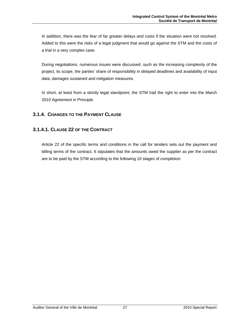<span id="page-28-0"></span>In addition, there was the fear of far greater delays and costs if the situation were not resolved. Added to this were the risks of a legal judgment that would go against the STM and the costs of a trial in a very complex case.

During negotiations, numerous issues were discussed, such as the increasing complexity of the project, its scope, the parties' share of responsibility in delayed deadlines and availability of input data, damages sustained and mitigation measures.

In short, at least from a strictly legal standpoint, the STM had the right to enter into the March 2010 Agreement in Principle.

# **3.1.4. CHANGES TO THE PAYMENT CLAUSE**

# **3.1.4.1. CLAUSE 22 OF THE CONTRACT**

Article 22 of the specific terms and conditions in the call for tenders sets out the payment and billing terms of the contract. It stipulates that the amounts owed the supplier as per the contract are to be paid by the STM according to the following 10 stages of completion: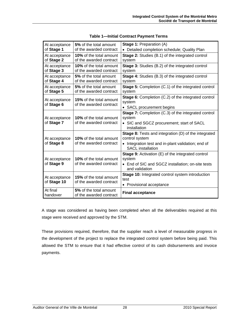| At acceptance<br>of Stage 1  | 5% of the total amount<br>of the awarded contract         | Stage 1: Preparation (A)<br>• Detailed completion schedule; Quality Plan                                                                                        |
|------------------------------|-----------------------------------------------------------|-----------------------------------------------------------------------------------------------------------------------------------------------------------------|
| At acceptance<br>of Stage 2  | <b>10%</b> of the total amount<br>of the awarded contract | <b>Stage 2:</b> Studies (B.1) of the integrated control<br>system                                                                                               |
| At acceptance<br>of Stage 3  | <b>10%</b> of the total amount<br>of the awarded contract | <b>Stage 3:</b> Studies (B.2) of the integrated control<br>system                                                                                               |
| At acceptance<br>of Stage 4  | 5% of the total amount<br>of the awarded contract         | Stage 4: Studies (B.3) of the integrated control<br>system                                                                                                      |
| At acceptance<br>of Stage 5  | 5% of the total amount<br>of the awarded contract         | <b>Stage 5: Completion (C.1) of the integrated control</b><br>system                                                                                            |
| At acceptance<br>of Stage 6  | <b>15%</b> of the total amount<br>of the awarded contract | Stage 6: Completion (C.2) of the integrated control<br>system<br>• SACL procurement begins                                                                      |
| At acceptance<br>of Stage 7  | <b>10%</b> of the total amount<br>of the awarded contract | <b>Stage 7:</b> Completion (C.3) of the integrated control<br>system<br>• SIC and SGCZ procurement; start of SACL<br>installation                               |
| At acceptance<br>of Stage 8  | <b>10%</b> of the total amount<br>of the awarded contract | <b>Stage 8:</b> Tests and integration (D) of the integrated<br>control system<br>• Integration test and in-plant validation; end of<br><b>SACL</b> installation |
| At acceptance<br>of Stage 9  | <b>10%</b> of the total amount<br>of the awarded contract | Stage 9: Activation (E) of the integrated control<br>system<br>• End of SIC and SGCZ installation; on-site tests<br>and validation                              |
| At acceptance<br>of Stage 10 | <b>15%</b> of the total amount<br>of the awarded contract | Stage 10: Integrated control system introduction<br>test<br>• Provisional acceptance                                                                            |
| At final<br>handover         | 5% of the total amount<br>of the awarded contract         | <b>Final acceptance</b>                                                                                                                                         |

| <b>Table 1-Initial Contract Payment Terms</b> |  |  |
|-----------------------------------------------|--|--|
|                                               |  |  |

A stage was considered as having been completed when all the deliverables required at this stage were received and approved by the STM.

These provisions required, therefore, that the supplier reach a level of measurable progress in the development of the project to replace the integrated control system before being paid. This allowed the STM to ensure that it had effective control of its cash disbursements and invoice payments.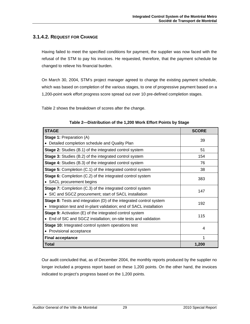## <span id="page-30-0"></span>**3.1.4.2. REQUEST FOR CHANGE**

Having failed to meet the specified conditions for payment, the supplier was now faced with the refusal of the STM to pay his invoices. He requested, therefore, that the payment schedule be changed to relieve his financial burden.

On March 30, 2004, STM's project manager agreed to change the existing payment schedule, which was based on completion of the various stages, to one of progressive payment based on a 1,200-point work effort progress score spread out over 10 pre-defined completion stages.

Table 2 shows the breakdown of scores after the change.

| <b>STAGE</b>                                                               | <b>SCORE</b> |  |
|----------------------------------------------------------------------------|--------------|--|
| <b>Stage 1: Preparation (A)</b>                                            | 39           |  |
| Detailed completion schedule and Quality Plan                              |              |  |
| <b>Stage 2:</b> Studies (B.1) of the integrated control system             | 51           |  |
| Stage 3: Studies (B.2) of the integrated control system                    | 154          |  |
| <b>Stage 4:</b> Studies (B.3) of the integrated control system             | 76           |  |
| <b>Stage 5:</b> Completion (C.1) of the integrated control system          | 38           |  |
| <b>Stage 6:</b> Completion (C.2) of the integrated control system          | 383          |  |
| SACL procurement begins                                                    |              |  |
| <b>Stage 7:</b> Completion (C.3) of the integrated control system          | 147          |  |
| • SIC and SGCZ procurement; start of SACL installation                     |              |  |
| <b>Stage 8:</b> Tests and integration (D) of the integrated control system | 192          |  |
| Integration test and in-plant validation; end of SACL installation         |              |  |
| <b>Stage 9:</b> Activation (E) of the integrated control system            | 115          |  |
| End of SIC and SGCZ installation; on-site tests and validation             |              |  |
| Stage 10: Integrated control system operations test                        | 4            |  |
| Provisional acceptance                                                     |              |  |
| <b>Final acceptance</b>                                                    | 1            |  |
| <b>Total</b>                                                               | 1,200        |  |

|  | Table 2-Distribution of the 1,200 Work Effort Points by Stage |
|--|---------------------------------------------------------------|
|  |                                                               |

Our audit concluded that, as of December 2004, the monthly reports produced by the supplier no longer included a progress report based on these 1,200 points. On the other hand, the invoices indicated to project's progress based on the 1,200 points.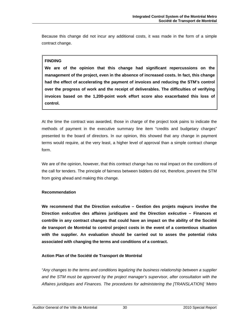Because this change did not incur any additional costs, it was made in the form of a simple contract change.

#### **FINDING**

**We are of the opinion that this change had significant repercussions on the management of the project, even in the absence of increased costs. In fact, this change had the effect of accelerating the payment of invoices and reducing the STM's control over the progress of work and the receipt of deliverables. The difficulties of verifying invoices based on the 1,200-point work effort score also exacerbated this loss of control.** 

At the time the contract was awarded, those in charge of the project took pains to indicate the methods of payment in the executive summary line item "credits and budgetary charges" presented to the board of directors. In our opinion, this showed that any change in payment terms would require, at the very least, a higher level of approval than a simple contract change form.

We are of the opinion, however, that this contract change has no real impact on the conditions of the call for tenders. The principle of fairness between bidders did not, therefore, prevent the STM from going ahead and making this change.

#### **Recommendation**

**We recommend that the Direction exécutive – Gestion des projets majeurs involve the Direction exécutive des affaires juridiques and the Direction exécutive – Finances et contrôle in any contract changes that could have an impact on the ability of the Société de transport de Montréal to control project costs in the event of a contentious situation with the supplier. An evaluation should be carried out to asses the potential risks associated with changing the terms and conditions of a contract.** 

#### **Action Plan of the Société de Transport de Montréal**

*"Any changes to the terms and conditions legalizing the business relationship between a supplier and the STM must be approved by the project manager's supervisor, after consultation with the Affaires juridiques and Finances. The procedures for administering the [TRANSLATION] 'Metro*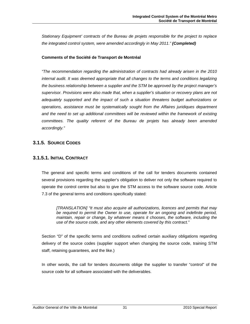<span id="page-32-0"></span>*Stationary Equipment' contracts of the Bureau de projets responsible for the project to replace the integrated control system, were amended accordingly in May 2011." (Completed)*

#### **Comments of the Société de Transport de Montréal**

*"The recommendation regarding the administration of contracts had already arisen in the 2010 internal audit. It was deemed appropriate that all changes to the terms and conditions legalizing the business relationship between a supplier and the STM be approved by the project manager's supervisor. Provisions were also made that, when a supplier's situation or recovery plans are not adequately supported and the impact of such a situation threatens budget authorizations or operations, assistance must be systematically sought from the Affaires juridiques department and the need to set up additional committees will be reviewed within the framework of existing committees. The quality referent of the Bureau de projets has already been amended accordingly."* 

## **3.1.5. SOURCE CODES**

#### **3.1.5.1. INITIAL CONTRACT**

The general and specific terms and conditions of the call for tenders documents contained several provisions regarding the supplier's obligation to deliver not only the software required to operate the control centre but also to give the STM access to the software source code. Article 7.3 of the general terms and conditions specifically stated:

*[TRANSLATION] "It must also acquire all authorizations, licences and permits that may*  be required to permit the Owner to use, operate for an ongoing and indefinite period, *maintain, repair or change, by whatever means it chooses, the software, including the use of the source code, and any other elements covered by this contract."* 

Section "D" of the specific terms and conditions outlined certain auxiliary obligations regarding delivery of the source codes (supplier support when changing the source code, training STM staff, retaining guarantees, and the like.)

In other words, the call for tenders documents oblige the supplier to transfer "control" of the source code for all software associated with the deliverables.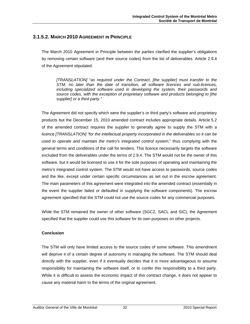#### <span id="page-33-0"></span>**3.1.5.2. MARCH 2010 AGREEMENT IN PRINCIPLE**

The March 2010 Agreement in Principle between the parties clarified the supplier's obligations by removing certain software (and their source codes) from the list of deliverables. Article 2.9.4 of the Agreement stipulated:

*[TRANSLATION]* "*as required under the Contract, [the supplier] must transfer to the STM, no later than the date of transition, all software licences and sub-licences, including specialized software used in developing the system, their passwords and source codes, with the exception of proprietary software and products belonging to [the supplier] or a third party."* 

The Agreement did not specify which were the supplier's or third party's software and proprietary products but the December 15, 2010 amended contract includes appropriate details. Article 5.2 of the amended contract requires the supplier to generally agree to supply the STM with a licence *[TRANSLATION] "for the intellectual property incorporated in the deliverables so it can be used to operate and maintain the metro's integrated control system,*" thus complying with the general terms and conditions of the call for tenders. This licence necessarily targets the software excluded from the deliverables under the terms of 2.9.4. The STM would not be the owner of this software, but it would be licensed to use it for the sole purposes of operating and maintaining the metro's integrated control system. The STM would not have access to passwords, source codes and the like, except under certain specific circumstances as set out in the escrow agreement. The main parameters of this agreement were integrated into the amended contract (essentially in the event the supplier failed or defaulted in supplying the software components). The escrow agreement specified that the STM could not use the source codes for any commercial purposes.

While the STM remained the owner of other software (SGCZ, SACL and SIC), the Agreement specified that the supplier could use this software for its own purposes on other projects.

#### **Conclusion**

The STM will only have limited access to the source codes of some software. This amendment will deprive it of a certain degree of autonomy in managing the software. The STM should deal directly with the supplier, even if it eventually decides that it is more advantageous to assume responsibility for maintaining the software itself, or to confer this responsibility to a third party. While it is difficult to assess the economic impact of this contract change, it does not appear to cause any material harm to the terms of the original agreement.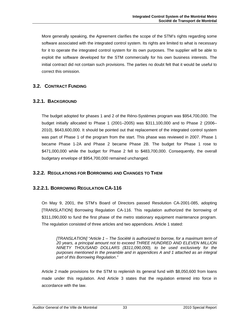<span id="page-34-0"></span>More generally speaking, the Agreement clarifies the scope of the STM's rights regarding some software associated with the integrated control system. Its rights are limited to what is necessary for it to operate the integrated control system for its own purposes. The supplier will be able to exploit the software developed for the STM commercially for his own business interests. The initial contract did not contain such provisions. The parties no doubt felt that it would be useful to correct this omission.

# **3.2. CONTRACT FUNDING**

## **3.2.1. BACKGROUND**

The budget adopted for phases 1 and 2 of the Réno-Systèmes program was \$954,700,000. The budget initially allocated to Phase 1 (2001–2005) was \$311,100,000 and to Phase 2 (2006– 2010), \$643,600,000. It should be pointed out that replacement of the integrated control system was part of Phase 1 of the program from the start. This phase was reviewed in 2007. Phase 1 became Phase 1-2A and Phase 2 became Phase 2B. The budget for Phase 1 rose to \$471,000,000 while the budget for Phase 2 fell to \$483,700,000. Consequently, the overall budgetary envelope of \$954,700,000 remained unchanged.

## **3.2.2. REGULATIONS FOR BORROWING AND CHANGES TO THEM**

## **3.2.2.1. BORROWING REGULATION CA-116**

On May 9, 2001, the STM's Board of Directors passed Resolution CA-2001-085, adopting [TRANSLATION] Borrowing Regulation CA-116. This regulation authorized the borrowing of \$311,090,000 to fund the first phase of the metro stationary equipment maintenance program. The regulation consisted of three articles and two appendices. Article 1 stated:

*[TRANSLATION] "Article 1 – The Société is authorized to borrow, for a maximum term of 20 years, a principal amount not to exceed THREE HUNDRED AND ELEVEN MILLION NINETY THOUSAND DOLLARS (\$311,090,000), to be used exclusively for the purposes mentioned in the preamble and in appendices A and 1 attached as an integral part of this Borrowing Regulation*.*"* 

Article 2 made provisions for the STM to replenish its general fund with \$8,050,600 from loans made under this regulation. And Article 3 states that the regulation entered into force in accordance with the law.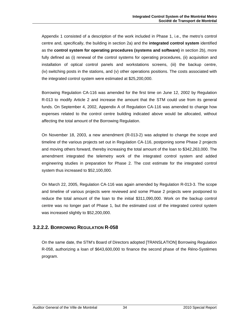<span id="page-35-0"></span>Appendix 1 consisted of a description of the work included in Phase 1, i.e., the metro's control centre and, specifically, the building in section 2a) and the **integrated control system** identified as the **control system for operating procedures (systems and software)** in section 2b), more fully defined as (i) renewal of the control systems for operating procedures, (ii) acquisition and installation of optical control panels and workstations screens, (iii) the backup centre, (iv) switching posts in the stations, and (v) other operations positions. The costs associated with the integrated control system were estimated at \$25,200,000.

Borrowing Regulation CA-116 was amended for the first time on June 12, 2002 by Regulation R-013 to modify Article 2 and increase the amount that the STM could use from its general funds. On September 4, 2002, Appendix A of Regulation CA-116 was amended to change how expenses related to the control centre building indicated above would be allocated, without affecting the total amount of the Borrowing Regulation.

On November 18, 2003, a new amendment (R-013-2) was adopted to change the scope and timeline of the various projects set out in Regulation CA-116, postponing some Phase 2 projects and moving others forward, thereby increasing the total amount of the loan to \$342,263,000. The amendment integrated the telemetry work of the integrated control system and added engineering studies in preparation for Phase 2. The cost estimate for the integrated control system thus increased to \$52,100,000.

On March 22, 2005, Regulation CA-116 was again amended by Regulation R-013-3. The scope and timeline of various projects were reviewed and some Phase 2 projects were postponed to reduce the total amount of the loan to the initial \$311,090,000. Work on the backup control centre was no longer part of Phase 1, but the estimated cost of the integrated control system was increased slightly to \$52,200,000.

## **3.2.2.2. BORROWING REGULATION R-058**

On the same date, the STM's Board of Directors adopted [TRANSLATION] Borrowing Regulation R-058, authorizing a loan of \$643,600,000 to finance the second phase of the Réno-Systèmes program.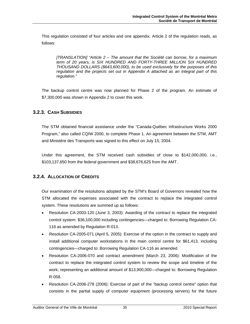This regulation consisted of four articles and one appendix. Article 2 of the regulation reads, as follows:

*[TRANSLATION] "Article 2 – The amount that the Société can borrow, for a maximum term of 20 years, is SIX HUNDRED AND FORTY-THREE MILLION SIX HUNDRED THOUSAND DOLLARS (\$643,600,000), to be used exclusively for the purposes of this regulation and the projects set out in Appendix A attached as an integral part of this regulation."* 

The backup control centre was now planned for Phase 2 of the program. An estimate of \$7,300,000 was shown in Appendix 2 to cover this work.

# **3.2.3. CASH SUBSIDIES**

The STM obtained financial assistance under the "Canada-Québec Infrastructure Works 2000 Program," also called CQIW 2000, to complete Phase 1. An agreement between the STM, AMT and Ministère des Transports was signed to this effect on July 15, 2004.

Under this agreement, the STM received cash subsidies of close to \$142,000,000, i.e., \$103,137,650 from the federal government and \$38,676,625 from the AMT.

# **3.2.4. ALLOCATION OF CREDITS**

Our examination of the resolutions adopted by the STM's Board of Governors revealed how the STM allocated the expenses associated with the contract to replace the integrated control system. These resolutions are summed up as follows:

- Resolution CA-2003-120 (June 3, 2003): Awarding of the contract to replace the integrated control system: \$36,100,000 including contingencies—charged to: Borrowing Regulation CA-116 as amended by Regulation R-013.
- Resolution CA-2005-071 (April 5, 2005): Exercise of the option in the contract to supply and install additional computer workstations in the main control centre for \$61,413, including contingencies—charged to: Borrowing Regulation CA-116 as amended.
- Resolution CA-2006-070 and contract amendment (March 23, 2006): Modification of the contract to replace the integrated control system to review the scope and timeline of the work, representing an additional amount of \$13,900,000—charged to: Borrowing Regulation R-058.
- Resolution CA-2006-278 (2006): Exercise of part of the "backup control centre" option that consists in the partial supply of computer equipment (processing servers) for the future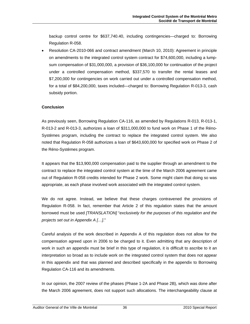backup control centre for \$637,740.40, including contingencies—charged to: Borrowing Regulation R-058.

• Resolution CA-2010-066 and contract amendment (March 10, 2010): Agreement in principle on amendments to the integrated control system contract for \$74,600,000, including a lumpsum compensation of \$31,000,000, a provision of \$36,100,000 for continuation of the project under a controlled compensation method, \$337,570 to transfer the rental leases and \$7,200,000 for contingencies on work carried out under a controlled compensation method, for a total of \$84,200,000, taxes included—charged to: Borrowing Regulation R-013-3, cash subsidy portion.

## **Conclusion**

As previously seen, Borrowing Regulation CA-116, as amended by Regulations R-013, R-013-1, R-013-2 and R-013-3, authorizes a loan of \$311,000,000 to fund work on Phase 1 of the Réno-Systèmes program, including the contract to replace the integrated control system. We also noted that Regulation R-058 authorizes a loan of \$643,600,000 for specified work on Phase 2 of the Réno-Systèmes program.

It appears that the \$13,900,000 compensation paid to the supplier through an amendment to the contract to replace the integrated control system at the time of the March 2006 agreement came out of Regulation R-058 credits intended for Phase 2 work. Some might claim that doing so was appropriate, as each phase involved work associated with the integrated control system.

We do not agree. Instead, we believe that these charges contravened the provisions of Regulation R-058. In fact, remember that Article 2 of this regulation states that the amount borrowed must be used *[TRANSLATION]* "*exclusively for the purposes of this regulation and the projects set out in Appendix A […]*."

Careful analysis of the work described in Appendix A of this regulation does not allow for the compensation agreed upon in 2006 to be charged to it. Even admitting that any description of work in such an appendix must be brief in this type of regulation, it is difficult to ascribe to it an interpretation so broad as to include work on the integrated control system that does not appear in this appendix and that was planned and described specifically in the appendix to Borrowing Regulation CA-116 and its amendments.

In our opinion, the 2007 review of the phases (Phase 1-2A and Phase 2B), which was done after the March 2006 agreement, does not support such allocations. The interchangeability clause at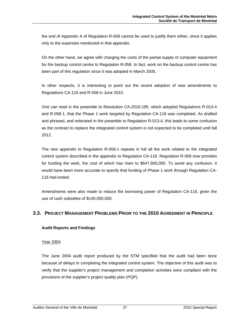the end of Appendix A of Regulation R-058 cannot be used to justify them either, since it applies only to the expenses mentioned in that appendix.

On the other hand, we agree with charging the costs of the partial supply of computer equipment for the backup control centre to Regulation R-058. In fact, work on the backup control centre has been part of this regulation since it was adopted in March 2005.

In other respects, it is interesting to point out the recent adoption of new amendments to Regulations CA-116 and R-058 in June 2010.

One can read in the preamble to Resolution CA-2010-195, which adopted Regulations R-013-4 and R-058-1, that the Phase 1 work targeted by Regulation CA-116 was completed. As drafted and phrased, and reiterated in the preamble to Regulation R-013-4, this leads to some confusion as the contract to replace the integrated control system is not expected to be completed until fall 2012.

The new appendix to Regulation R-058-1 repeats in full all the work related to the integrated control system described in the appendix to Regulation CA-116. Regulation R-058 now provides for funding the work, the cost of which has risen to \$647,600,000. To avoid any confusion, it would have been more accurate to specify that funding of Phase 1 work through Regulation CA-116 had ended.

Amendments were also made to reduce the borrowing power of Regulation CA-116, given the use of cash subsidies of \$140,000,000.

# **3.3. PROJECT MANAGEMENT PROBLEMS PRIOR TO THE 2010 AGREEMENT IN PRINCIPLE**

# **Audit Reports and Findings**

#### Year 2004

The June 2004 audit report produced by the STM specified that the audit had been done because of delays in completing the integrated control system. The objective of this audit was to verify that the supplier's project management and completion activities were compliant with the provisions of the supplier's project quality plan (PQP).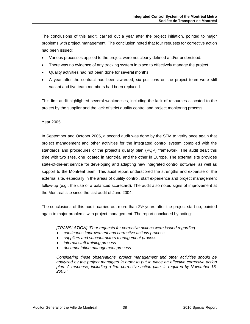The conclusions of this audit, carried out a year after the project initiation, pointed to major problems with project management. The conclusion noted that four requests for corrective action had been issued:

- Various processes applied to the project were not clearly defined and/or understood.
- There was no evidence of any tracking system in place to effectively manage the project.
- Quality activities had not been done for several months.
- A year after the contract had been awarded, six positions on the project team were still vacant and five team members had been replaced.

This first audit highlighted several weaknesses, including the lack of resources allocated to the project by the supplier and the lack of strict quality control and project monitoring process.

#### Year 2005

In September and October 2005, a second audit was done by the STM to verify once again that project management and other activities for the integrated control system complied with the standards and procedures of the project's quality plan (PQP) framework. The audit dealt this time with two sites, one located in Montréal and the other in Europe. The external site provides state-of-the-art service for developing and adapting new integrated control software, as well as support to the Montréal team. This audit report underscored the strengths and expertise of the external site, especially in the areas of quality control, staff experience and project management follow-up (e.g., the use of a balanced scorecard). The audit also noted signs of improvement at the Montréal site since the last audit of June 2004.

The conclusions of this audit, carried out more than 2½ years after the project start-up, pointed again to major problems with project management. The report concluded by noting:

#### *[TRANSLATION] "Four requests for corrective actions were issued regarding*

- *continuous improvement and corrective actions process*
- *suppliers and subcontractors management process*
- *internal staff training process*
- *documentation management process*

*Considering these observations, project management and other activities should be analyzed by the project managers in order to put in place an effective corrective action plan. A response, including a firm corrective action plan, is required by November 15, 2005."*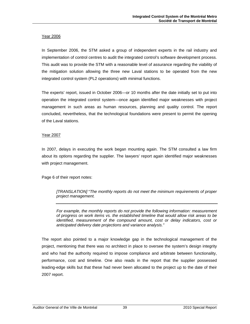#### Year 2006

In September 2006, the STM asked a group of independent experts in the rail industry and implementation of control centres to audit the integrated control's software development process. This audit was to provide the STM with a reasonable level of assurance regarding the viability of the mitigation solution allowing the three new Laval stations to be operated from the new integrated control system (PL2 operations) with minimal functions.

The experts' report, issued in October 2006—or 10 months after the date initially set to put into operation the integrated control system—once again identified major weaknesses with project management in such areas as human resources, planning and quality control. The report concluded, nevertheless, that the technological foundations were present to permit the opening of the Laval stations.

#### Year 2007

In 2007, delays in executing the work began mounting again. The STM consulted a law firm about its options regarding the supplier. The lawyers' report again identified major weaknesses with project management.

Page 6 of their report notes:

*[TRANSLATION]* "*The monthly reports do not meet the minimum requirements of proper project management.* 

*For example, the monthly reports do not provide the following information: measurement of progress on work items vs. the established timeline that would allow risk areas to be identified, measurement of the compound amount, cost or delay indicators, cost or anticipated delivery date projections and variance analysis."* 

The report also pointed to a major knowledge gap in the technological management of the project, mentioning that there was no architect in place to oversee the system's design integrity and who had the authority required to impose compliance and arbitrate between functionality, performance, cost and timeline. One also reads in the report that the supplier possessed leading-edge skills but that these had never been allocated to the project up to the date of their 2007 report.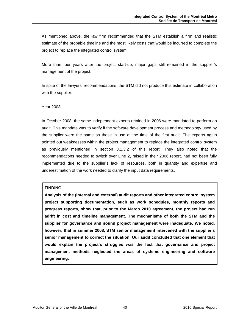As mentioned above, the law firm recommended that the STM establish a firm and realistic estimate of the probable timeline and the most likely costs that would be incurred to complete the project to replace the integrated control system.

More than four years after the project start-up, major gaps still remained in the supplier's management of the project.

In spite of the lawyers' recommendations, the STM did not produce this estimate in collaboration with the supplier.

#### Year 2008

In October 2008, the same independent experts retained in 2006 were mandated to perform an audit. This mandate was to verify if the software development process and methodology used by the supplier were the same as those in use at the time of the first audit. The experts again pointed out weaknesses within the project management to replace the integrated control system as previously mentioned in section 3.1.3.2 of this report. They also noted that the recommendations needed to switch over Line 2, raised in their 2006 report, had not been fully implemented due to the supplier's lack of resources, both in quantity and expertise and underestimation of the work needed to clarify the input data requirements.

#### **FINDING**

**Analysis of the (internal and external) audit reports and other integrated control system project supporting documentation, such as work schedules, monthly reports and progress reports, show that, prior to the March 2010 agreement, the project had run adrift in cost and timeline management. The mechanisms of both the STM and the supplier for governance and sound project management were inadequate. We noted, however, that in summer 2008, STM senior management intervened with the supplier's senior management to correct the situation. Our audit concluded that one element that would explain the project's struggles was the fact that governance and project management methods neglected the areas of systems engineering and software engineering.**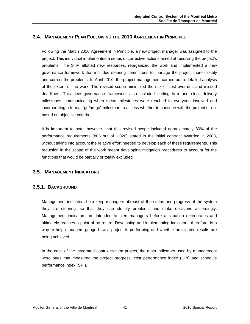# **3.4. MANAGEMENT PLAN FOLLOWING THE 2010 AGREEMENT IN PRINCIPLE**

Following the March 2010 Agreement in Principle, a new project manager was assigned to the project. This individual implemented a series of corrective actions aimed at resolving the project's problems. The STM allotted new resources, reorganized the work and implemented a new governance framework that included steering committees to manage the project more closely and correct the problems. In April 2010, the project management carried out a detailed analysis of the extent of the work. The revised scope minimized the risk of cost overruns and missed deadlines. This new governance framework also included setting firm and clear delivery milestones, communicating when these milestones were reached to everyone involved and incorporating a formal "go/no-go" milestone to assess whether to continue with the project or not based on objective criteria.

It is important to note, however, that this revised scope included approximately 80% of the performance requirements (805 out of 1,026) stated in the initial contract awarded in 2003, without taking into account the relative effort needed to develop each of these requirements. This reduction in the scope of the work meant developing mitigation procedures to account for the functions that would be partially or totally excluded.

# **3.5. MANAGEMENT INDICATORS**

# **3.5.1. BACKGROUND**

Management indicators help keep managers abreast of the status and progress of the system they are steering, so that they can identify problems and make decisions accordingly. Management indicators are intended to alert managers before a situation deteriorates and ultimately reaches a point of no return. Developing and implementing indicators, therefore, is a way to help managers gauge how a project is performing and whether anticipated results are being achieved.

In the case of the integrated control system project, the main indicators used by management were ones that measured the project progress, cost performance index (CPI) and schedule performance index (SPI).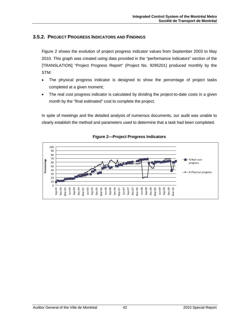# **3.5.2. PROJECT PROGRESS INDICATORS AND FINDINGS**

Figure 2 shows the evolution of project progress indicator values from September 2003 to May 2010. This graph was created using data provided in the "performance indicators" section of the [TRANSLATION] "Project Progress Report" (Project No. 9295201) produced monthly by the STM:

- The physical progress indicator is designed to show the percentage of project tasks completed at a given moment;
- The real cost progress indicator is calculated by dividing the project-to-date costs in a given month by the "final estimated" cost to complete the project.

In spite of meetings and the detailed analysis of numerous documents, our audit was unable to clearly establish the method and parameters used to determine that a task had been completed.



## **Figure 2—Project Progress Indicators**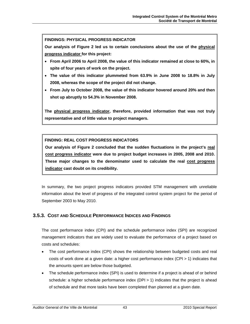#### **FINDINGS: PHYSICAL PROGRESS INDICATOR**

**Our analysis of Figure 2 led us to certain conclusions about the use of the physical progress indicator for this project:** 

- **From April 2006 to April 2008, the value of this indicator remained at close to 60%, in spite of four years of work on the project.**
- **The value of this indicator plummeted from 63.9% in June 2008 to 18.8% in July 2008, whereas the scope of the project did not change.**
- **From July to October 2008, the value of this indicator hovered around 20% and then shot up abruptly to 54.3% in November 2008.**

**The physical progress indicator, therefore, provided information that was not truly representative and of little value to project managers.**

# **FINDING: REAL COST PROGRESS INDICATORS**

**Our analysis of Figure 2 concluded that the sudden fluctuations in the project's real cost progress indicator were due to project budget increases in 2005, 2008 and 2010. These major changes to the denominator used to calculate the real cost progress indicator cast doubt on its credibility.** 

In summary, the two project progress indicators provided STM management with unreliable information about the level of progress of the integrated control system project for the period of September 2003 to May 2010.

# **3.5.3. COST AND SCHEDULE PERFORMANCE INDICES AND FINDINGS**

The cost performance index (CPI) and the schedule performance index (SPI) are recognized management indicators that are widely used to evaluate the performance of a project based on costs and schedules:

- The cost performance index (CPI) shows the relationship between budgeted costs and real costs of work done at a given date: a higher cost performance index (CPI > 1) indicates that the amounts spent are below those budgeted.
- The schedule performance index (SPI) is used to determine if a project is ahead of or behind schedule: a higher schedule performance index (DPI > 1) indicates that the project is ahead of schedule and that more tasks have been completed than planned at a given date.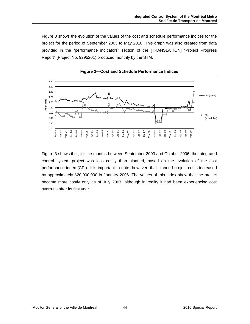Figure 3 shows the evolution of the values of the cost and schedule performance indices for the project for the period of September 2003 to May 2010. This graph was also created from data provided in the "performance indicators" section of the [TRANSLATION] "Project Progress Report" (Project No. 9295201) produced monthly by the STM.



**Figure 3—Cost and Schedule Performance Indices** 

Figure 3 shows that, for the months between September 2003 and October 2006, the integrated control system project was less costly than planned, based on the evolution of the cost performance index (CPI). It is important to note, however, that planned project costs increased by approximately \$20,000,000 in January 2006. The values of this index show that the project became more costly only as of July 2007, although in reality it had been experiencing cost overruns after its first year.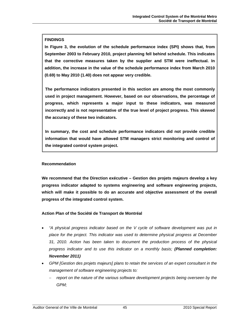## **FINDINGS**

**In Figure 3, the evolution of the schedule performance index (SPI) shows that, from September 2003 to February 2010, project planning fell behind schedule. This indicates that the corrective measures taken by the supplier and STM were ineffectual. In addition, the increase in the value of the schedule performance index from March 2010 (0.69) to May 2010 (1.40) does not appear very credible.** 

**The performance indicators presented in this section are among the most commonly used in project management. However, based on our observations, the percentage of progress, which represents a major input to these indicators, was measured incorrectly and is not representative of the true level of project progress. This skewed the accuracy of these two indicators.** 

**In summary, the cost and schedule performance indicators did not provide credible information that would have allowed STM managers strict monitoring and control of the integrated control system project.**

#### **Recommendation**

**We recommend that the Direction exécutive – Gestion des projets majeurs develop a key progress indicator adapted to systems engineering and software engineering projects, which will make it possible to do an accurate and objective assessment of the overall progress of the integrated control system.** 

#### **Action Plan of the Société de Transport de Montréal**

- *"A physical progress indicator based on the V cycle of software development was put in place for the project. This indicator was used to determine physical progress at December 31, 2010. Action has been taken to document the production process of the physical progress indicator and to use this indicator on a monthly basis; (Planned completion: November 2011)*
- *GPM [Gestion des projets majeurs] plans to retain the services of an expert consultant in the management of software engineering projects to:* 
	- − *report on the nature of the various software development projects being overseen by the GPM;*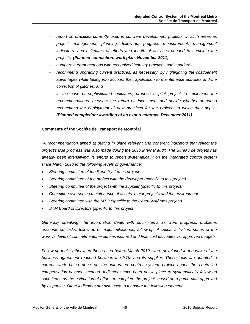- − *report on practices currently used in software development projects, in such areas as project management, planning, follow-up, progress measurement, management indicators, and estimates of efforts and length of activities needed to complete the projects; (Planned completion: work plan, November 2011)*
- − *compare current methods with recognized industry practices and standards;*
- − *recommend upgrading current practices, as necessary, by highlighting the cost/benefit advantages while taking into account their application to maintenance activities and the correction of glitches; and*
- − *in the case of sophisticated indicators, propose a pilot project to implement the*  recommendations, measure the return on investment and decide whether or not to *recommend the deployment of new practices for the projects to which they apply." (Planned completion: awarding of an expert contract, December 2011)*

#### **Comments of the Société de Transport de Montréal**

*"A recommendation aimed at putting in place relevant and coherent indicators that reflect the project's true progress was also made during the 2010 internal audit. The Bureau de projets has already been intensifying its efforts to report systematically on the integrated control system since March 2010 to the following levels of governance:* 

- *Steering committee of the Réno-Systèmes project*
- *Steering committee of the project with the developer (specific to this project)*
- *Steering committee of the project with the supplier (specific to this project)*
- *Committee overseeing maintenance of assets, major projects and the environment*
- *Steering committee with the MTQ (specific to the Réno-Systèmes project)*
- *STM Board of Directors (specific to this project).*

*Generally speaking, the information deals with such items as work progress, problems encountered, risks, follow-up of major milestones, follow-up of critical activities, status of the work vs. level of commitments, expenses incurred and final cost estimates vs. approved budgets.* 

*Follow-up tools, other than those used before March 2010, were developed in the wake of the business agreement reached between the STM and its supplier. These tools are adapted to current work being done on the integrated control system project under the controlled compensation payment method. Indicators have been put in place to systematically follow up such items as the estimation of efforts to complete the project, based on a game plan approved by all parties. Other indicators are also used to measure the following elements:*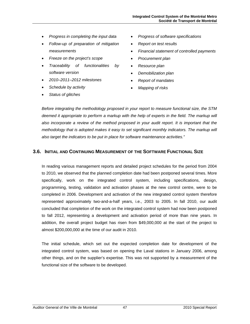- *Progress in completing the input data*
- *Follow-up of preparation of mitigation measurements*
- *Freeze on the project's scope*
- *Traceability of functionalities by software version*
- *2010–2011–2012 milestones*
- *Schedule by activity*
- *Status of glitches*
- *Progress of software specifications*
- *Report on test results*
- *Financial statement of controlled payments*
- *Procurement plan*
- *Resource plan*
- *Demobilization plan*
- *Report of mandates*
- *Mapping of risks*

*Before integrating the methodology proposed in your report to measure functional size, the STM deemed it appropriate to perform a markup with the help of experts in the field. The markup will also incorporate a review of the method proposed in your audit report. It is important that the methodology that is adopted makes it easy to set significant monthly indicators. The markup will also target the indicators to be put in place for software maintenance activities."* 

# **3.6. INITIAL AND CONTINUING MEASUREMENT OF THE SOFTWARE FUNCTIONAL SIZE**

In reading various management reports and detailed project schedules for the period from 2004 to 2010, we observed that the planned completion date had been postponed several times. More specifically, work on the integrated control system, including specifications, design, programming, testing, validation and activation phases at the new control centre, were to be completed in 2006. Development and activation of the new integrated control system therefore represented approximately two-and-a-half years, i.e., 2003 to 2005. In fall 2010, our audit concluded that completion of the work on the integrated control system had now been postponed to fall 2012, representing a development and activation period of more than nine years. In addition, the overall project budget has risen from \$49,000,000 at the start of the project to almost \$200,000,000 at the time of our audit in 2010.

The initial schedule, which set out the expected completion date for development of the integrated control system, was based on opening the Laval stations in January 2006, among other things, and on the supplier's expertise. This was not supported by a measurement of the functional size of the software to be developed.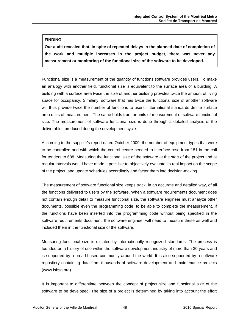# **FINDING**

**Our audit revealed that, in spite of repeated delays in the planned date of completion of the work and multiple increases in the project budget, there was never any measurement or monitoring of the functional size of the software to be developed.**

Functional size is a measurement of the quantity of functions software provides users. To make an analogy with another field, functional size is equivalent to the surface area of a building. A building with a surface area twice the size of another building provides twice the amount of living space for occupancy. Similarly, software that has twice the functional size of another software will thus provide twice the number of functions to users. International standards define surface area units of measurement. The same holds true for units of measurement of software functional size. The measurement of software functional size is done through a detailed analysis of the deliverables produced during the development cycle.

According to the supplier's report dated October 2009, the number of equipment types that were to be controlled and with which the control centre needed to interface rose from 181 in the call for tenders to 688. Measuring the functional size of the software at the start of the project and at regular intervals would have made it possible to objectively evaluate its real impact on the scope of the project, and update schedules accordingly and factor them into decision-making.

The measurement of software functional size keeps track, in an accurate and detailed way, of all the functions delivered to users by the software. When a software requirements document does not contain enough detail to measure functional size, the software engineer must analyze other documents, possible even the programming code, to be able to complete the measurement. If the functions have been inserted into the programming code without being specified in the software requirements document, the software engineer will need to measure these as well and included them in the functional size of the software.

Measuring functional size is dictated by internationally recognized standards. The process is founded on a history of use within the software development industry of more than 30 years and is supported by a broad-based community around the world. It is also supported by a software repository containing data from thousands of software development and maintenance projects (www.isbsg.org).

It is important to differentiate between the concept of project size and functional size of the software to be developed. The size of a project is determined by taking into account the effort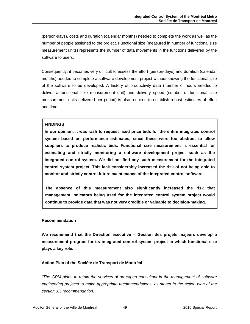(person-days), costs and duration (calendar months) needed to complete the work as well as the number of people assigned to the project. Functional size (measured in number of functional size measurement units) represents the number of data movements in the functions delivered by the software to users.

Consequently, it becomes very difficult to assess the effort (person-days) and duration (calendar months) needed to complete a software development project without knowing the functional size of the software to be developed. A history of productivity data (number of hours needed to deliver a functional size measurement unit) and delivery speed (number of functional size measurement units delivered per period) is also required to establish robust estimates of effort and time.

## **FINDINGS**

**In our opinion, it was rash to request fixed price bids for the entire integrated control system based on performance estimates, since these were too abstract to allow suppliers to produce realistic bids. Functional size measurement is essential for estimating and strictly monitoring a software development project such as the integrated control system. We did not find any such measurement for the integrated control system project. This lack considerably increased the risk of not being able to monitor and strictly control future maintenance of the integrated control software.** 

**The absence of this measurement also significantly increased the risk that management indicators being used for the integrated control system project would continue to provide data that was not very credible or valuable to decision-making.** 

#### **Recommendation**

**We recommend that the Direction exécutive – Gestion des projets majeurs develop a measurement program for its integrated control system project in which functional size plays a key role.** 

#### **Action Plan of the Société de Transport de Montréal**

*"The GPM plans to retain the services of an expert consultant in the management of software engineering projects to make appropriate recommendations, as stated in the action plan of the section 3.5 recommendation.*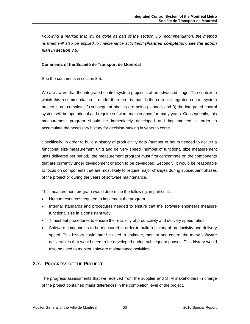*Following a markup that will be done as part of the section 3.5 recommendation, the method retained will also be applied to maintenance activities." (Planned completion: see the action plan in section 3.5)* 

#### **Comments of the Société de Transport de Montréal**

See the comments in section 3.5.

We are aware that the integrated control system project is at an advanced stage. The context in which this recommendation is made, therefore, is that: 1) the current integrated control system project is not complete; 2) subsequent phases are being planned; and 3) the integrated control system will be operational and require software maintenance for many years. Consequently, this measurement program should be immediately developed and implemented in order to accumulate the necessary history for decision-making in years to come.

Specifically, in order to build a history of productivity data (number of hours needed to deliver a functional size measurement unit) and delivery speed (number of functional size measurement units delivered per period), the measurement program must first concentrate on the components that are currently under development or soon to be developed. Secondly, it would be reasonable to focus on components that are most likely to require major changes during subsequent phases of the project or during the years of software maintenance.

This measurement program would determine the following, in particular:

- Human resources required to implement the program.
- Internal standards and procedures needed to ensure that the software engineers measure functional size in a consistent way.
- Timesheet procedures to ensure the reliability of productivity and delivery speed ratios.
- Software components to be measured in order to build a history of productivity and delivery speed. This history could later be used to estimate, monitor and control the many software deliverables that would need to be developed during subsequent phases. This history would also be used to monitor software maintenance activities.

# **3.7. PROGRESS OF THE PROJECT**

The progress assessments that we received from the supplier and STM stakeholders in charge of the project contained major differences in the completion level of the project.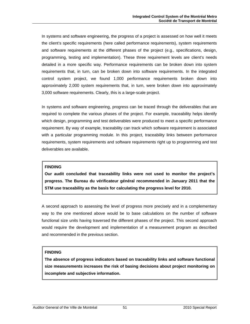In systems and software engineering, the progress of a project is assessed on how well it meets the client's specific requirements (here called performance requirements), system requirements and software requirements at the different phases of the project (e.g., specifications, design, programming, testing and implementation). These three requirement levels are client's needs detailed in a more specific way. Performance requirements can be broken down into system requirements that, in turn, can be broken down into software requirements. In the integrated control system project, we found 1,000 performance requirements broken down into approximately 2,000 system requirements that, in turn, were broken down into approximately 3,000 software requirements. Clearly, this is a large-scale project.

In systems and software engineering, progress can be traced through the deliverables that are required to complete the various phases of the project. For example, traceability helps identify which design, programming and test deliverables were produced to meet a specific performance requirement. By way of example, traceability can track which software requirement is associated with a particular programming module. In this project, traceability links between performance requirements, system requirements and software requirements right up to programming and test deliverables are available.

#### **FINDING**

**Our audit concluded that traceability links were not used to monitor the project's progress. The Bureau du vérificateur général recommended in January 2011 that the STM use traceability as the basis for calculating the progress level for 2010.** 

A second approach to assessing the level of progress more precisely and in a complementary way to the one mentioned above would be to base calculations on the number of software functional size units having traversed the different phases of the project. This second approach would require the development and implementation of a measurement program as described and recommended in the previous section.

# **FINDING**

**The absence of progress indicators based on traceability links and software functional size measurements increases the risk of basing decisions about project monitoring on incomplete and subjective information.**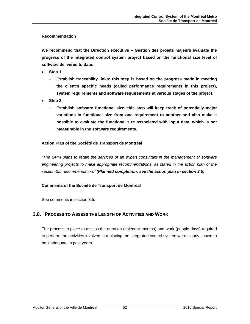#### **Recommendation**

**We recommend that the Direction exécutive – Gestion des projets majeurs evaluate the progress of the integrated control system project based on the functional size level of software delivered to date:** 

- **Step 1:** 
	- − **Establish traceability links: this step is based on the progress made in meeting the client's specific needs (called performance requirements in this project), system requirements and software requirements at various stages of the project.**
- **Step 2:** 
	- − **Establish software functional size: this step will keep track of potentially major variations in functional size from one requirement to another and also make it possible to evaluate the functional size associated with input data, which is not measurable in the software requirements.**

#### **Action Plan of the Société de Transport de Montréal**

*"The GPM plans to retain the services of an expert consultant in the management of software engineering projects to make appropriate recommendations, as stated in the action plan of the section 3.5 recommendation." (Planned completion: see the action plan in section 3.5)*

#### **Comments of the Société de Transport de Montréal**

See comments in section 3.5.

# **3.8. PROCESS TO ASSESS THE LENGTH OF ACTIVITIES AND WORK**

The process in place to assess the duration (calendar months) and work (people-days) required to perform the activities involved in replacing the integrated control system were clearly shown to be inadequate in past years.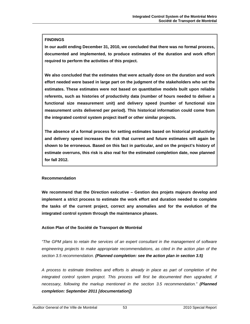# **FINDINGS**

**In our audit ending December 31, 2010, we concluded that there was no formal process, documented and implemented, to produce estimates of the duration and work effort required to perform the activities of this project.** 

**We also concluded that the estimates that were actually done on the duration and work effort needed were based in large part on the judgment of the stakeholders who set the estimates. These estimates were not based on quantitative models built upon reliable referents, such as histories of productivity data (number of hours needed to deliver a functional size measurement unit) and delivery speed (number of functional size measurement units delivered per period). This historical information could come from the integrated control system project itself or other similar projects.** 

**The absence of a formal process for setting estimates based on historical productivity and delivery speed increases the risk that current and future estimates will again be shown to be erroneous. Based on this fact in particular, and on the project's history of estimate overruns, this risk is also real for the estimated completion date, now planned for fall 2012.**

#### **Recommendation**

**We recommend that the Direction exécutive – Gestion des projets majeurs develop and implement a strict process to estimate the work effort and duration needed to complete the tasks of the current project, correct any anomalies and for the evolution of the integrated control system through the maintenance phases.** 

# **Action Plan of the Société de Transport de Montréal**

*"The GPM plans to retain the services of an expert consultant in the management of software engineering projects to make appropriate recommendations, as cited in the action plan of the section 3.5 recommendation. (Planned completion: see the action plan in section 3.5)*

*A process to estimate timelines and efforts is already in place as part of completion of the*  integrated control system project. This process will first be documented then upgraded, if *necessary, following the markup mentioned in the section 3.5 recommendation." (Planned completion: September 2011 [documentation])*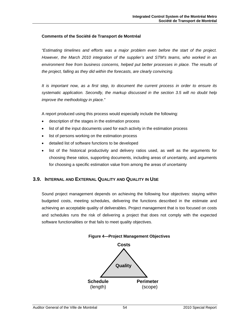#### **Comments of the Société de Transport de Montréal**

*"Estimating timelines and efforts was a major problem even before the start of the project. However, the March 2010 integration of the supplier's and STM's teams, who worked in an environment free from business concerns, helped put better processes in place. The results of the project, falling as they did within the forecasts, are clearly convincing.* 

*It is important now, as a first step, to document the current process in order to ensure its systematic application. Secondly, the markup discussed in the section 3.5 will no doubt help improve the methodology in place."* 

A report produced using this process would especially include the following:

- description of the stages in the estimation process
- list of all the input documents used for each activity in the estimation process
- list of persons working on the estimation process
- detailed list of software functions to be developed
- list of the historical productivity and delivery ratios used, as well as the arguments for choosing these ratios, supporting documents, including areas of uncertainty, and arguments for choosing a specific estimation value from among the areas of uncertainty

# **3.9. INTERNAL AND EXTERNAL QUALITY AND QUALITY IN USE**

Sound project management depends on achieving the following four objectives: staying within budgeted costs, meeting schedules, delivering the functions described in the estimate and achieving an acceptable quality of deliverables. Project management that is too focused on costs and schedules runs the risk of delivering a project that does not comply with the expected software functionalities or that fails to meet quality objectives.



**Figure 4—Project Management Objectives**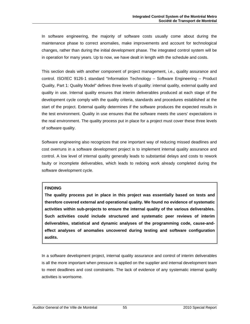In software engineering, the majority of software costs usually come about during the maintenance phase to correct anomalies, make improvements and account for technological changes, rather than during the initial development phase. The integrated control system will be in operation for many years. Up to now, we have dealt in length with the schedule and costs.

This section deals with another component of project management, i.e., quality assurance and control. ISO/IEC 9126-1 standard "Information Technology – Software Engineering – Product Quality, Part 1: Quality Model" defines three levels of quality: internal quality, external quality and quality in use. Internal quality ensures that interim deliverables produced at each stage of the development cycle comply with the quality criteria, standards and procedures established at the start of the project. External quality determines if the software produces the expected results in the test environment. Quality in use ensures that the software meets the users' expectations in the real environment. The quality process put in place for a project must cover these three levels of software quality.

Software engineering also recognizes that one important way of reducing missed deadlines and cost overruns in a software development project is to implement internal quality assurance and control. A low level of internal quality generally leads to substantial delays and costs to rework faulty or incomplete deliverables, which leads to redoing work already completed during the software development cycle.

#### **FINDING**

**The quality process put in place in this project was essentially based on tests and therefore covered external and operational quality. We found no evidence of systematic activities within sub-projects to ensure the internal quality of the various deliverables. Such activities could include structured and systematic peer reviews of interim deliverables, statistical and dynamic analyses of the programming code, cause-andeffect analyses of anomalies uncovered during testing and software configuration audits.** 

In a software development project, internal quality assurance and control of interim deliverables is all the more important when pressure is applied on the supplier and internal development team to meet deadlines and cost constraints. The lack of evidence of any systematic internal quality activities is worrisome.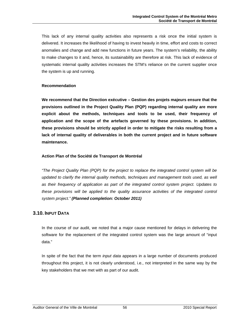This lack of any internal quality activities also represents a risk once the initial system is delivered. It increases the likelihood of having to invest heavily in time, effort and costs to correct anomalies and change and add new functions in future years. The system's reliability, the ability to make changes to it and, hence, its sustainability are therefore at risk. This lack of evidence of systematic internal quality activities increases the STM's reliance on the current supplier once the system is up and running.

## **Recommendation**

**We recommend that the Direction exécutive – Gestion des projets majeurs ensure that the provisions outlined in the Project Quality Plan (PQP) regarding internal quality are more explicit about the methods, techniques and tools to be used, their frequency of application and the scope of the artefacts governed by these provisions. In addition, these provisions should be strictly applied in order to mitigate the risks resulting from a lack of internal quality of deliverables in both the current project and in future software maintenance.** 

## **Action Plan of the Société de Transport de Montréal**

*"The Project Quality Plan (PQP) for the project to replace the integrated control system will be*  updated to clarify the internal quality methods, techniques and management tools used, as well *as their frequency of application as part of the integrated control system project. Updates to these provisions will be applied to the quality assurance activities of the integrated control system project." (Planned completion: October 2011)* 

# **3.10. INPUT DATA**

In the course of our audit, we noted that a major cause mentioned for delays in delivering the software for the replacement of the integrated control system was the large amount of "input data."

In spite of the fact that the term *input data* appears in a large number of documents produced throughout this project, it is not clearly understood, i.e., not interpreted in the same way by the key stakeholders that we met with as part of our audit.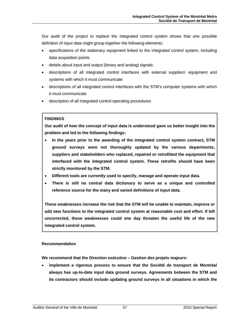Our audit of the project to replace the integrated control system shows that one possible definition of *input data* might group together the following elements:

- specifications of the stationary equipment linked to the integrated control system, including data acquisition points
- details about input and output (binary and analog) signals
- descriptions of all integrated control interfaces with external suppliers' equipment and systems with which it must communicate
- descriptions of all integrated control interfaces with the STM's computer systems with which it must communicate
- description of all integrated control operating procedures

# **FINDINGS**

**Our audit of how the concept of input data is understood gave us better insight into the problem and led to the following findings:** 

- **In the years prior to the awarding of the integrated control system contract, STM ground surveys were not thoroughly updated by the various departments, suppliers and stakeholders who replaced, repaired or retrofitted the equipment that interfaced with the integrated control system. These retrofits should have been strictly monitored by the STM.**
- **Different tools are currently used to specify, manage and operate input data.**
- **There is still no central data dictionary to serve as a unique and controlled reference source for the many and varied definitions of** *input data.*

**These weaknesses increase the risk that the STM will be unable to maintain, improve or add new functions to the integrated control system at reasonable cost and effort. If left uncorrected, these weaknesses could one day threaten the useful life of the new integrated control system.**

# **Recommendation**

**We recommend that the Direction exécutive – Gestion des projets majeurs:** 

• **implement a rigorous process to ensure that the Société de transport de Montréal always has up-to-date input data ground surveys. Agreements between the STM and its contractors should include updating ground surveys in all situations in which the**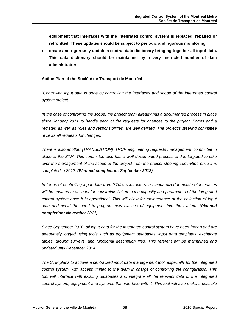**equipment that interfaces with the integrated control system is replaced, repaired or retrofitted. These updates should be subject to periodic and rigorous monitoring.** 

• **create and rigorously update a central data dictionary bringing together all input data. This data dictionary should be maintained by a very restricted number of data administrators.** 

## **Action Plan of the Société de Transport de Montréal**

*"Controlling input data is done by controlling the interfaces and scope of the integrated control system project.* 

*In the case of controlling the scope, the project team already has a documented process in place since January 2011 to handle each of the requests for changes to the project. Forms and a register, as well as roles and responsibilities, are well defined. The project's steering committee reviews all requests for changes.* 

*There is also another [TRANSLATION] 'TRCP engineering requests management' committee in place at the STM. This committee also has a well documented process and is targeted to take over the management of the scope of the project from the project steering committee once it is completed in 2012. (Planned completion: September 2012)* 

*In terms of controlling input data from STM's contractors, a standardized template of interfaces will be updated to account for constraints linked to the capacity and parameters of the integrated control system once it is operational. This will allow for maintenance of the collection of input*  data and avoid the need to program new classes of equipment into the system. (Planned *completion: November 2011)* 

*Since September 2010, all input data for the integrated control system have been frozen and are adequately logged using tools such as equipment databases, input data templates, exchange tables, ground surveys, and functional description files. This referent will be maintained and updated until December 2014.* 

*The STM plans to acquire a centralized input data management tool, especially for the integrated control system, with access limited to the team in charge of controlling the configuration. This tool will interface with existing databases and integrate all the relevant data of the integrated control system, equipment and systems that interface with it. This tool will also make it possible*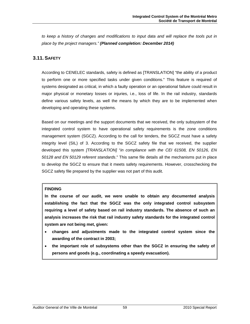*to keep a history of changes and modifications to input data and will replace the tools put in place by the project managers." (Planned completion: December 2014)* 

# **3.11. SAFETY**

According to CENELEC standards, safety is defined as [TRANSLATION] "the ability of a product to perform one or more specified tasks under given conditions." This feature is required of systems designated as critical, in which a faulty operation or an operational failure could result in major physical or monetary losses or injuries, i.e., loss of life. In the rail industry, standards define various safety levels, as well the means by which they are to be implemented when developing and operating these systems.

Based on our meetings and the support documents that we received, the only subsystem of the integrated control system to have operational safety requirements is the zone conditions management system (SGCZ). According to the call for tenders, the SGCZ must have a safety integrity level (SIL) of 3. According to the SGCZ safety file that we received, the supplier developed this system *[TRANSLATION]* "*in compliance with the CEI 61508, EN 50126, EN 50128 and EN 50129 referent standards*." This same file details all the mechanisms put in place to develop the SGCZ to ensure that it meets safety requirements. However, crosschecking the SGCZ safety file prepared by the supplier was not part of this audit.

#### **FINDING**

**In the course of our audit, we were unable to obtain any documented analysis establishing the fact that the SGCZ was the only integrated control subsystem requiring a level of safety based on rail industry standards. The absence of such an analysis increases the risk that rail industry safety standards for the integrated control system are not being met, given:** 

- **changes and adjustments made to the integrated control system since the awarding of the contract in 2003;**
- **the important role of subsystems other than the SGCZ in ensuring the safety of persons and goods (e.g., coordinating a speedy evacuation).**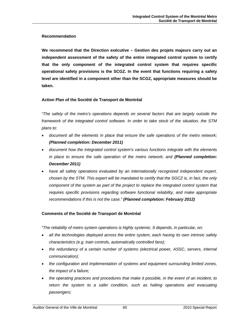#### **Recommendation**

**We recommend that the Direction exécutive – Gestion des projets majeurs carry out an independent assessment of the safety of the entire integrated control system to certify that the only component of the integrated control system that requires specific operational safety provisions is the SCGZ. In the event that functions requiring a safety level are identified in a component other than the SCGZ, appropriate measures should be taken.** 

#### **Action Plan of the Société de Transport de Montréal**

*"The safety of the metro's operations depends on several factors that are largely outside the framework of the integrated control software. In order to take stock of the situation, the STM plans to:* 

- *document all the elements in place that ensure the safe operations of the metro network; (Planned completion: December 2011)*
- *document how the integrated control system's various functions integrate with the elements*  in place to ensure the safe operation of the metro network; and **(Planned completion:** *December 2011)*
- *have all safety operations evaluated by an internationally recognized independent expert, chosen by the STM. This expert will be mandated to certify that the SGCZ is, in fact, the only component of the system as part of the project to replace the integrated control system that requires specific provisions regarding software functional reliability, and make appropriate recommendations if this is not the case." (Planned completion: February 2012)*

#### **Comments of the Société de Transport de Montréal**

*"The reliability of metro system operations is highly systemic. It depends, in particular, on:* 

- *all the technologies deployed across the entire system, each having its own intrinsic safety characteristics (e.g. train controls, automatically controlled fans);*
- *the redundancy of a certain number of systems (electrical power, ASSC, servers, internal communication);*
- *the configuration and implementation of systems and equipment surrounding limited zones, the impact of a failure;*
- *the operating practices and procedures that make it possible, in the event of an incident, to*  return the system to a safer condition, such as halting operations and evacuating *passengers;*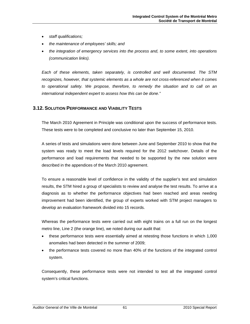- *staff qualifications;*
- *the maintenance of employees' skills; and*
- *the integration of emergency services into the process and, to some extent, into operations (communication links).*

*Each of these elements, taken separately, is controlled and well documented. The STM recognizes, however, that systemic elements as a whole are not cross-referenced when it comes to operational safety. We propose, therefore, to remedy the situation and to call on an international independent expert to assess how this can be done."* 

# **3.12. SOLUTION PERFORMANCE AND VIABILITY TESTS**

The March 2010 Agreement in Principle was conditional upon the success of performance tests. These tests were to be completed and conclusive no later than September 15, 2010.

A series of tests and simulations were done between June and September 2010 to show that the system was ready to meet the load levels required for the 2012 switchover. Details of the performance and load requirements that needed to be supported by the new solution were described in the appendices of the March 2010 agreement.

To ensure a reasonable level of confidence in the validity of the supplier's test and simulation results, the STM hired a group of specialists to review and analyse the test results. To arrive at a diagnosis as to whether the performance objectives had been reached and areas needing improvement had been identified, the group of experts worked with STM project managers to develop an evaluation framework divided into 15 records.

Whereas the performance tests were carried out with eight trains on a full run on the longest metro line, Line 2 (the orange line), we noted during our audit that:

- these performance tests were essentially aimed at retesting those functions in which 1,000 anomalies had been detected in the summer of 2009;
- the performance tests covered no more than 40% of the functions of the integrated control system.

Consequently, these performance tests were not intended to test all the integrated control system's critical functions.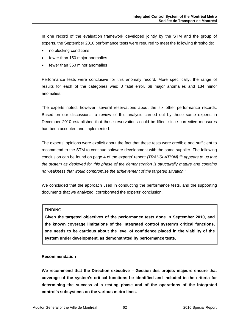In one record of the evaluation framework developed jointly by the STM and the group of experts, the September 2010 performance tests were required to meet the following thresholds:

- no blocking conditions
- fewer than 150 major anomalies
- fewer than 350 minor anomalies

Performance tests were conclusive for this anomaly record. More specifically, the range of results for each of the categories was: 0 fatal error, 68 major anomalies and 134 minor anomalies.

The experts noted, however, several reservations about the six other performance records. Based on our discussions, a review of this analysis carried out by these same experts in December 2010 established that these reservations could be lifted, since corrective measures had been accepted and implemented.

The experts' opinions were explicit about the fact that these tests were credible and sufficient to recommend to the STM to continue software development with the same supplier. The following conclusion can be found on page 4 of the experts' report: *[TRANSLATION] "it appears to us that the system as deployed for this phase of the demonstration is structurally mature and contains no weakness that would compromise the achievement of the targeted situation."*

We concluded that the approach used in conducting the performance tests, and the supporting documents that we analyzed, corroborated the experts' conclusion.

#### **FINDING**

**Given the targeted objectives of the performance tests done in September 2010, and the known coverage limitations of the integrated control system's critical functions, one needs to be cautious about the level of confidence placed in the viability of the system under development, as demonstrated by performance tests.**

#### **Recommendation**

**We recommend that the Direction exécutive – Gestion des projets majeurs ensure that coverage of the system's critical functions be identified and included in the criteria for determining the success of a testing phase and of the operations of the integrated control's subsystems on the various metro lines.**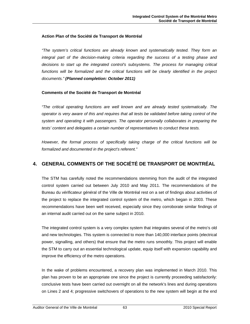#### **Action Plan of the Société de Transport de Montréal**

*"The system's critical functions are already known and systematically tested. They form an integral part of the decision-making criteria regarding the success of a testing phase and decisions to start up the integrated control's subsystems. The process for managing critical*  functions will be formalized and the critical functions will be clearly identified in the project *documents." (Planned completion: October 2011)* 

#### **Comments of the Société de Transport de Montréal**

*"The critical operating functions are well known and are already tested systematically. The operator is very aware of this and requires that all tests be validated before taking control of the system and operating it with passengers. The operator personally collaborates in preparing the tests' content and delegates a certain number of representatives to conduct these tests.* 

*However, the formal process of specifically taking charge of the critical functions will be formalized and documented in the project's referent."* 

# **4. GENERAL COMMENTS OF THE SOCIÉTÉ DE TRANSPORT DE MONTRÉAL**

The STM has carefully noted the recommendations stemming from the audit of the integrated control system carried out between July 2010 and May 2011. The recommendations of the Bureau du vérificateur général of the Ville de Montréal rest on a set of findings about activities of the project to replace the integrated control system of the metro, which began in 2003. These recommendations have been well received, especially since they corroborate similar findings of an internal audit carried out on the same subject in 2010.

The integrated control system is a very complex system that integrates several of the metro's old and new technologies. This system is connected to more than 140,000 interface points (electrical power, signalling, and others) that ensure that the metro runs smoothly. This project will enable the STM to carry out an essential technological update, equip itself with expansion capability and improve the efficiency of the metro operations.

In the wake of problems encountered, a recovery plan was implemented in March 2010. This plan has proven to be an appropriate one since the project is currently proceeding satisfactorily: conclusive tests have been carried out overnight on all the network's lines and during operations on Lines 2 and 4; progressive switchovers of operations to the new system will begin at the end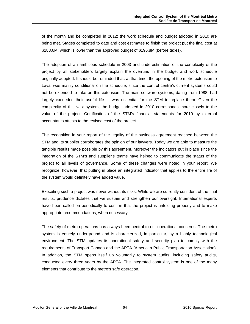of the month and be completed in 2012; the work schedule and budget adopted in 2010 are being met. Stages completed to date and cost estimates to finish the project put the final cost at \$188.6M, which is lower than the approved budget of \$196.8M (before taxes).

The adoption of an ambitious schedule in 2003 and underestimation of the complexity of the project by all stakeholders largely explain the overruns in the budget and work schedule originally adopted. It should be reminded that, at that time, the opening of the metro extension to Laval was mainly conditional on the schedule, since the control centre's current systems could not be extended to take on this extension. The main software systems, dating from 1988, had largely exceeded their useful life. It was essential for the STM to replace them. Given the complexity of this vast system, the budget adopted in 2010 corresponds more closely to the value of the project. Certification of the STM's financial statements for 2010 by external accountants attests to the revised cost of the project.

The recognition in your report of the legality of the business agreement reached between the STM and its supplier corroborates the opinion of our lawyers. Today we are able to measure the tangible results made possible by this agreement. Moreover the indicators put in place since the integration of the STM's and supplier's teams have helped to communicate the status of the project to all levels of governance. Some of these changes were noted in your report. We recognize, however, that putting in place an integrated indicator that applies to the entire life of the system would definitely have added value.

Executing such a project was never without its risks. While we are currently confident of the final results, prudence dictates that we sustain and strengthen our oversight. International experts have been called on periodically to confirm that the project is unfolding properly and to make appropriate recommendations, when necessary.

The safety of metro operations has always been central to our operational concerns. The metro system is entirely underground and is characterized, in particular, by a highly technological environment. The STM updates its operational safety and security plan to comply with the requirements of Transport Canada and the APTA (American Public Transportation Association). In addition, the STM opens itself up voluntarily to system audits, including safety audits, conducted every three years by the APTA. The integrated control system is one of the many elements that contribute to the metro's safe operation.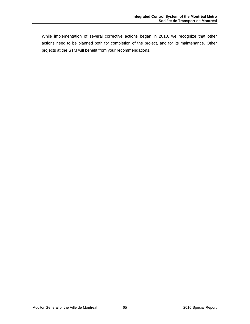While implementation of several corrective actions began in 2010, we recognize that other actions need to be planned both for completion of the project, and for its maintenance. Other projects at the STM will benefit from your recommendations.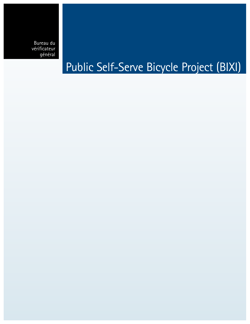Bureau du vérificateur général

# Public Self-Serve Bicycle Project (BIXI)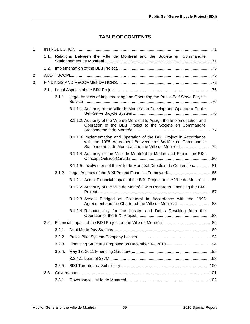# **TABLE OF CONTENTS**

| 1. |      |        |                                                                                                                                            |  |  |  |
|----|------|--------|--------------------------------------------------------------------------------------------------------------------------------------------|--|--|--|
|    | 1.1. |        | Relations Between the Ville de Montréal and the Société en Commandite                                                                      |  |  |  |
|    | 1.2. |        |                                                                                                                                            |  |  |  |
| 2. |      |        |                                                                                                                                            |  |  |  |
| 3. |      |        |                                                                                                                                            |  |  |  |
|    | 3.1. |        |                                                                                                                                            |  |  |  |
|    |      | 3.1.1. | Legal Aspects of Implementing and Operating the Public Self-Serve Bicycle                                                                  |  |  |  |
|    |      |        | 3.1.1.1. Authority of the Ville de Montréal to Develop and Operate a Public                                                                |  |  |  |
|    |      |        | 3.1.1.2. Authority of the Ville de Montréal to Assign the Implementation and<br>Operation of the BIXI Project to the Société en Commandite |  |  |  |
|    |      |        | 3.1.1.3. Implementation and Operation of the BIXI Project in Accordance<br>with the 1995 Agreement Between the Société en Commandite       |  |  |  |
|    |      |        | 3.1.1.4. Authority of the Ville de Montréal to Market and Export the BIXI                                                                  |  |  |  |
|    |      |        | 3.1.1.5. Involvement of the Ville de Montréal Direction du Contentieux 81                                                                  |  |  |  |
|    |      | 3.1.2. |                                                                                                                                            |  |  |  |
|    |      |        | 3.1.2.1. Actual Financial Impact of the BIXI Project on the Ville de Montréal85                                                            |  |  |  |
|    |      |        | 3.1.2.2. Authority of the Ville de Montréal with Regard to Financing the BIXI                                                              |  |  |  |
|    |      |        | 3.1.2.3. Assets Pledged as Collateral in Accordance with the 1995                                                                          |  |  |  |
|    |      |        | 3.1.2.4. Responsibility for the Losses and Debts Resulting from the                                                                        |  |  |  |
|    | 3.2. |        |                                                                                                                                            |  |  |  |
|    |      |        |                                                                                                                                            |  |  |  |
|    |      | 3.2.2. |                                                                                                                                            |  |  |  |
|    |      | 3.2.3. |                                                                                                                                            |  |  |  |
|    |      | 3.2.4. |                                                                                                                                            |  |  |  |
|    |      |        |                                                                                                                                            |  |  |  |
|    |      | 3.2.5. |                                                                                                                                            |  |  |  |
|    | 3.3. |        |                                                                                                                                            |  |  |  |
|    |      | 3.3.1. |                                                                                                                                            |  |  |  |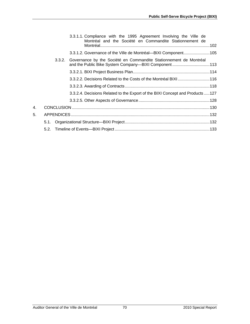|    |        | 3.3.1.1. Compliance with the 1995 Agreement Involving the Ville de<br>Montréal and the Société en Commandite Stationnement de |  |
|----|--------|-------------------------------------------------------------------------------------------------------------------------------|--|
|    |        | 3.3.1.2. Governance of the Ville de Montréal-BIXI Component105                                                                |  |
|    | 3.3.2. | Governance by the Société en Commandite Stationnement de Montréal<br>and the Public Bike System Company—BIXI Component113     |  |
|    |        |                                                                                                                               |  |
|    |        | 3.3.2.2. Decisions Related to the Costs of the Montréal BIXI  116                                                             |  |
|    |        |                                                                                                                               |  |
|    |        | 3.3.2.4. Decisions Related to the Export of the BIXI Concept and Products127                                                  |  |
|    |        |                                                                                                                               |  |
| 4. |        |                                                                                                                               |  |
| 5. |        |                                                                                                                               |  |
|    | 5.1.   |                                                                                                                               |  |
|    |        |                                                                                                                               |  |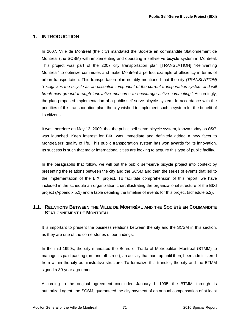# **1. INTRODUCTION**

In 2007, Ville de Montréal (the city) mandated the Société en commandite Stationnement de Montréal (the SCSM) with implementing and operating a self-serve bicycle system in Montréal. This project was part of the 2007 city transportation plan [TRANSLATION] "Reinventing Montréal" to optimize commutes and make Montréal a perfect example of efficiency in terms of urban transportation. This transportation plan notably mentioned that the city *[TRANSLATION] "recognizes the bicycle as an essential component of the current transportation system and will break new ground through innovative measures to encourage active commuting*." Accordingly, the plan proposed implementation of a public self-serve bicycle system. In accordance with the priorities of this transportation plan, the city wished to implement such a system for the benefit of its citizens.

It was therefore on May 12, 2009, that the public self-serve bicycle system, known today as *BIXI,* was launched. Keen interest for BIXI was immediate and definitely added a new facet to Montrealers' quality of life. This public transportation system has won awards for its innovation. Its success is such that major international cities are looking to acquire this type of public facility.

In the paragraphs that follow, we will put the public self-serve bicycle project into context by presenting the relations between the city and the SCSM and then the series of events that led to the implementation of the BIXI project. To facilitate comprehension of this report, we have included in the schedule an organization chart illustrating the organizational structure of the BIXI project (Appendix 5.1) and a table detailing the timeline of events for this project (schedule 5.2).

# **1.1. RELATIONS BETWEEN THE VILLE DE MONTRÉAL AND THE SOCIÉTÉ EN COMMANDITE STATIONNEMENT DE MONTRÉAL**

It is important to present the business relations between the city and the SCSM in this section, as they are one of the cornerstones of our findings.

In the mid 1990s, the city mandated the Board of Trade of Metropolitan Montreal (BTMM) to manage its paid parking (on- and off-street), an activity that had, up until then, been administered from within the city administrative structure. To formalize this transfer, the city and the BTMM signed a 30-year agreement.

According to the original agreement concluded January 1, 1995, the BTMM, through its authorized agent, the SCSM, guaranteed the city payment of an annual compensation of at least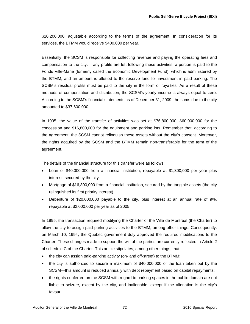\$10,200,000, adjustable according to the terms of the agreement. In consideration for its services, the BTMM would receive \$400,000 per year.

Essentially, the SCSM is responsible for collecting revenue and paying the operating fees and compensation to the city. If any profits are left following these activities, a portion is paid to the Fonds Ville-Marie (formerly called the Economic Development Fund), which is administered by the BTMM, and an amount is allotted to the reserve fund for investment in paid parking. The SCSM's residual profits must be paid to the city in the form of royalties. As a result of these methods of compensation and distribution, the SCSM's yearly income is always equal to zero. According to the SCSM's financial statements as of December 31, 2009, the sums due to the city amounted to \$37,600,000.

In 1995, the value of the transfer of activities was set at \$76,800,000, \$60,000,000 for the concession and \$16,800,000 for the equipment and parking lots. Remember that, according to the agreement, the SCSM cannot relinquish these assets without the city's consent. Moreover, the rights acquired by the SCSM and the BTMM remain non-transferable for the term of the agreement.

The details of the financial structure for this transfer were as follows:

- Loan of \$40,000,000 from a financial institution, repayable at \$1,300,000 per year plus interest, secured by the city.
- Mortgage of \$16,800,000 from a financial institution, secured by the tangible assets (the city relinquished its first priority interest).
- Debenture of \$20,000,000 payable to the city, plus interest at an annual rate of 9%, repayable at \$2,000,000 per year as of 2005.

In 1995, the transaction required modifying the Charter of the Ville de Montréal (the Charter) to allow the city to assign paid parking activities to the BTMM, among other things. Consequently, on March 10, 1994, the Québec government duly approved the required modifications to the Charter. These changes made to support the will of the parties are currently reflected in Article 2 of schedule C of the Charter. This article stipulates, among other things, that:

- the city can assign paid-parking activity (on- and off-street) to the BTMM;
- the city is authorized to secure a maximum of \$40,000,000 of the loan taken out by the SCSM—this amount is reduced annually with debt repayment based on capital repayments;
- the rights conferred on the SCSM with regard to parking spaces in the public domain are not liable to seizure, except by the city, and inalienable, except if the alienation is the city's favour;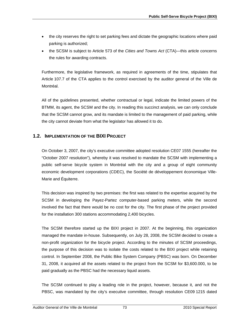- the city reserves the right to set parking fees and dictate the geographic locations where paid parking is authorized;
- the SCSM is subject to Article 573 of the *Cities and Towns Act* (CTA)—this article concerns the rules for awarding contracts.

Furthermore, the legislative framework, as required in agreements of the time, stipulates that Article 107.7 of the CTA applies to the control exercised by the auditor general of the Ville de Montréal.

All of the guidelines presented, whether contractual or legal, indicate the limited powers of the BTMM, its agent, the SCSM and the city. In reading this succinct analysis, we can only conclude that the SCSM cannot grow, and its mandate is limited to the management of paid parking, while the city cannot deviate from what the legislator has allowed it to do.

# **1.2. IMPLEMENTATION OF THE BIXI PROJECT**

On October 3, 2007, the city's executive committee adopted resolution CE07 1555 (hereafter the "October 2007 resolution"), whereby it was resolved to mandate the SCSM with implementing a public self-serve bicycle system in Montréal with the city and a group of eight community economic development corporations (CDEC), the Société de développement économique Ville-Marie and Équiterre.

This decision was inspired by two premises: the first was related to the expertise acquired by the SCSM in developing the Payez-Partez computer-based parking meters, while the second involved the fact that there would be no cost for the city. The first phase of the project provided for the installation 300 stations accommodating 2,400 bicycles.

The SCSM therefore started up the BIXI project in 2007. At the beginning, this organization managed the mandate in-house. Subsequently, on July 28, 2008, the SCSM decided to create a non-profit organization for the bicycle project. According to the minutes of SCSM proceedings, the purpose of this decision was to isolate the costs related to the BIXI project while retaining control. In September 2008, the Public Bike System Company (PBSC) was born. On December 31, 2008, it acquired all the assets related to the project from the SCSM for \$3,600.000, to be paid gradually as the PBSC had the necessary liquid assets.

The SCSM continued to play a leading role in the project, however, because it, and not the PBSC, was mandated by the city's executive committee, through resolution CE09 1215 dated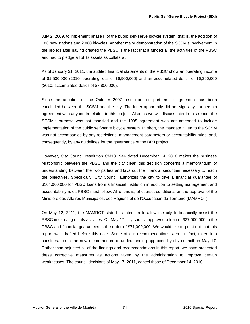July 2, 2009, to implement phase II of the public self-serve bicycle system, that is, the addition of 100 new stations and 2,000 bicycles. Another major demonstration of the SCSM's involvement in the project after having created the PBSC is the fact that it funded all the activities of the PBSC and had to pledge all of its assets as collateral.

As of January 31, 2011, the audited financial statements of the PBSC show an operating income of \$1,500,000 (2010: operating loss of \$6,900,000) and an accumulated deficit of \$6,300,000 (2010: accumulated deficit of \$7,800,000).

Since the adoption of the October 2007 resolution, no partnership agreement has been concluded between the SCSM and the city. The latter apparently did not sign any partnership agreement with anyone in relation to this project. Also, as we will discuss later in this report, the SCSM's purpose was not modified and the 1995 agreement was not amended to include implementation of the public self-serve bicycle system. In short, the mandate given to the SCSM was not accompanied by any restrictions, management parameters or accountability rules, and, consequently, by any guidelines for the governance of the BIXI project.

However, City Council resolution CM10 0944 dated December 14, 2010 makes the business relationship between the PBSC and the city clear: this decision concerns a memorandum of understanding between the two parties and lays out the financial securities necessary to reach the objectives. Specifically, City Council authorizes the city to give a financial guarantee of \$104,000,000 for PBSC loans from a financial institution in addition to setting management and accountability rules PBSC must follow. All of this is, of course, conditional on the approval of the Ministère des Affaires Municipales, des Régions et de l'Occupation du Territoire (MAMROT).

On May 12, 2011, the MAMROT stated its intention to allow the city to financially assist the PBSC in carrying out its activities. On May 17, city council approved a loan of \$37,000,000 to the PBSC and financial guarantees in the order of \$71,000,000. We would like to point out that this report was drafted before this date. Some of our recommendations were, in fact, taken into consideration in the new memorandum of understanding approved by city council on May 17. Rather than adjusted all of the findings and recommendations in this report, we have presented these corrective measures as actions taken by the administration to improve certain weaknesses. The council decisions of May 17, 2011, cancel those of December 14, 2010.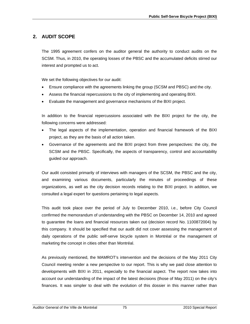# **2. AUDIT SCOPE**

The 1995 agreement confers on the auditor general the authority to conduct audits on the SCSM. Thus, in 2010, the operating losses of the PBSC and the accumulated deficits stirred our interest and prompted us to act.

We set the following objectives for our audit:

- Ensure compliance with the agreements linking the group (SCSM and PBSC) and the city.
- Assess the financial repercussions to the city of implementing and operating BIXI.
- Evaluate the management and governance mechanisms of the BIXI project.

In addition to the financial repercussions associated with the BIXI project for the city, the following concerns were addressed:

- The legal aspects of the implementation, operation and financial framework of the BIXI project, as they are the basis of all action taken.
- Governance of the agreements and the BIXI project from three perspectives: the city, the SCSM and the PBSC. Specifically, the aspects of transparency, control and accountability guided our approach.

Our audit consisted primarily of interviews with managers of the SCSM, the PBSC and the city, and examining various documents, particularly the minutes of proceedings of these organizations, as well as the city decision records relating to the BIXI project. In addition, we consulted a legal expert for questions pertaining to legal aspects.

This audit took place over the period of July to December 2010, i.e., before City Council confirmed the memorandum of understanding with the PBSC on December 14, 2010 and agreed to guarantee the loans and financial resources taken out (decision record No. 1100872004) by this company. It should be specified that our audit did not cover assessing the management of daily operations of the public self-serve bicycle system in Montréal or the management of marketing the concept in cities other than Montréal.

As previously mentioned, the MAMROT's intervention and the decisions of the May 2011 City Council meeting render a new perspective to our report. This is why we paid close attention to developments with BIXI in 2011, especially to the financial aspect. The report now takes into account our understanding of the impact of the latest decisions (those of May 2011) on the city's finances. It was simpler to deal with the evolution of this dossier in this manner rather than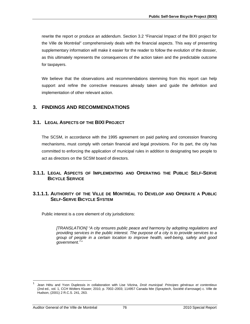rewrite the report or produce an addendum. Section 3.2 "Financial Impact of the BIXI project for the Ville de Montréal" comprehensively deals with the financial aspects. This way of presenting supplementary information will make it easier for the reader to follow the evolution of the dossier, as this ultimately represents the consequences of the action taken and the predictable outcome for taxpayers.

We believe that the observations and recommendations stemming from this report can help support and refine the corrective measures already taken and guide the definition and implementation of other relevant action.

## **3. FINDINGS AND RECOMMENDATIONS**

## **3.1. LEGAL ASPECTS OF THE BIXI PROJECT**

The SCSM, in accordance with the 1995 agreement on paid parking and concession financing mechanisms, must comply with certain financial and legal provisions. For its part, the city has committed to enforcing the application of municipal rules in addition to designating two people to act as directors on the SCSM board of directors.

## **3.1.1. LEGAL ASPECTS OF IMPLEMENTING AND OPERATING THE PUBLIC SELF-SERVE BICYCLE SERVICE**

## **3.1.1.1. AUTHORITY OF THE VILLE DE MONTRÉAL TO DEVELOP AND OPERATE A PUBLIC SELF-SERVE BICYCLE SYSTEM**

Public interest is a core element of city jurisdictions:

*[TRANSLATION] "A city ensures public peace and harmony by adopting regulations and providing services in the public interest. The purpose of a city is to provide services to a group of people in a certain location to improve health, well-being, safety and good government.[1](#page-77-0) "* 

l

<span id="page-77-0"></span><sup>1</sup> Jean Hétu and Yvon Duplessis in collaboration with Lise Vézina, *Droit municipal: Principes généraux et contentieux*  (2nd ed., vol. 1, CCH Wolters Kluwer; 2010, p. 7002–2003; 114957 Canada ltée (Spraytech, Société d'arrosage) c. Ville de Hudson, (2001) 2 R.C.S. 241, 263.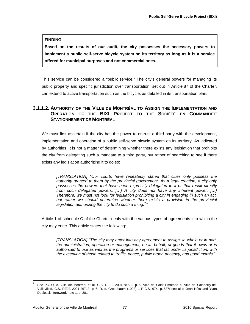### **FINDING**

**Based on the results of our audit, the city possesses the necessary powers to implement a public self-serve bicycle system on its territory as long as it is a service offered for municipal purposes and not commercial ones.** 

This service can be considered a "public service." The city's general powers for managing its public property and specific jurisdiction over transportation, set out in Article 87 of the Charter, can extend to active transportation such as the bicycle, as detailed in its transportation plan.

# **3.1.1.2. AUTHORITY OF THE VILLE DE MONTRÉAL TO ASSIGN THE IMPLEMENTATION AND OPERATION OF THE BIXI PROJECT TO THE SOCIÉTÉ EN COMMANDITE STATIONNEMENT DE MONTRÉAL**

We must first ascertain if the city has the power to entrust a third party with the development, implementation and operation of a public self-serve bicycle system on its territory. As indicated by authorities, it is not a matter of determining whether there exists any legislation that prohibits the city from delegating such a mandate to a third party, but rather of searching to see if there exists any legislation authorizing it to do so:

*[TRANSLATION] "Our courts have repeatedly stated that cities only possess the authority granted to them by the provincial government. As a legal creation, a city only possesses the powers that have been expressly delegated to it or that result directly from such delegated powers. […] A city does not have any inherent power. […] Therefore, we must not look for legislation prohibiting a city in engaging in such an act,*  but rather we should determine whether there exists a provision in the provincial legislation authorizing the city to do such a thing.<sup>[2](#page-78-0)</sup>"

Article 1 of schedule C of the Charter deals with the various types of agreements into which the city may enter. This article states the following:

*[TRANSLATION] "The city may enter into any agreement to assign, in whole or in part, the administration, operation or management, on its behalf, of goods that it owns or is authorized to use as well as the programs or services that fall under its jurisdiction, with the exception of those related to traffic, peace, public order, decency, and good morals."* 

l

<span id="page-78-0"></span><sup>2</sup> See P.G.Q. c. Ville de Montréal et al. C.S. REJB 2004-68778, p. 5; Ville de Saint-Timothée c. Ville de Salaberry-de-Valleyfield, C.S. REJB 2001-26713, p. 6; R. c. Greenbaum (1993) 1 R.C.S. 674, p. 687; see also Jean Hétu and Yvon Duplessis, foreword, note 1, p. 281.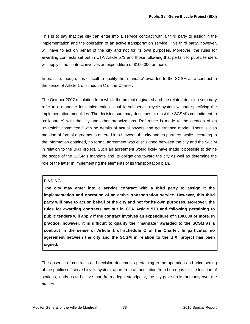This is to say that the city can enter into a service contract with a third party to assign it the implementation and the operation of an active transportation service. This third party, however, will have to act on behalf of the city and not for its own purposes. Moreover, the rules for awarding contracts set out in CTA Article 573 and those following that pertain to public tenders will apply if the contract involves an expenditure of \$100,000 or more.

In practice, though, it is difficult to qualify the "mandate" awarded to the SCSM as a contract in the sense of Article 1 of schedule C of the Charter.

The October 2007 resolution from which the project originated and the related decision summary refer to a mandate for implementing a public self-serve bicycle system without specifying the implementation modalities. The decision summary describes at most the SCSM's commitment to "collaborate" with the city and other organizations. Reference is made to the creation of an "oversight committee," with no details of actual powers and governance model. There is also mention of formal agreements entered into between the city and its partners, while according to the information obtained, no formal agreement was ever signed between the city and the SCSM in relation to the BIXI project. Such an agreement would likely have made it possible to define the scope of the SCSM's mandate and its obligations toward the city as well as determine the role of the latter in implementing the elements of its transportation plan.

## **FINDING**

**The city may enter into a service contract with a third party to assign it the implementation and operation of an active transportation service. However, this third party will have to act on behalf of the city and not for its own purposes. Moreover, the rules for awarding contracts set out in CTA Article 573 and following pertaining to public tenders will apply if the contract involves an expenditure of \$100,000 or more. In practice, however, it is difficult to qualify the "mandate" awarded to the SCSM as a contract in the sense of Article 1 of schedule C of the Charter. In particular, no agreement between the city and the SCSM in relation to the BIXI project has been signed.** 

The absence of contracts and decision documents pertaining to the operation and price setting of the public self-serve bicycle system, apart from authorization from boroughs for the location of stations, leads us to believe that, from a legal standpoint, the city gave up its authority over the project.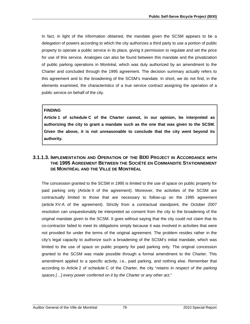In fact, in light of the information obtained, the mandate given the SCSM appears to be a delegation of powers according to which the city authorizes a third party to use a portion of public property to operate a public service in its place, giving it permission to regulate and set the price for use of this service. Analogies can also be found between this mandate and the privatization of public parking operations in Montréal, which was duly authorized by an amendment to the Charter and concluded through the 1995 agreement. The decision summary actually refers to this agreement and to the broadening of the SCSM's mandate. In short, we do not find, in the elements examined, the characteristics of a true service contract assigning the operation of a public service on behalf of the city.

## **FINDING**

**Article 1 of schedule C of the Charter cannot, in our opinion, be interpreted as authorizing the city to grant a mandate such as the one that was given to the SCSM. Given the above, it is not unreasonable to conclude that the city went beyond its authority.** 

## **3.1.1.3. IMPLEMENTATION AND OPERATION OF THE BIXI PROJECT IN ACCORDANCE WITH THE 1995 AGREEMENT BETWEEN THE SOCIÉTÉ EN COMMANDITE STATIONNEMENT DE MONTRÉAL AND THE VILLE DE MONTRÉAL**

The concession granted to the SCSM in 1995 is limited to the use of space on public property for paid parking only (Article II of the agreement). Moreover, the activities of the SCSM are contractually limited to those that are necessary to follow-up on the 1995 agreement (article XV-A of the agreement). Strictly from a contractual standpoint, the October 2007 resolution can unquestionably be interpreted as consent from the city to the broadening of the original mandate given to the SCSM. It goes without saying that the city could not claim that its co-contractor failed to meet its obligations simply because it was involved in activities that were not provided for under the terms of the original agreement. The problem resides rather in the city's legal capacity to authorize such a broadening of the SCSM's initial mandate, which was limited to the use of space on public property for paid parking only. The original concession granted to the SCSM was made possible through a formal amendment to the Charter. This amendment applied to a specific activity, i.e., paid parking, and nothing else. Remember that according to Article 2 of schedule C of the Charter, the city "*retains in respect of the parking spaces […] every power conferred on it by the Charter or any other act*."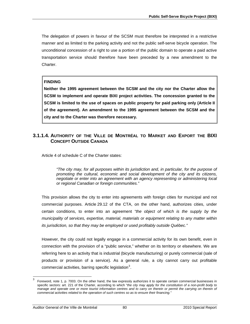The delegation of powers in favour of the SCSM must therefore be interpreted in a restrictive manner and as limited to the parking activity and not the public self-serve bicycle operation. The unconditional concession of a right to use a portion of the public domain to operate a paid active transportation service should therefore have been preceded by a new amendment to the Charter.

#### **FINDING**

**Neither the 1995 agreement between the SCSM and the city nor the Charter allow the SCSM to implement and operate BIXI project activities. The concession granted to the SCSM is limited to the use of spaces on public property for paid parking only (Article II of the agreement). An amendment to the 1995 agreement between the SCSM and the city and to the Charter was therefore necessary.** 

## **3.1.1.4. AUTHORITY OF THE VILLE DE MONTRÉAL TO MARKET AND EXPORT THE BIXI CONCEPT OUTSIDE CANADA**

Article 4 of schedule C of the Charter states:

*"The city may, for all purposes within its jurisdiction and, in particular, for the purpose of promoting the cultural, economic and social development of the city and its citizens, negotiate or enter into an agreement with an agency representing or administering local or regional Canadian or foreign communities."* 

This provision allows the city to enter into agreements with foreign cities for municipal and not commercial purposes. Article 29.12 of the CTA, on the other hand, authorizes cities, under certain conditions, to enter into an agreement *"the object of which is the supply by the municipality of services, expertise, material, materials or equipment relating to any matter within its jurisdiction, so that they may be employed or used profitably outside Québec."* 

However, the city could not legally engage in a commercial activity for its own benefit, even in connection with the provision of a "public service," whether on its territory or elsewhere. We are referring here to an activity that is industrial (bicycle manufacturing) or purely commercial (sale of products or provision of a service). As a general rule, a city cannot carry out profitable commercial activities, barring specific legislation<sup>[3](#page-81-0)</sup>.

l

<span id="page-81-0"></span><sup>3</sup> Foreword, note 1, p. 7003. On the other hand, the law expressly authorizes it to operate certain commercial businesses in specific sectors: art. 221 of the Charter, according to which "*the city may apply for the constitution of a non-profit body to manage and operate one or more tourist information centres and to carry on therein or permit the carrying on therein of commercial activities related to the operation of such centres so as to ensure their financing."*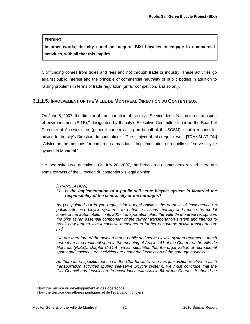#### **FINDING**

**In other words, the city could not acquire BIXI bicycles to engage in commercial activities, with all that this implies.** 

City funding comes from taxes and fees and not through trade or industry. These activities go against public interest and the principle of commercial neutrality of public bodies in addition to raising problems in terms of trade regulation (unfair competition, and so on.).

## **3.1.1.5. INVOLVEMENT OF THE VILLE DE MONTRÉAL DIRECTION DU CONTENTIEUX**

On June 5, 2007, the director of transportation of the city's Service des infrastructures, transport et environnement (SITE),<sup>[4](#page-82-0)</sup> designated by the city's Executive Committee to sit on the Board of Directors of Accesum Inc. (general partner acting on behalf of the SCSM), sent a request for advice to the city's Direction du contentieux.<sup>[5](#page-82-1)</sup> The subject of this request was: [TRANSLATION] "Advice on the methods for conferring a mandate—Implementation of a public self-serve bicycle system in Montréal."

He then asked two questions. On July 20, 2007, the Direction du contentieux replied. Here are some extracts of the Direction du contentieux's legal opinion:

#### *[TRANSLATION]*

#### *"1. Is the implementation of a public self-serve bicycle system in Montréal the responsibility of the central city or the boroughs?*

*As you pointed out in you request for a legal opinion, the purpose of implementing a public self-serve bicycle system is to 'enhance citizens' mobility and reduce the modal share of the automobile.' In its 2007 transportation plan, the Ville de Montréal recognizes the bike as 'an essential component of the current transportation system and intends to break new ground with innovative measures to further encourage active transportation' […].* 

*We are therefore of the opinion that a public self-serve bicycle system represents much more than a recreational sport in the meaning of Article 141 of the Charter of the Ville de Montréal (R.S.Q., chapter C-11.4), which stipulates that the organization of recreational sports and sociocultural activities are under the jurisdiction of the borough councils.* 

*As there is no specific mention in the Charter as to who has jurisdiction relative to such transportation activities (public self-serve bicycle system), we must conclude that the City Council has jurisdiction, in accordance with Article 84 of the Charter. It should be* 

l

<span id="page-82-0"></span><sup>4</sup> Now the Service du développement et des opérations. <sup>5</sup>

<span id="page-82-1"></span>Now the Service des affaires juridiques et de l'évaluation foncière.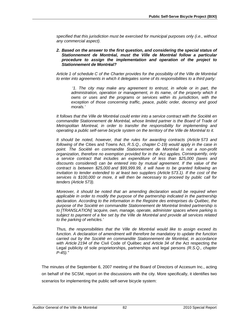*specified that this jurisdiction must be exercised for municipal purposes only (i.e., without any commercial aspect).* 

#### *2. Based on the answer to the first question, and considering the special status of Stationnement de Montréal, must the Ville de Montréal follow a particular procedure to assign the implementation and operation of the project to Stationnement de Montréal?*

*Article 1 of schedule C of the Charter provides for the possibility of the Ville de Montréal to enter into agreements in which it delegates some of its responsibilities to a third party:* 

 *'1. The city may make any agreement to entrust, in whole or in part, the*  administration, operation or management, in its name, of the property which it *owns or uses and the programs or services within its jurisdiction, with the exception of those concerning traffic, peace, public order, decency and good morals.'* 

*It follows that the Ville de Montréal could enter into a service contract with the Société en*  commandite Stationnement de Montréal, whose limited partner is the Board of Trade of *Metropolitan Montreal, in order to transfer the responsibility for implementing and operating a public self-serve bicycle system on the territory of the Ville de Montréal to it.* 

*It should be noted, however, that the rules for awarding contracts (Article 573 and following of the* Cities and Towns Act, *R.S.Q., chapter C-19) would apply in the case in point. The Société en commandite Stationnement de Montréal is not a non-profit organization, therefore no exemption provided for in the Act applies. Consequently, only a service contract that includes an expenditure of less than \$25,000 (taxes and discounts considered) can be entered into by mutual agreement. If the value of the contract is between \$25,000 and \$99,999.99, it will have to be granted following an invitation to tender extended to at least two suppliers (Article 573.1). If the cost of the services is \$100,000 or more, it will then be necessary to proceed by public call for tenders (Article 573).* 

*Moreover, it should be noted that an amending declaration would be required when applicable in order to modify the purpose of the partnership indicated in the partnership declaration. According to the information in the Registre des entreprises du Québec, the purpose of the Société en commandite Stationnement de Montréal limited partnership is to [TRANSLATION] 'acquire, own, manage, operate, administer spaces where parking is subject to payment of a fee set by the Ville de Montréal and provide all services related to the parking of vehicles.'* 

*Thus, the responsibilities that the Ville de Montréal would like to assign exceed its function. A declaration of amendment will therefore be mandatory to update the function carried out by the Société en commandite Stationnement de Montréal, in accordance with Article 2194 of the* Civil Code of Québec *and Article 34 of the* Act respecting the Legal publicity of sole proprietorships, partnerships and legal persons *(R.S.Q., chapter P-45)."* 

The minutes of the September 6, 2007 meeting of the Board of Directors of Accesum Inc., acting on behalf of the SCSM, report on the discussions with the city. More specifically, it identifies two scenarios for implementing the public self-serve bicycle system: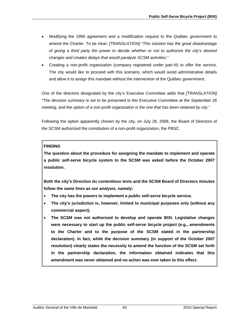- Modifying the 1995 agreement and a modification request to the Québec government to amend the Charter. To be clear: *[TRANSLATION] "This solution has the great disadvantage of giving a third party the power to decide whether or not to authorize the city's desired changes and creates delays that would paralyze SCSM activities."*
- Creating a non-profit organization (company registered under part III) to offer the service. The city would like to proceed with this scenario, which would avoid administrative details and allow it to assign this mandate without the intervention of the Québec government.

One of the directors designated by the city's Executive Committee adds that *[TRANSLATION] "The decision summary is set to be presented to the Executive Committee at the September 26 meeting, and the option of a non-profit organization is the one that has been retained by city."*

Following the option apparently chosen by the city, on July 28, 2008, the Board of Directors of the SCSM authorized the constitution of a non-profit organization, the PBSC.

## **FINDING**

**The question about the procedure for assigning the mandate to implement and operate a public self-serve bicycle system to the SCSM was asked before the October 2007 resolution.** 

**Both the city's Direction du contentieux texts and the SCSM Board of Directors minutes follow the same lines as our analysis, namely:** 

- **The city has the powers to implement a public self-serve bicycle service.**
- **The city's jurisdiction is, however, limited to municipal purposes only (without any commercial aspect).**
- **The SCSM was not authorized to develop and operate BIXI. Legislative changes were necessary to start up the public self-serve bicycle project (e.g., amendments to the Charter and to the purpose of the SCSM stated in the partnership declaration). In fact, while the decision summary (in support of the October 2007 resolution) clearly states the necessity to amend the function of the SCSM set forth in the partnership declaration, the information obtained indicates that this amendment was never obtained and no action was ever taken to this effect.**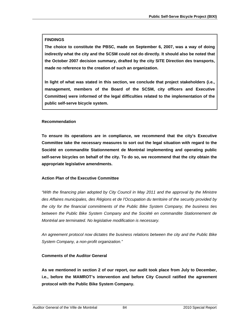## **FINDINGS**

**The choice to constitute the PBSC, made on September 6, 2007, was a way of doing indirectly what the city and the SCSM could not do directly. It should also be noted that the October 2007 decision summary, drafted by the city SITE Direction des transports, made no reference to the creation of such an organization.** 

**In light of what was stated in this section, we conclude that project stakeholders (i.e., management, members of the Board of the SCSM, city officers and Executive Committee) were informed of the legal difficulties related to the implementation of the public self-serve bicycle system.** 

## **Recommendation**

**To ensure its operations are in compliance, we recommend that the city's Executive Committee take the necessary measures to sort out the legal situation with regard to the Société en commandite Stationnement de Montréal implementing and operating public self-serve bicycles on behalf of the city. To do so, we recommend that the city obtain the appropriate legislative amendments.** 

## **Action Plan of the Executive Committee**

*"With the financing plan adopted by City Council in May 2011 and the approval by the Ministre des Affaires municipales, des Régions et de l'Occupation du territoire of the security provided by the city for the financial commitments of the Public Bike System Company, the business ties*  between the Public Bike System Company and the Société en commandite Stationnement de *Montréal are terminated. No legislative modification is necessary.* 

*An agreement protocol now dictates the business relations between the city and the Public Bike System Company, a non-profit organization."* 

# **Comments of the Auditor General**

**As we mentioned in section 2 of our report, our audit took place from July to December, i.e., before the MAMROT's intervention and before City Council ratified the agreement protocol with the Public Bike System Company.**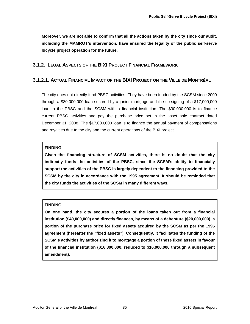**Moreover, we are not able to confirm that all the actions taken by the city since our audit, including the MAMROT's intervention, have ensured the legality of the public self-serve bicycle project operation for the future.** 

# **3.1.2. LEGAL ASPECTS OF THE BIXI PROJECT FINANCIAL FRAMEWORK**

## **3.1.2.1. ACTUAL FINANCIAL IMPACT OF THE BIXI PROJECT ON THE VILLE DE MONTRÉAL**

The city does not directly fund PBSC activities. They have been funded by the SCSM since 2009 through a \$30,000,000 loan secured by a junior mortgage and the co-signing of a \$17,000,000 loan to the PBSC and the SCSM with a financial institution. The \$30,000,000 is to finance current PBSC activities and pay the purchase price set in the asset sale contract dated December 31, 2008. The \$17,000,000 loan is to finance the annual payment of compensations and royalties due to the city and the current operations of the BIXI project.

### **FINDING**

**Given the financing structure of SCSM activities, there is no doubt that the city indirectly funds the activities of the PBSC, since the SCSM's ability to financially support the activities of the PBSC is largely dependent to the financing provided to the SCSM by the city in accordance with the 1995 agreement. It should be reminded that the city funds the activities of the SCSM in many different ways.** 

## **FINDING**

**On one hand, the city secures a portion of the loans taken out from a financial institution (\$40,000,000) and directly finances, by means of a debenture (\$20,000,000), a portion of the purchase price for fixed assets acquired by the SCSM as per the 1995 agreement (hereafter the "fixed assets"). Consequently, it facilitates the funding of the SCSM's activities by authorizing it to mortgage a portion of these fixed assets in favour of the financial institution (\$16,800,000, reduced to \$16,000,000 through a subsequent amendment).**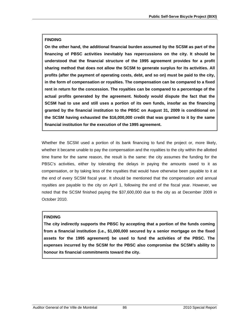## **FINDING**

**On the other hand, the additional financial burden assumed by the SCSM as part of the financing of PBSC activities inevitably has repercussions on the city. It should be understood that the financial structure of the 1995 agreement provides for a profit sharing method that does not allow the SCSM to generate surplus for its activities. All profits (after the payment of operating costs, debt, and so on) must be paid to the city, in the form of compensation or royalties. The compensation can be compared to a fixed rent in return for the concession. The royalties can be compared to a percentage of the actual profits generated by the agreement. Nobody would dispute the fact that the SCSM had to use and still uses a portion of its own funds, insofar as the financing granted by the financial institution to the PBSC on August 31, 2009 is conditional on the SCSM having exhausted the \$16,000,000 credit that was granted to it by the same financial institution for the execution of the 1995 agreement.** 

Whether the SCSM used a portion of its bank financing to fund the project or, more likely, whether it became unable to pay the compensation and the royalties to the city within the allotted time frame for the same reason, the result is the same: the city assumes the funding for the PBSC's activities, either by tolerating the delays in paying the amounts owed to it as compensation, or by taking less of the royalties that would have otherwise been payable to it at the end of every SCSM fiscal year. It should be mentioned that the compensation and annual royalties are payable to the city on April 1, following the end of the fiscal year. However, we noted that the SCSM finished paying the \$37,600,000 due to the city as at December 2009 in October 2010.

# **FINDING**

**The city indirectly supports the PBSC by accepting that a portion of the funds coming from a financial institution (i.e., \$1,000,000 secured by a senior mortgage on the fixed assets for the 1995 agreement) be used to fund the activities of the PBSC. The expenses incurred by the SCSM for the PBSC also compromise the SCSM's ability to honour its financial commitments toward the city.**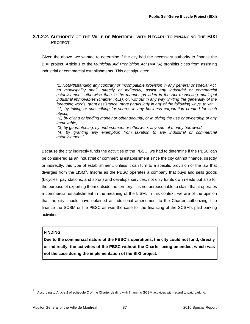# **3.1.2.2. AUTHORITY OF THE VILLE DE MONTRÉAL WITH REGARD TO FINANCING THE BIXI PROJECT**

Given the above, we wanted to determine if the city had the necessary authority to finance the BIXI project. Article 1 of the *Municipal Aid Prohibition Act* (MAPA) prohibits cities from assisting industrial or commercial establishments. This act stipulates:

*"1. Notwithstanding any contrary or incompatible provision in any general or special Act, no municipality shall, directly or indirectly, assist any industrial or commercial establishment, otherwise than in the manner provided in the Act respecting municipal industrial immovables (chapter I-0.1), or, without in any way limiting the generality of the foregoing words, grant assistance, more particularly in any of the following ways, to wit: (1) by taking or subscribing for shares in any business corporation created for such object;* 

 *(2) by giving or lending money or other security, or in giving the use or ownership of any immovable;* 

 *(3) by guaranteeing, by endorsement or otherwise, any sum of money borrowed;* 

 *(4) by granting any exemption from taxation to any industrial or commercial establishment."* 

Because the city indirectly funds the activities of the PBSC, we had to determine if the PBSC can be considered as an industrial or commercial establishment since the city cannot finance, directly or indirectly, this type of establishment, unless it can turn to a specific provision of the law that diverges from the LISM<sup>[6](#page-88-0)</sup>. Insofar as the PBSC operates a company that buys and sells goods (bicycles, pay stations, and so on) and develops services, not only for its own needs but also for the purpose of exporting them outside the territory, it is not unreasonable to claim that it operates a commercial establishment in the meaning of the LISM. In this context, we are of the opinion that the city should have obtained an additional amendment to the Charter authorizing it to finance the SCSM or the PBSC as was the case for the financing of the SCSM's paid parking activities.

#### **FINDING**

l

**Due to the commercial nature of the PBSC's operations, the city could not fund, directly or indirectly, the activities of the PBSC without the Charter being amended, which was not the case during the implementation of the BIXI project.** 

<span id="page-88-0"></span><sup>6</sup> According to Article 2 of schedule C of the Charter dealing with financing SCSM activities with regard to paid parking.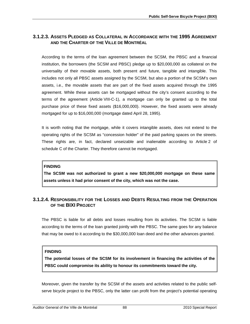# **3.1.2.3. ASSETS PLEDGED AS COLLATERAL IN ACCORDANCE WITH THE 1995 AGREEMENT AND THE CHARTER OF THE VILLE DE MONTRÉAL**

According to the terms of the loan agreement between the SCSM, the PBSC and a financial institution, the borrowers (the SCSM and PBSC) pledge up to \$20,000,000 as collateral on the universality of their movable assets, both present and future, tangible and intangible. This includes not only all PBSC assets assigned by the SCSM, but also a portion of the SCSM's own assets, i.e., the movable assets that are part of the fixed assets acquired through the 1995 agreement. While these assets can be mortgaged without the city's consent according to the terms of the agreement (Article VIII-C-1), a mortgage can only be granted up to the total purchase price of these fixed assets (\$16,000,000). However, the fixed assets were already mortgaged for up to \$16,000,000 (mortgage dated April 28, 1995).

It is worth noting that the mortgage, while it covers intangible assets, does not extend to the operating rights of the SCSM as "concession holder" of the paid parking spaces on the streets. These rights are, in fact, declared unseizable and inalienable according to Article 2 of schedule C of the Charter. They therefore cannot be mortgaged.

## **FINDING**

**The SCSM was not authorized to grant a new \$20,000,000 mortgage on these same assets unless it had prior consent of the city, which was not the case.** 

# **3.1.2.4. RESPONSIBILITY FOR THE LOSSES AND DEBTS RESULTING FROM THE OPERATION OF THE BIXI PROJECT**

The PBSC is liable for all debts and losses resulting from its activities. The SCSM is liable according to the terms of the loan granted jointly with the PBSC. The same goes for any balance that may be owed to it according to the \$30,000,000 loan deed and the other advances granted.

## **FINDING**

**The potential losses of the SCSM for its involvement in financing the activities of the PBSC could compromise its ability to honour its commitments toward the city.** 

Moreover, given the transfer by the SCSM of the assets and activities related to the public selfserve bicycle project to the PBSC, only the latter can profit from the project's potential operating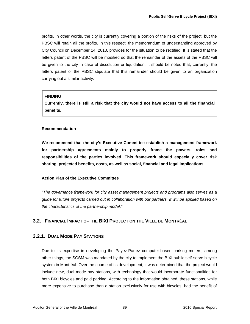profits. In other words, the city is currently covering a portion of the risks of the project, but the PBSC will retain all the profits. In this respect, the memorandum of understanding approved by City Council on December 14, 2010, provides for the situation to be rectified. It is stated that the letters patent of the PBSC will be modified so that the remainder of the assets of the PBSC will be given to the city in case of dissolution or liquidation. It should be noted that, currently, the letters patent of the PBSC stipulate that this remainder should be given to an organization carrying out a similar activity.

## **FINDING**

**Currently, there is still a risk that the city would not have access to all the financial benefits.** 

## **Recommendation**

**We recommend that the city's Executive Committee establish a management framework for partnership agreements mainly to properly frame the powers, roles and responsibilities of the parties involved. This framework should especially cover risk sharing, projected benefits, costs, as well as social, financial and legal implications.** 

# **Action Plan of the Executive Committee**

*"The governance framework for city asset management projects and programs also serves as a guide for future projects carried out in collaboration with our partners. It will be applied based on the characteristics of the partnership model."* 

# **3.2. FINANCIAL IMPACT OF THE BIXI PROJECT ON THE VILLE DE MONTRÉAL**

# **3.2.1. DUAL MODE PAY STATIONS**

Due to its expertise in developing the Payez-Partez computer-based parking meters, among other things, the SCSM was mandated by the city to implement the BIXI public self-serve bicycle system in Montréal. Over the course of its development, it was determined that the project would include new, dual mode pay stations, with technology that would incorporate functionalities for both BIXI bicycles and paid parking. According to the information obtained, these stations, while more expensive to purchase than a station exclusively for use with bicycles, had the benefit of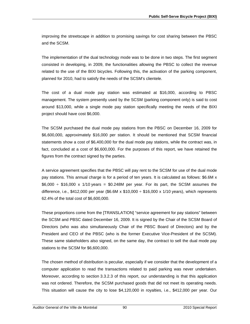improving the streetscape in addition to promising savings for cost sharing between the PBSC and the SCSM.

The implementation of the dual technology mode was to be done in two steps. The first segment consisted in developing, in 2009, the functionalities allowing the PBSC to collect the revenue related to the use of the BIXI bicycles. Following this, the activation of the parking component, planned for 2010, had to satisfy the needs of the SCSM's clientele.

The cost of a dual mode pay station was estimated at \$16,000, according to PBSC management. The system presently used by the SCSM (parking component only) is said to cost around \$13,000, while a single mode pay station specifically meeting the needs of the BIXI project should have cost \$6,000.

The SCSM purchased the dual mode pay stations from the PBSC on December 16, 2009 for \$6,600,000, approximately \$16,000 per station. It should be mentioned that SCSM financial statements show a cost of \$6,400,000 for the dual mode pay stations, while the contract was, in fact, concluded at a cost of \$6,600,000. For the purposes of this report, we have retained the figures from the contract signed by the parties.

A service agreement specifies that the PBSC will pay rent to the SCSM for use of the dual mode pay stations. This annual charge is for a period of ten years. It is calculated as follows: \$6.6M x  $$6,000 \div $16,000 \times 1/10 \text{ years} = $0.248M$  per year. For its part, the SCSM assumes the difference, i.e., \$412,000 per year (\$6.6M x \$10,000  $\div$  \$16,000 x 1/10 years), which represents 62.4% of the total cost of \$6,600,000.

These proportions come from the [TRANSLATION] "service agreement for pay stations" between the SCSM and PBSC dated December 16, 2009. It is signed by the Chair of the SCSM Board of Directors (who was also simultaneously Chair of the PBSC Board of Directors) and by the President and CEO of the PBSC (who is the former Executive Vice-President of the SCSM). These same stakeholders also signed, on the same day, the contract to sell the dual mode pay stations to the SCSM for \$6,600,000.

The chosen method of distribution is peculiar, especially if we consider that the development of a computer application to read the transactions related to paid parking was never undertaken. Moreover, according to section 3.3.2.3 of this report, our understanding is that this application was not ordered. Therefore, the SCSM purchased goods that did not meet its operating needs. This situation will cause the city to lose \$4,120,000 in royalties, i.e., \$412,000 per year. Our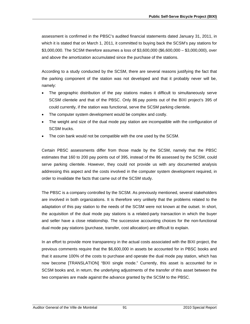assessment is confirmed in the PBSC's audited financial statements dated January 31, 2011, in which it is stated that on March 1, 2011, it committed to buying back the SCSM's pay stations for \$3,000,000. The SCSM therefore assumes a loss of \$3,600,000 (\$6,600,000 – \$3,000,000), over and above the amortization accumulated since the purchase of the stations.

According to a study conducted by the SCSM, there are several reasons justifying the fact that the parking component of the station was not developed and that it probably never will be, namely:

- The geographic distribution of the pay stations makes it difficult to simultaneously serve SCSM clientele and that of the PBSC. Only 86 pay points out of the BIXI project's 395 of could currently, if the station was functional, serve the SCSM parking clientele.
- The computer system development would be complex and costly.
- The weight and size of the dual mode pay station are incompatible with the configuration of SCSM trucks.
- The coin bank would not be compatible with the one used by the SCSM.

Certain PBSC assessments differ from those made by the SCSM, namely that the PBSC estimates that 160 to 200 pay points out of 395, instead of the 86 assessed by the SCSM, could serve parking clientele. However, they could not provide us with any documented analysis addressing this aspect and the costs involved in the computer system development required, in order to invalidate the facts that came out of the SCSM study.

The PBSC is a company controlled by the SCSM. As previously mentioned, several stakeholders are involved in both organizations. It is therefore very unlikely that the problems related to the adaptation of this pay station to the needs of the SCSM were not known at the outset. In short, the acquisition of the dual mode pay stations is a related-party transaction in which the buyer and seller have a close relationship. The successive accounting choices for the non-functional dual mode pay stations (purchase, transfer, cost allocation) are difficult to explain.

In an effort to provide more transparency in the actual costs associated with the BIXI project, the previous comments require that the \$6,600,000 in assets be accounted for in PBSC books and that it assume 100% of the costs to purchase and operate the dual mode pay station, which has now become [TRANSLATION] "BIXI single mode." Currently, this asset is accounted for in SCSM books and, in return, the underlying adjustments of the transfer of this asset between the two companies are made against the advance granted by the SCSM to the PBSC.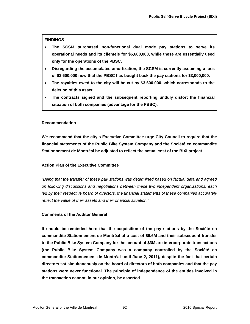### **FINDINGS**

- **The SCSM purchased non-functional dual mode pay stations to serve its operational needs and its clientele for \$6,600,000, while these are essentially used only for the operations of the PBSC.**
- **Disregarding the accumulated amortization, the SCSM is currently assuming a loss of \$3,600,000 now that the PBSC has bought back the pay stations for \$3,000,000.**
- **The royalties owed to the city will be cut by \$3,600,000, which corresponds to the deletion of this asset.**
- **The contracts signed and the subsequent reporting unduly distort the financial situation of both companies (advantage for the PBSC).**

#### **Recommendation**

**We recommend that the city's Executive Committee urge City Council to require that the financial statements of the Public Bike System Company and the Société en commandite Stationnement de Montréal be adjusted to reflect the actual cost of the BIXI project.** 

#### **Action Plan of the Executive Committee**

*"Being that the transfer of these pay stations was determined based on factual data and agreed on following discussions and negotiations between these two independent organizations, each*  led by their respective board of directors, the financial statements of these companies accurately *reflect the value of their assets and their financial situation."* 

#### **Comments of the Auditor General**

**It should be reminded here that the acquisition of the pay stations by the Société en commandite Stationnement de Montréal at a cost of \$6.6M and their subsequent transfer to the Public Bike System Company for the amount of \$3M are intercorporate transactions (the Public Bike System Company was a company controlled by the Société en commandite Stationnement de Montréal until June 2, 2011), despite the fact that certain directors sat simultaneously on the board of directors of both companies and that the pay stations were never functional. The principle of independence of the entities involved in the transaction cannot, in our opinion, be asserted.**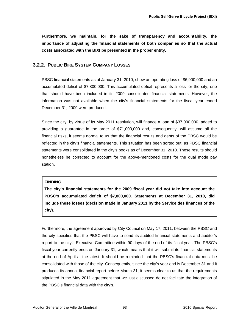**Furthermore, we maintain, for the sake of transparency and accountability, the importance of adjusting the financial statements of both companies so that the actual costs associated with the BIXI be presented in the proper entity.** 

# **3.2.2. PUBLIC BIKE SYSTEM COMPANY LOSSES**

PBSC financial statements as at January 31, 2010, show an operating loss of \$6,900,000 and an accumulated deficit of \$7,800,000. This accumulated deficit represents a loss for the city, one that should have been included in its 2009 consolidated financial statements. However, the information was not available when the city's financial statements for the fiscal year ended December 31, 2009 were produced.

Since the city, by virtue of its May 2011 resolution, will finance a loan of \$37,000,000, added to providing a guarantee in the order of \$71,000,000 and, consequently, will assume all the financial risks, it seems normal to us that the financial results and debts of the PBSC would be reflected in the city's financial statements. This situation has been sorted out, as PBSC financial statements were consolidated in the city's books as of December 31, 2010. These results should nonetheless be corrected to account for the above-mentioned costs for the dual mode pay station.

## **FINDING**

**The city's financial statements for the 2009 fiscal year did not take into account the PBSC's accumulated deficit of \$7,800,000. Statements at December 31, 2010, did include these losses (decision made in January 2011 by the Service des finances of the city).**

Furthermore, the agreement approved by City Council on May 17, 2011, between the PBSC and the city specifies that the PBSC will have to send its audited financial statements and auditor's report to the city's Executive Committee within 90 days of the end of its fiscal year. The PBSC's fiscal year currently ends on January 31, which means that it will submit its financial statements at the end of April at the latest. It should be reminded that the PBSC's financial data must be consolidated with those of the city. Consequently, since the city's year end is December 31 and it produces its annual financial report before March 31, it seems clear to us that the requirements stipulated in the May 2011 agreement that we just discussed do not facilitate the integration of the PBSC's financial data with the city's.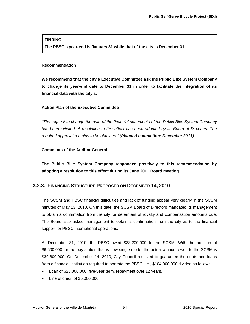#### **FINDING**

**The PBSC's year-end is January 31 while that of the city is December 31.** 

### **Recommendation**

**We recommend that the city's Executive Committee ask the Public Bike System Company to change its year-end date to December 31 in order to facilitate the integration of its financial data with the city's.** 

### **Action Plan of the Executive Committee**

*"The request to change the date of the financial statements of the Public Bike System Company*  has been initiated. A resolution to this effect has been adopted by its Board of Directors. The *required approval remains to be obtained." (Planned completion: December 2011)* 

### **Comments of the Auditor General**

**The Public Bike System Company responded positively to this recommendation by adopting a resolution to this effect during its June 2011 Board meeting.** 

# **3.2.3. FINANCING STRUCTURE PROPOSED ON DECEMBER 14, 2010**

The SCSM and PBSC financial difficulties and lack of funding appear very clearly in the SCSM minutes of May 13, 2010. On this date, the SCSM Board of Directors mandated its management to obtain a confirmation from the city for deferment of royalty and compensation amounts due. The Board also asked management to obtain a confirmation from the city as to the financial support for PBSC international operations.

At December 31, 2010, the PBSC owed \$33,200,000 to the SCSM. With the addition of \$6,600,000 for the pay station that is now single mode, the actual amount owed to the SCSM is \$39,800,000. On December 14, 2010, City Council resolved to guarantee the debts and loans from a financial institution required to operate the PBSC, i.e., \$104,000,000 divided as follows:

- Loan of \$25,000,000, five-year term, repayment over 12 years.
- Line of credit of \$5,000,000.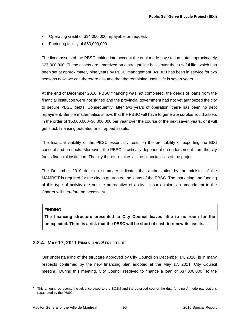- Operating credit of \$14,000,000 repayable on request.
- Factoring facility of \$60,000,000.

The fixed assets of the PBSC, taking into account the dual mode pay station, total approximately \$27,000,000. These assets are amortized on a straight-line basis over their useful life, which has been set at approximately nine years by PBSC management. As BIXI has been in service for two seasons now, we can therefore assume that the remaining useful life is seven years.

At the end of December 2010, PBSC financing was not completed, the deeds of loans from the financial institution were not signed and the provincial government had not yet authorized the city to secure PBSC debts. Consequently, after two years of operation, there has been no debt repayment. Simple mathematics shows that the PBSC will have to generate surplus liquid assets in the order of \$5,000,000–\$6,000,000 per year over the course of the next seven years, or it will get stuck financing outdated or scrapped assets.

The financial viability of the PBSC essentially rests on the profitability of exporting the BIXI concept and products. Moreover, the PBSC is critically dependent on endorsement from the city for its financial institution. The city therefore takes all the financial risks of the project.

The December 2010 decision summary indicates that authorization by the minister of the MAMROT is required for the city to guarantee the loans of the PBSC. The marketing and funding of this type of activity are not the prerogative of a city. In our opinion, an amendment to the Charter will therefore be necessary.

#### **FINDING**

l

**The financing structure presented to City Council leaves little to no room for the unexpected. There is a risk that the PBSC will be short of cash to renew its assets.** 

## **3.2.4. MAY 17, 2011 FINANCING STRUCTURE**

Our understanding of the structure approved by City Council on December 14, 2010, is in many respects confirmed by the new financing plan adopted at the May 17, 2011, City Council meeting. During this meeting, City Council resolved to finance a loan of \$3[7](#page-96-0),000,000<sup>7</sup> to the

<span id="page-96-0"></span><sup>7</sup> This amount represents the advance owed to the SCSM and the devalued cost of the dual (or single) mode pay stations repatriated by the PBSC.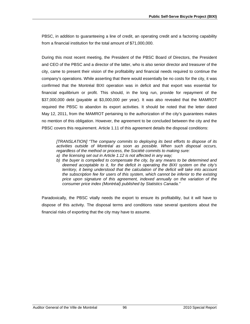PBSC, in addition to guaranteeing a line of credit, an operating credit and a factoring capability from a financial institution for the total amount of \$71,000,000.

During this most recent meeting, the President of the PBSC Board of Directors, the President and CEO of the PBSC and a director of the latter, who is also senior director and treasurer of the city, came to present their vision of the profitability and financial needs required to continue the company's operations. While asserting that there would essentially be no costs for the city, it was confirmed that the Montréal BIXI operation was in deficit and that export was essential for financial equilibrium or profit. This should, in the long run, provide for repayment of the \$37,000,000 debt (payable at \$3,000,000 per year). It was also revealed that the MAMROT required the PBSC to abandon its export activities. It should be noted that the letter dated May 12, 2011, from the MAMROT pertaining to the authorization of the city's guarantees makes no mention of this obligation. However, the agreement to be concluded between the city and the PBSC covers this requirement. Article 1.11 of this agreement details the disposal conditions:

*[TRANSLATION] "The company commits to deploying its best efforts to dispose of its activities outside of Montréal as soon as possible. When such disposal occurs, regardless of the method or process, the Société commits to making sure:* 

- *a) the licensing set out in Article 1.12 is not affected in any way;*
- *b) the buyer is compelled to compensate the city, by any means to be determined and deemed acceptable to it, for the deficit in operating the BIXI system on the city's territory, it being understood that the calculation of the deficit will take into account the subscription fee for users of this system, which cannot be inferior to the existing price upon signature of this agreement, indexed annually on the variation of the consumer price index (Montréal) published by Statistics Canada."*

Paradoxically, the PBSC vitally needs the export to ensure its profitability, but it will have to dispose of this activity. The disposal terms and conditions raise several questions about the financial risks of exporting that the city may have to assume.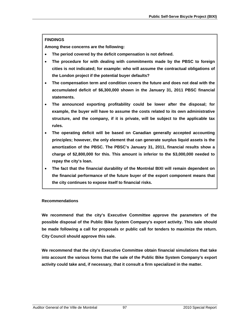## **FINDINGS**

**Among these concerns are the following:** 

- **The period covered by the deficit compensation is not defined.**
- **The procedure for with dealing with commitments made by the PBSC to foreign cities is not indicated; for example: who will assume the contractual obligations of the London project if the potential buyer defaults?**
- **The compensation term and condition covers the future and does not deal with the accumulated deficit of \$6,300,000 shown in the January 31, 2011 PBSC financial statements.**
- **The announced exporting profitability could be lower after the disposal; for example, the buyer will have to assume the costs related to its own administrative structure, and the company, if it is private, will be subject to the applicable tax rules.**
- **The operating deficit will be based on Canadian generally accepted accounting principles; however, the only element that can generate surplus liquid assets is the amortization of the PBSC. The PBSC's January 31, 2011, financial results show a charge of \$2,800,000 for this. This amount is inferior to the \$3,000,000 needed to repay the city's loan.**
- **The fact that the financial durability of the Montréal BIXI will remain dependent on the financial performance of the future buyer of the export component means that the city continues to expose itself to financial risks.**

## **Recommendations**

**We recommend that the city's Executive Committee approve the parameters of the possible disposal of the Public Bike System Company's export activity. This sale should be made following a call for proposals or public call for tenders to maximize the return. City Council should approve this sale.** 

**We recommend that the city's Executive Committee obtain financial simulations that take into account the various forms that the sale of the Public Bike System Company's export activity could take and, if necessary, that it consult a firm specialized in the matter.**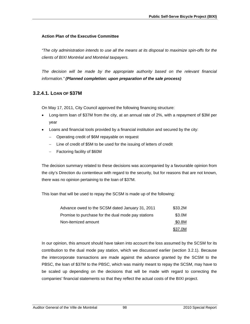## **Action Plan of the Executive Committee**

*"The city administration intends to use all the means at its disposal to maximize spin-offs for the clients of BIXI Montréal and Montréal taxpayers.* 

*The decision will be made by the appropriate authority based on the relevant financial information." (Planned completion: upon preparation of the sale process)* 

# **3.2.4.1. LOAN OF \$37M**

On May 17, 2011, City Council approved the following financing structure:

- Long-term loan of \$37M from the city, at an annual rate of 2%, with a repayment of \$3M per year
- Loans and financial tools provided by a financial institution and secured by the city:
	- − Operating credit of \$6M repayable on request
	- − Line of credit of \$5M to be used for the issuing of letters of credit
	- − Factoring facility of \$60M

The decision summary related to these decisions was accompanied by a favourable opinion from the city's Direction du contentieux with regard to the security, but for reasons that are not known, there was no opinion pertaining to the loan of \$37M.

This loan that will be used to repay the SCSM is made up of the following:

| Advance owed to the SCSM dated January 31, 2011    | \$33.2M |
|----------------------------------------------------|---------|
| Promise to purchase for the dual mode pay stations | \$3.0M  |
| Non-itemized amount                                | \$0.8M  |
|                                                    | \$37.0M |

In our opinion, this amount should have taken into account the loss assumed by the SCSM for its contribution to the dual mode pay station, which we discussed earlier (section 3.2.1). Because the intercorporate transactions are made against the advance granted by the SCSM to the PBSC, the loan of \$37M to the PBSC, which was mainly meant to repay the SCSM, may have to be scaled up depending on the decisions that will be made with regard to correcting the companies' financial statements so that they reflect the actual costs of the BIXI project.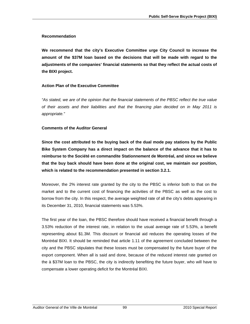### **Recommendation**

**We recommend that the city's Executive Committee urge City Council to increase the amount of the \$37M loan based on the decisions that will be made with regard to the adjustments of the companies' financial statements so that they reflect the actual costs of the BIXI project.** 

## **Action Plan of the Executive Committee**

*"As stated, we are of the opinion that the financial statements of the PBSC reflect the true value of their assets and their liabilities and that the financing plan decided on in May 2011 is appropriate."* 

### **Comments of the Auditor General**

**Since the cost attributed to the buying back of the dual mode pay stations by the Public Bike System Company has a direct impact on the balance of the advance that it has to reimburse to the Société en commandite Stationnement de Montréal, and since we believe that the buy back should have been done at the original cost, we maintain our position, which is related to the recommendation presented in section 3.2.1.** 

Moreover, the 2% interest rate granted by the city to the PBSC is inferior both to that on the market and to the current cost of financing the activities of the PBSC as well as the cost to borrow from the city. In this respect, the average weighted rate of all the city's debts appearing in its December 31, 2010, financial statements was 5.53%.

The first year of the loan, the PBSC therefore should have received a financial benefit through a 3.53% reduction of the interest rate, in relation to the usual average rate of 5.53%, a benefit representing about \$1.3M. This discount or financial aid reduces the operating losses of the Montréal BIXI. It should be reminded that article 1.11 of the agreement concluded between the city and the PBSC stipulates that these losses must be compensated by the future buyer of the export component. When all is said and done, because of the reduced interest rate granted on the à \$37M loan to the PBSC, the city is indirectly benefiting the future buyer, who will have to compensate a lower operating deficit for the Montréal BIXI.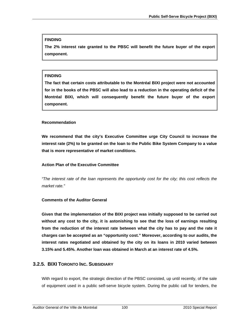#### **FINDING**

**The 2% interest rate granted to the PBSC will benefit the future buyer of the export component.** 

#### **FINDING**

**The fact that certain costs attributable to the Montréal BIXI project were not accounted for in the books of the PBSC will also lead to a reduction in the operating deficit of the Montréal BIXI, which will consequently benefit the future buyer of the export component.** 

#### **Recommendation**

**We recommend that the city's Executive Committee urge City Council to increase the interest rate (2%) to be granted on the loan to the Public Bike System Company to a value that is more representative of market conditions.** 

#### **Action Plan of the Executive Committee**

*"The interest rate of the loan represents the opportunity cost for the city; this cost reflects the market rate."* 

## **Comments of the Auditor General**

**Given that the implementation of the BIXI project was initially supposed to be carried out without any cost to the city, it is astonishing to see that the loss of earnings resulting from the reduction of the interest rate between what the city has to pay and the rate it charges can be accepted as an "opportunity cost." Moreover, according to our audits, the interest rates negotiated and obtained by the city on its loans in 2010 varied between 3.15% and 5.45%. Another loan was obtained in March at an interest rate of 4.5%.** 

## **3.2.5. BIXI TORONTO INC. SUBSIDIARY**

With regard to export, the strategic direction of the PBSC consisted, up until recently, of the sale of equipment used in a public self-serve bicycle system. During the public call for tenders, the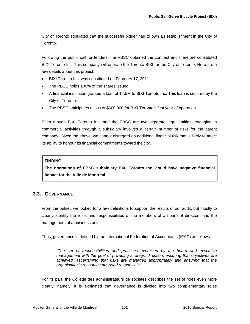City of Toronto stipulated that the successful bidder had to own an establishment in the City of Toronto.

Following the public call for tenders, the PBSC obtained the contract and therefore constituted BIXI Toronto Inc. This company will operate the Toronto BIXI for the City of Toronto. Here are a few details about this project:

- BIXI Toronto Inc. was constituted on February 17, 2011.
- The PBSC holds 100% of the shares issued.
- A financial institution granted a loan of \$4.5M to BIXI Toronto Inc. This loan is secured by the City of Toronto.
- The PBSC anticipates a loss of \$600,000 for BIXI Toronto's first year of operation.

Even though BIXI Toronto Inc. and the PBSC are two separate legal entities, engaging in commercial activities through a subsidiary involves a certain number of risks for the parent company. Given the above, we cannot disregard an additional financial risk that is likely to affect its ability to honour its financial commitments toward the city.

# **FINDING**

**The operations of PBSC subsidiary BIXI Toronto Inc. could have negative financial impact for the Ville de Montréal.** 

# **3.3. GOVERNANCE**

From the outset, we looked for a few definitions to support the results of our audit, but mostly to clearly identify the roles and responsibilities of the members of a board of directors and the management of a business unit.

Thus, governance is defined by the International Federation of Accountants (IFAC) as follows:

*"The set of responsibilities and practices exercised by the board and executive management with the goal of providing strategic direction, ensuring that objectives are achieved, ascertaining that risks are managed appropriately and ensuring that the organisation's resources are used responsibly."* 

For its part, the Collège des administrateurs de sociétés describes the set of roles even more clearly; namely, it is explained that governance is divided into two complementary roles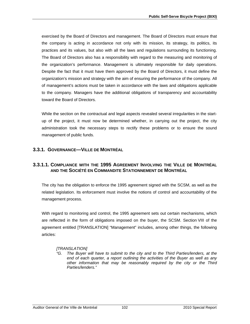exercised by the Board of Directors and management. The Board of Directors must ensure that the company is acting in accordance not only with its mission, its strategy, its politics, its practices and its values, but also with all the laws and regulations surrounding its functioning. The Board of Directors also has a responsibility with regard to the measuring and monitoring of the organization's performance. Management is ultimately responsible for daily operations. Despite the fact that it must have them approved by the Board of Directors, it must define the organization's mission and strategy with the aim of ensuring the performance of the company. All of management's actions must be taken in accordance with the laws and obligations applicable to the company. Managers have the additional obligations of transparency and accountability toward the Board of Directors.

While the section on the contractual and legal aspects revealed several irregularities in the startup of the project, it must now be determined whether, in carrying out the project, the city administration took the necessary steps to rectify these problems or to ensure the sound management of public funds.

# **3.3.1. GOVERNANCE—VILLE DE MONTRÉAL**

# **3.3.1.1. COMPLIANCE WITH THE 1995 AGREEMENT INVOLVING THE VILLE DE MONTRÉAL AND THE SOCIÉTÉ EN COMMANDITE STATIONNEMENT DE MONTRÉAL**

The city has the obligation to enforce the 1995 agreement signed with the SCSM, as well as the related legislation. Its enforcement must involve the notions of control and accountability of the management process.

With regard to monitoring and control, the 1995 agreement sets out certain mechanisms, which are reflected in the form of obligations imposed on the buyer, the SCSM. Section VIII of the agreement entitled [TRANSLATION] "Management" includes, among other things, the following articles:

## *[TRANSLATION]*

*"G. The Buyer will have to submit to the city and to the Third Parties/lenders, at the end of each quarter, a report outlining the activities of the Buyer as well as any other information that may be reasonably required by the city or the Third Parties/lenders."*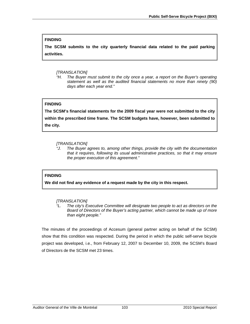### **FINDING**

**The SCSM submits to the city quarterly financial data related to the paid parking activities.** 

#### *[TRANSLATION]*

*"H. The Buyer must submit to the city once a year, a report on the Buyer's operating statement as well as the audited financial statements no more than ninety (90) days after each year end."* 

#### **FINDING**

**The SCSM's financial statements for the 2009 fiscal year were not submitted to the city within the prescribed time frame. The SCSM budgets have, however, been submitted to the city.** 

#### *[TRANSLATION]*

*"J. The Buyer agrees to, among other things, provide the city with the documentation that it requires, following its usual administrative practices, so that it may ensure the proper execution of this agreement."*

### **FINDING**

**We did not find any evidence of a request made by the city in this respect.** 

### *[TRANSLATION]*

*"L. The city's Executive Committee will designate two people to act as directors on the Board of Directors of the Buyer's acting partner, which cannot be made up of more than eight people."* 

The minutes of the proceedings of Accesum (general partner acting on behalf of the SCSM) show that this condition was respected. During the period in which the public self-serve bicycle project was developed, i.e., from February 12, 2007 to December 10, 2009, the SCSM's Board of Directors de the SCSM met 23 times.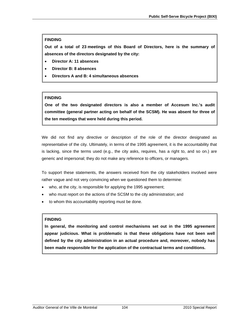### **FINDING**

**Out of a total of 23 meetings of this Board of Directors, here is the summary of absences of the directors designated by the city:** 

- **Director A: 11 absences**
- **Director B: 8 absences**
- **Directors A and B: 4 simultaneous absences**

## **FINDING**

**One of the two designated directors is also a member of Accesum Inc.'s audit committee (general partner acting on behalf of the SCSM). He was absent for three of the ten meetings that were held during this period.** 

We did not find any directive or description of the role of the director designated as representative of the city. Ultimately, in terms of the 1995 agreement, it is the accountability that is lacking, since the terms used (e.g., the city asks, requires, has a right to, and so on.) are generic and impersonal; they do not make any reference to officers, or managers.

To support these statements, the answers received from the city stakeholders involved were rather vague and not very convincing when we questioned them to determine:

- who, at the city, is responsible for applying the 1995 agreement;
- who must report on the actions of the SCSM to the city administration; and
- to whom this accountability reporting must be done.

#### **FINDING**

**In general, the monitoring and control mechanisms set out in the 1995 agreement appear judicious. What is problematic is that these obligations have not been well defined by the city administration in an actual procedure and, moreover, nobody has been made responsible for the application of the contractual terms and conditions.**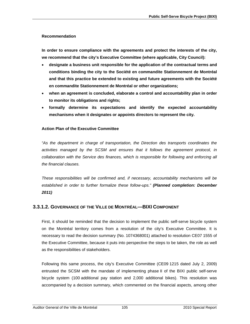#### **Recommendation**

**In order to ensure compliance with the agreements and protect the interests of the city, we recommend that the city's Executive Committee (where applicable, City Council):** 

- **designate a business unit responsible for the application of the contractual terms and conditions binding the city to the Société en commandite Stationnement de Montréal and that this practice be extended to existing and future agreements with the Société en commandite Stationnement de Montréal or other organizations;**
- **when an agreement is concluded, elaborate a control and accountability plan in order to monitor its obligations and rights;**
- **formally determine its expectations and identify the expected accountability mechanisms when it designates or appoints directors to represent the city.**

#### **Action Plan of the Executive Committee**

*"As the department in charge of transportation, the Direction des transports coordinates the activities managed by the SCSM and ensures that it follows the agreement protocol, in collaboration with the Service des finances, which is responsible for following and enforcing all the financial clauses.* 

*These responsibilities will be confirmed and, if necessary, accountability mechanisms will be established in order to further formalize these follow-ups." (Planned completion: December 2011)* 

## **3.3.1.2. GOVERNANCE OF THE VILLE DE MONTRÉAL—BIXI COMPONENT**

First, it should be reminded that the decision to implement the public self-serve bicycle system on the Montréal territory comes from a resolution of the city's Executive Committee. It is necessary to read the decision summary (No. 1074368001) attached to resolution CE07 1555 of the Executive Committee, because it puts into perspective the steps to be taken, the role as well as the responsibilities of stakeholders.

Following this same process, the city's Executive Committee (CE09 1215 dated July 2, 2009) entrusted the SCSM with the mandate of implementing phase II of the BIXI public self-serve bicycle system (100 additional pay station and 2,000 additional bikes). This resolution was accompanied by a decision summary, which commented on the financial aspects, among other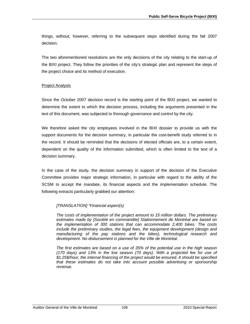things, without, however, referring to the subsequent steps identified during the fall 2007 decision.

The two aforementioned resolutions are the only decisions of the city relating to the start-up of the BIXI project. They follow the priorities of the city's strategic plan and represent the steps of the project choice and its method of execution.

#### **Project Analysis**

Since the October 2007 decision record is the starting point of the BIXI project, we wanted to determine the extent to which the decision process, including the arguments presented in the text of this document, was subjected to thorough governance and control by the city.

We therefore asked the city employees involved in the BIXI dossier to provide us with the support documents for the decision summary, in particular the cost-benefit study referred to in the record. It should be reminded that the decisions of elected officials are, to a certain extent, dependent on the quality of the information submitted, which is often limited to the text of a decision summary.

In the case of the study, the decision summary in support of the decision of the Executive Committee provides major strategic information, in particular with regard to the ability of the SCSM to accept the mandate, its financial aspects and the implementation schedule. The following extracts particularly grabbed our attention:

#### *[TRANSLATION] "Financial aspect(s)*

*The costs of implementation of the project amount to 15 million dollars. The preliminary estimates made by [Société en commandite] Stationnement de Montréal are based on the implementation of 300 stations that can accommodate 2,400 bikes. The costs include the preliminary studies, the legal fees, the equipment development (design and manufacturing of the pay stations and the bikes), technological research and development. No disbursement is planned for the Ville de Montréal.* 

*The first estimates are based on a use of 35% of the potential use in the high season (170 days) and 13% in the low season (70 days). With a projected fee for use of \$1.25\$/hour, the internal financing of the project would be ensured. It should be specified that these estimates do not take into account possible advertising or sponsorship revenue.*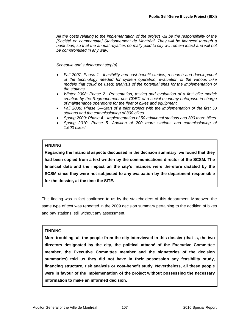*All the costs relating to the implementation of the project will be the responsibility of the [Société en commandite] Stationnement de Montréal. They will be financed through a*  bank loan, so that the annual royalties normally paid to city will remain intact and will not *be compromised in any way.* 

*Schedule and subsequent step(s)* 

- *Fall 2007: Phase 1—feasibility and cost-benefit studies; research and development of the technology needed for system operation; evaluation of the various bike models that could be used; analysis of the potential sites for the implementation of the stations*
- *Winter 2008: Phase 2—Presentation, testing and evaluation of a first bike model; creation by the Regroupement des CDEC of a social economy enterprise in charge of maintenance operations for the fleet of bikes and equipment*
- *Fall 2008: Phase 3—Start of a pilot project with the implementation of the first 50 stations and the commissioning of 300 bikes*
- *Spring 2009: Phase 4—Implementation of 50 additional stations and 300 more bikes*
- *Spring 2010: Phase 5—Addition of 200 more stations and commissioning of 1,600 bikes"*

#### **FINDING**

**Regarding the financial aspects discussed in the decision summary, we found that they had been copied from a text written by the communications director of the SCSM. The financial data and the impact on the city's finances were therefore dictated by the SCSM since they were not subjected to any evaluation by the department responsible for the dossier, at the time the SITE.** 

This finding was in fact confirmed to us by the stakeholders of this department. Moreover, the same type of text was repeated in the 2009 decision summary pertaining to the addition of bikes and pay stations, still without any assessment.

#### **FINDING**

**More troubling, all the people from the city interviewed in this dossier (that is, the two directors designated by the city, the political attaché of the Executive Committee member, the Executive Committee member and the signatories of the decision summaries) told us they did not have in their possession any feasibility study, financing structure, risk analysis or cost-benefit study. Nevertheless, all these people were in favour of the implementation of the project without possessing the necessary information to make an informed decision.**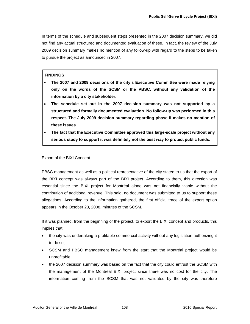In terms of the schedule and subsequent steps presented in the 2007 decision summary, we did not find any actual structured and documented evaluation of these. In fact, the review of the July 2009 decision summary makes no mention of any follow-up with regard to the steps to be taken to pursue the project as announced in 2007.

#### **FINDINGS**

- **The 2007 and 2009 decisions of the city's Executive Committee were made relying only on the words of the SCSM or the PBSC, without any validation of the information by a city stakeholder.**
- **The schedule set out in the 2007 decision summary was not supported by a structured and formally documented evaluation. No follow-up was performed in this respect. The July 2009 decision summary regarding phase II makes no mention of these issues.**
- **The fact that the Executive Committee approved this large-scale project without any serious study to support it was definitely not the best way to protect public funds.**

### Export of the BIXI Concept

PBSC management as well as a political representative of the city stated to us that the export of the BIXI concept was always part of the BIXI project. According to them, this direction was essential since the BIXI project for Montréal alone was not financially viable without the contribution of additional revenue. This said, no document was submitted to us to support these allegations. According to the information gathered, the first official trace of the export option appears in the October 23, 2008, minutes of the SCSM.

If it was planned, from the beginning of the project, to export the BIXI concept and products, this implies that:

- the city was undertaking a profitable commercial activity without any legislation authorizing it to do so;
- SCSM and PBSC management knew from the start that the Montréal project would be unprofitable;
- the 2007 decision summary was based on the fact that the city could entrust the SCSM with the management of the Montréal BIXI project since there was no cost for the city. The information coming from the SCSM that was not validated by the city was therefore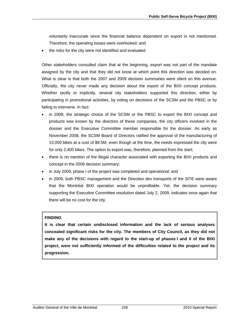voluntarily inaccurate since the financial balance dependent on export is not mentioned. Therefore, the operating losses were overlooked; and

• the risks for the city were not identified and evaluated.

Other stakeholders consulted claim that at the beginning, export was not part of the mandate assigned by the city and that they did not know at which point this direction was decided on. What is clear is that both the 2007 and 2009 decision summaries were silent on this avenue. Officially, the city never made any decision about the export of the BIXI concept products. Whether tacitly or implicitly, several city stakeholders supported this direction, either by participating in promotional activities, by voting on decisions of the SCSM and the PBSC or by failing to intervene. In fact:

- in 2009, the strategic choice of the SCSM or the PBSC to export the BIXI concept and products was known by the directors of these companies, the city officers involved in the dossier and the Executive Committee member responsible for the dossier. As early as November 2008, the SCSM Board of Directors ratified the approval of the manufacturing of 10,000 bikes at a cost of \$9.5M, even though at the time, the needs expressed the city were for only 2,400 bikes. The option to export was, therefore, planned from the start;
- there is no mention of the illegal character associated with exporting the BIXI products and concept in the 2009 decision summary;
- in July 2009, phase I of the project was completed and operational; and
- in 2009, both PBSC management and the Direction des transports of the SITE were aware that the Montréal BIXI operation would be unprofitable. Yet, the decision summary supporting the Executive Committee resolution dated July 2, 2009, indicates once again that there will be no cost for the city.

# **FINDING**

**It is clear that certain undisclosed information and the lack of serious analyses concealed significant risks for the city. The members of City Council, as they did not make any of the decisions with regard to the start-up of phases I and II of the BIXI project, were not sufficiently informed of the difficulties related to the project and its progression.**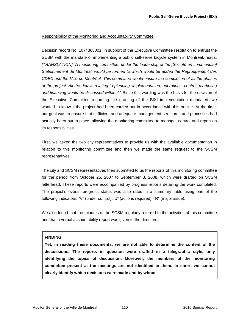#### Responsibility of the Monitoring and Accountability Committee

Decision record No. 1074368001, in support of the Executive Committee resolution to entrust the SCSM with the mandate of implementing a public self-serve bicycle system in Montréal, reads: *[TRANSLATION]* "*A monitoring committee, under the leadership of the [Société en commandite] Stationnement de Montréal, would be formed to which would be added the Regroupement des CDEC and the Ville de Montréal. This committee would ensure the completion of all the phases of the project. All the details relating to planning, implementation, operations, control, marketing and financing would be discussed within it."* Since this wording was the basis for the decision of the Executive Committee regarding the granting of the BIXI implementation mandated, we wanted to know if the project had been carried out in accordance with this outline. At the time, our goal was to ensure that sufficient and adequate management structures and processes had actually been put in place, allowing the monitoring committee to manage, control and report on its responsibilities.

First, we asked the two city representatives to provide us with the available documentation in relation to this monitoring committee and then we made the same request to the SCSM representatives.

The city and SCSM representatives then submitted to us the reports of this monitoring committee for the period from October 25, 2007 to September 8, 2008, which were drafted on SCSM letterhead. These reports were accompanied by progress reports detailing the work completed. The project's overall progress status was also rated in a summary table using one of the following indicators: "V" (under control), "J" (actions required), "R" (major issue).

We also found that the minutes of the SCSM regularly referred to the activities of this committee and that a verbal accountability report was given to the directors.

#### **FINDING**

**Yet, in reading these documents, we are not able to determine the content of the discussions. The reports in question were drafted in a telegraphic style, only identifying the topics of discussion. Moreover, the members of the monitoring committee present at the meetings are not identified in them. In short, we cannot clearly identify which decisions were made and by whom.**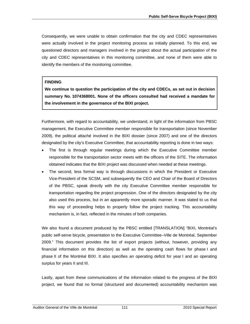Consequently, we were unable to obtain confirmation that the city and CDEC representatives were actually involved in the project monitoring process as initially planned. To this end, we questioned directors and managers involved in the project about the actual participation of the city and CDEC representatives in this monitoring committee, and none of them were able to identify the members of the monitoring committee.

#### **FINDING**

**We continue to question the participation of the city and CDECs, as set out in decision summary No. 1074368001. None of the officers consulted had received a mandate for the involvement in the governance of the BIXI project.**

Furthermore, with regard to accountability, we understand, in light of the information from PBSC management, the Executive Committee member responsible for transportation (since November 2009), the political attaché involved in the BIXI dossier (since 2007) and one of the directors designated by the city's Executive Committee, that accountability reporting is done in two ways:

- The first is through regular meetings during which the Executive Committee member responsible for the transportation sector meets with the officers of the SITE. The information obtained indicates that the BIXI project was discussed when needed at these meetings.
- The second, less formal way is through discussions in which the President or Executive Vice-President of the SCSM, and subsequently the CEO and Chair of the Board of Directors of the PBSC, speak directly with the city Executive Committee member responsible for transportation regarding the project progression. One of the directors designated by the city also used this process, but in an apparently more sporadic manner. It was stated to us that this way of proceeding helps to properly follow the project tracking. This accountability mechanism is, in fact, reflected in the minutes of both companies.

We also found a document produced by the PBSC entitled [TRANSLATION] "BIXI, Montréal's public self-serve bicycle, presentation to the Executive Committee–Ville de Montréal, September 2009." This document provides the list of export projects (without, however, providing any financial information on this direction) as well as the operating cash flows for phase I and phase II of the Montréal BIXI. It also specifies an operating deficit for year I and an operating surplus for years II and III.

Lastly, apart from these communications of the information related to the progress of the BIXI project, we found that no formal (structured and documented) accountability mechanism was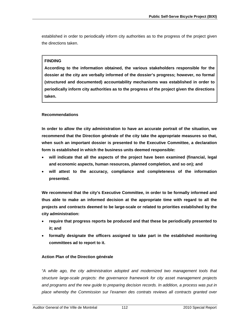established in order to periodically inform city authorities as to the progress of the project given the directions taken.

### **FINDING**

**According to the information obtained, the various stakeholders responsible for the dossier at the city are verbally informed of the dossier's progress; however, no formal (structured and documented) accountability mechanisms was established in order to periodically inform city authorities as to the progress of the project given the directions taken.** 

# **Recommendations**

**In order to allow the city administration to have an accurate portrait of the situation, we recommend that the Direction générale of the city take the appropriate measures so that, when such an important dossier is presented to the Executive Committee, a declaration form is established in which the business units deemed responsible:** 

- **will indicate that all the aspects of the project have been examined (financial, legal and economic aspects, human resources, planned completion, and so on); and**
- **will attest to the accuracy, compliance and completeness of the information presented.**

**We recommend that the city's Executive Committee, in order to be formally informed and thus able to make an informed decision at the appropriate time with regard to all the projects and contracts deemed to be large-scale or related to priorities established by the city administration:** 

- **require that progress reports be produced and that these be periodically presented to it; and**
- **formally designate the officers assigned to take part in the established monitoring committees ad to report to it.**

#### **Action Plan of the Direction générale**

*"A while ago, the city administration adopted and modernized two management tools that structure large-scale projects: the governance framework for city asset management projects and programs and the new guide to preparing decision records. In addition, a process was put in place whereby the Commission sur l'examen des contrats reviews all contracts granted over*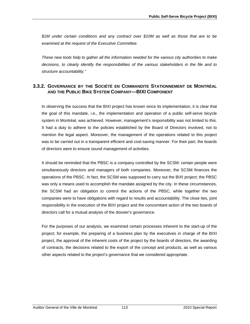*\$1M under certain conditions and any contract over \$10M as well as those that are to be examined at the request of the Executive Committee.* 

*These new tools help to gather all the information needed for the various city authorities to make decisions, to clearly identify the responsibilities of the various stakeholders in the file and to structure accountability."* 

# **3.3.2. GOVERNANCE BY THE SOCIÉTÉ EN COMMANDITE STATIONNEMENT DE MONTRÉAL AND THE PUBLIC BIKE SYSTEM COMPANY—BIXI COMPONENT**

In observing the success that the BIXI project has known since its implementation, it is clear that the goal of this mandate, i.e., the implementation and operation of a public self-serve bicycle system in Montréal, was achieved. However, management's responsibility was not limited to this. It had a duty to adhere to the policies established by the Board of Directors involved, not to mention the legal aspect. Moreover, the management of the operations related to this project was to be carried out in a transparent efficient and cost-saving manner. For their part, the boards of directors were to ensure sound management of activities.

It should be reminded that the PBSC is a company controlled by the SCSM: certain people were simultaneously directors and managers of both companies. Moreover, the SCSM finances the operations of the PBSC. In fact, the SCSM was supposed to carry out the BIXI project; the PBSC was only a means used to accomplish the mandate assigned by the city. In these circumstances, the SCSM had an obligation to control the actions of the PBSC, while together the two companies were to have obligations with regard to results and accountability. The close ties, joint responsibility in the execution of the BIXI project and the concomitant action of the two boards of directors call for a mutual analysis of the dossier's governance.

For the purposes of our analysis, we examined certain processes inherent to the start-up of the project; for example, the preparing of a business plan by the executives in charge of the BIXI project, the approval of the inherent costs of the project by the boards of directors, the awarding of contracts, the decisions related to the export of the concept and products, as well as various other aspects related to the project's governance that we considered appropriate.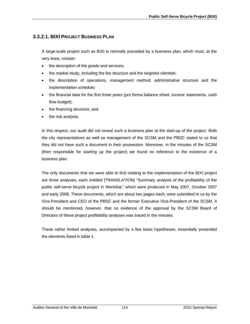# **3.3.2.1. BIXI PROJECT BUSINESS PLAN**

A large-scale project such as BIXI is normally preceded by a business plan, which must, at the very least, contain:

- the description of the goods and services;
- the market study, including the fee structure and the targeted clientele;
- the description of operations, management method, administrative structure and the implementation schedule;
- the financial data for the first three years (pro forma balance sheet, income statements, cash flow budget);
- the financing structure; and
- the risk analysis.

In this respect, our audit did not reveal such a business plan at the start-up of the project. Both the city representatives as well as management of the SCSM and the PBSC stated to us that they did not have such a document in their possession. Moreover, in the minutes of the SCSM (then responsible for starting up the project) we found no reference to the existence of a business plan.

The only documents that we were able to find relating to the implementation of the BIXI project are three analyses, each entitled [TRANSLATION] "Summary analysis of the profitability of the public self-serve bicycle project in Montréal," which were produced in May 2007, October 2007 and early 2008. These documents, which are about two pages each, were submitted to us by the Vice-President and CEO of the PBSC and the former Executive Vice-President of the SCSM. It should be mentioned, however, that no evidence of the approval by the SCSM Board of Directors of these project profitability analyses was traced in the minutes.

These rather limited analyses, accompanied by a few basic hypotheses, essentially presented the elements listed in table 1.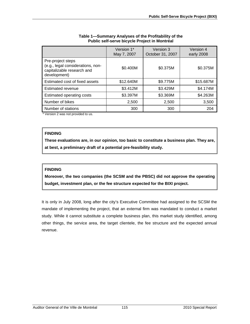|                                                                                                      | Version 1*<br>May 7, 2007 | Version 3<br>October 31, 2007 | Version 4<br>early 2008 |
|------------------------------------------------------------------------------------------------------|---------------------------|-------------------------------|-------------------------|
| Pre-project steps<br>(e.g., legal considerations, non-<br>capitalizable research and<br>development) | \$0.400M                  | \$0.375M                      | \$0.375M                |
| Estimated cost of fixed assets                                                                       | \$12,640M                 | \$9.775M                      | \$15.687M               |
| Estimated revenue                                                                                    | \$3.412M                  | \$3.429M                      | \$4.174M                |
| Estimated operating costs                                                                            | \$3.397M                  | \$3.369M                      | \$4.263M                |
| Number of bikes                                                                                      | 2,500                     | 2,500                         | 3,500                   |
| Number of stations                                                                                   | 300                       | 300                           | 204                     |

#### **Table 1—Summary Analyses of the Profitability of the Public self-serve bicycle Project in Montréal**

\* Version 2 was not provided to us.

### **FINDING**

**These evaluations are, in our opinion, too basic to constitute a business plan. They are, at best, a preliminary draft of a potential pre-feasibility study.** 

# **FINDING**

**Moreover, the two companies (the SCSM and the PBSC) did not approve the operating budget, investment plan, or the fee structure expected for the BIXI project.**

It is only in July 2008, long after the city's Executive Committee had assigned to the SCSM the mandate of implementing the project, that an external firm was mandated to conduct a market study. While it cannot substitute a complete business plan, this market study identified, among other things, the service area, the target clientele, the fee structure and the expected annual revenue.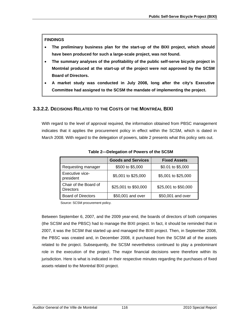**FINDINGS** 

- **The preliminary business plan for the start-up of the BIXI project, which should have been produced for such a large-scale project, was not found.**
- **The summary analyses of the profitability of the public self-serve bicycle project in Montréal produced at the start-up of the project were not approved by the SCSM Board of Directors.**
- **A market study was conducted in July 2008, long after the city's Executive Committee had assigned to the SCSM the mandate of implementing the project.**

# **3.3.2.2. DECISIONS RELATED TO THE COSTS OF THE MONTRÉAL BIXI**

With regard to the level of approval required, the information obtained from PBSC management indicates that it applies the procurement policy in effect within the SCSM, which is dated in March 2008. With regard to the delegation of powers, table 2 presents what this policy sets out.

|                                           | <b>Goods and Services</b> | <b>Fixed Assets</b>  |
|-------------------------------------------|---------------------------|----------------------|
| Requesting manager                        | \$500 to \$5,000          | \$0.01 to \$5,000    |
| Executive vice-<br>president              | \$5,001 to \$25,000       | \$5,001 to \$25,000  |
| Chair of the Board of<br><b>Directors</b> | \$25,001 to \$50,000      | \$25,001 to \$50,000 |
| <b>Board of Directors</b>                 | \$50,001 and over         | \$50,001 and over    |

**Table 2—Delegation of Powers of the SCSM** 

Source: SCSM procurement policy.

Between September 6, 2007, and the 2009 year-end, the boards of directors of both companies (the SCSM and the PBSC) had to manage the BIXI project. In fact, it should be reminded that in 2007, it was the SCSM that started up and managed the BIXI project. Then, in September 2008, the PBSC was created and, in December 2008, it purchased from the SCSM all of the assets related to the project. Subsequently, the SCSM nevertheless continued to play a predominant role in the execution of the project. The major financial decisions were therefore within its jurisdiction. Here is what is indicated in their respective minutes regarding the purchases of fixed assets related to the Montréal BIXI project.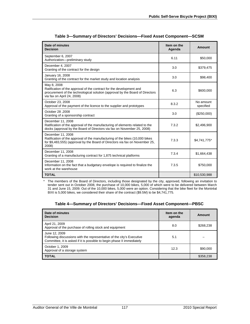| Date of minutes<br><b>Decision</b>                                                                                                                                                                 | Item on the<br>Agenda | <b>Amount</b>          |
|----------------------------------------------------------------------------------------------------------------------------------------------------------------------------------------------------|-----------------------|------------------------|
| September 6, 2007<br>Authorization-preliminary study                                                                                                                                               | 6.11                  | \$50,000               |
| December 4, 2007<br>Granting of the contract for the design                                                                                                                                        | 3.0                   | \$379,475              |
| January 16, 2008<br>Granting of the contract for the market study and location analysis                                                                                                            | 3.0                   | \$98,400               |
| May 8, 2008<br>Ratification of the approval of the contract for the development and<br>procurement of the technological solution (approval by the Board of Directors<br>via fax on April 24, 2008) | 6.3                   | \$600,000              |
| October 23, 2008<br>Approval of the payment of the licence to the supplier and prototypes                                                                                                          | 8.3.2                 | No amount<br>specified |
| October 28,2008<br>Granting of a sponsorship contract                                                                                                                                              | 3.0                   | (\$250,000)            |
| December 11, 2008<br>Ratification of the approval of the manufacturing of elements related to the<br>docks (approval by the Board of Directors via fax on November 25, 2008)                       | 7.3.2                 | \$2,496,900            |
| December 11, 2008<br>Ratification of the approval of the manufacturing of the bikes (10,000 bikes<br>for \$9,483,555) (approval by the Board of Directors via fax on November 25,<br>2008)         | 7.3.3                 | \$4,741,775*           |
| December 11, 2008<br>Granting of a manufacturing contract for 1,875 technical platforms                                                                                                            | 7.3.4                 | \$1,664,438            |
| December 11, 2008<br>Information on the fact that a budgetary envelope is required to finalize the<br>work at the warehouse                                                                        | 7.3.5                 | \$750,000              |
| <b>TOTAL</b>                                                                                                                                                                                       |                       | \$10,530,988           |

| Table 3—Summary of Directors' Decisions—Fixed Asset Component—SCSM |  |  |  |
|--------------------------------------------------------------------|--|--|--|
|                                                                    |  |  |  |

\* The members of the Board of Directors, including those designated by the city, approved, following an invitation to tender sent out in October 2008, the purchase of 10,000 bikes, 5,000 of which were to be delivered between March 31 and June 15, 2009. Out of the 10,000 bikes, 5,000 were an option. Considering that the bike fleet for the Montréal BIXI is 5,000 bikes, we considered their share of the contract (\$9.5M) to be \$4,741,775.

| Table 4-Summary of Directors' Decisions-Fixed Asset Component-PBSC |  |  |
|--------------------------------------------------------------------|--|--|
|--------------------------------------------------------------------|--|--|

| Date of minutes<br><b>Decision</b>                                                                                                                               | Item on the<br>agenda | Amount    |
|------------------------------------------------------------------------------------------------------------------------------------------------------------------|-----------------------|-----------|
| April 21, 2009<br>Approval of the purchase of rolling stock and equipment                                                                                        | 8.0                   | \$268,238 |
| June 12, 2009<br>Following discussions with the representative of the city's Executive<br>Committee, it is asked if it is possible to begin phase II immediately | 5.1                   |           |
| October 1, 2009<br>Approval of a storage system                                                                                                                  | 12.3                  | \$90,000  |
| <b>TOTAL</b>                                                                                                                                                     |                       | \$358,238 |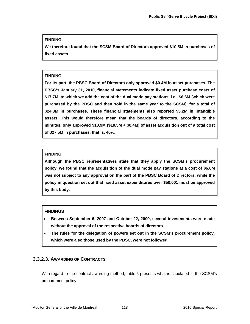#### **FINDING**

**We therefore found that the SCSM Board of Directors approved \$10.5M in purchases of fixed assets.** 

### **FINDING**

**For its part, the PBSC Board of Directors only approved \$0.4M in asset purchases. The PBSC's January 31, 2010, financial statements indicate fixed asset purchase costs of \$17.7M, to which we add the cost of the dual mode pay stations, i.e., \$6.6M (which were purchased by the PBSC and then sold in the same year to the SCSM), for a total of \$24.3M in purchases. These financial statements also reported \$3.2M in intangible assets. This would therefore mean that the boards of directors, according to the minutes, only approved \$10.9M (\$10.5M + \$0.4M) of asset acquisition out of a total cost of \$27.5M in purchases, that is, 40%.** 

# **FINDING**

**Although the PBSC representatives state that they apply the SCSM's procurement policy, we found that the acquisition of the dual mode pay stations at a cost of \$6.6M was not subject to any approval on the part of the PBSC Board of Directors, while the policy in question set out that fixed asset expenditures over \$50,001 must be approved by this body.** 

# **FINDINGS**

- **Between September 6, 2007 and October 22, 2009, several investments were made without the approval of the respective boards of directors.**
- **The rules for the delegation of powers set out in the SCSM's procurement policy, which were also those used by the PBSC, were not followed.**

# **3.3.2.3. AWARDING OF CONTRACTS**

With regard to the contract awarding method, table 5 presents what is stipulated in the SCSM's procurement policy.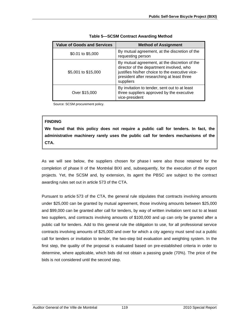| <b>Value of Goods and Services</b> | <b>Method of Assignment</b>                                                                                                                                                                             |
|------------------------------------|---------------------------------------------------------------------------------------------------------------------------------------------------------------------------------------------------------|
| \$0.01 to \$5,000                  | By mutual agreement, at the discretion of the<br>requesting person                                                                                                                                      |
| \$5,001 to \$15,000                | By mutual agreement, at the discretion of the<br>director of the department involved, who<br>justifies his/her choice to the executive vice-<br>president after researching at least three<br>suppliers |
| Over \$15,000                      | By invitation to tender, sent out to at least<br>three suppliers approved by the executive<br>vice-president                                                                                            |

Source: SCSM procurement policy.

### **FINDING**

**We found that this policy does not require a public call for tenders. In fact, the administrative machinery rarely uses the public call for tenders mechanisms of the CTA.** 

As we will see below, the suppliers chosen for phase I were also those retained for the completion of phase II of the Montréal BIXI and, subsequently, for the execution of the export projects. Yet, the SCSM and, by extension, its agent the PBSC are subject to the contract awarding rules set out in article 573 of the CTA.

Pursuant to article 573 of the CTA, the general rule stipulates that contracts involving amounts under \$25,000 can be granted by mutual agreement, those involving amounts between \$25,000 and \$99,000 can be granted after call for tenders, by way of written invitation sent out to at least two suppliers, and contracts involving amounts of \$100,000 and up can only be granted after a public call for tenders. Add to this general rule the obligation to use, for all professional service contracts involving amounts of \$25,000 and over for which a city agency must send out a public call for tenders or invitation to tender, the two-step bid evaluation and weighting system. In the first step, the quality of the proposal is evaluated based on pre-established criteria in order to determine, where applicable, which bids did not obtain a passing grade (70%). The price of the bids is not considered until the second step.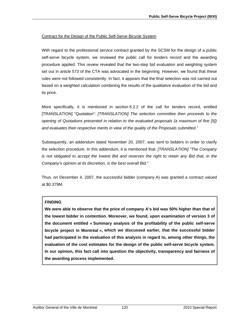#### Contract for the Design of the Public Self-Serve Bicycle System

With regard to the professional service contract granted by the SCSM for the design of a public self-serve bicycle system, we reviewed the public call for tenders record and the awarding procedure applied. This review revealed that the two-step bid evaluation and weighting system set out in article 573 of the CTA was advocated in the beginning. However, we found that these rules were not followed consistently. In fact, it appears that the final selection was not carried out based on a weighted calculation combining the results of the qualitative evaluation of the bid and its price.

More specifically, it is mentioned in section 6.2.2 of the call for tenders record, entitled [TRANSLATION] "Quotation": *[TRANSLATION] The selection committee then proceeds to the opening of Quotations presented in relation to the evaluated proposals (a maximum of five [5]) and evaluates their respective merits in view of the quality of the Proposals submitted."* 

Subsequently, an addendum dated November 20, 2007, was sent to bidders in order to clarify the selection procedure. In this addendum, it is mentioned that: *[TRANSLATION] "The Company is not obligated to accept the lowest Bid and reserves the right to retain any Bid that, in the Company's opinion at its discretion, is the best overall Bid."* 

Thus, on December 4, 2007, the successful bidder (company A) was granted a contract valued at \$0.379M.

# **FINDING**

**We were able to observe that the price of company A's bid was 50% higher than that of the lowest bidder in contention. Moreover, we found, upon examination of version 3 of the document entitled « Summary analysis of the profitability of the public self-serve bicycle project in Montréal », which we discussed earlier, that the successful bidder had participated in the evaluation of this analysis in regard to, among other things, the evaluation of the cost estimates for the design of the public self-serve bicycle system. In our opinion, this fact call into question the objectivity, transparency and fairness of the awarding process implemented.**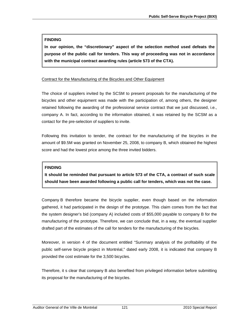### **FINDING**

**In our opinion, the "discretionary" aspect of the selection method used defeats the purpose of the public call for tenders. This way of proceeding was not in accordance with the municipal contract awarding rules (article 573 of the CTA).** 

#### Contract for the Manufacturing of the Bicycles and Other Equipment

The choice of suppliers invited by the SCSM to present proposals for the manufacturing of the bicycles and other equipment was made with the participation of, among others, the designer retained following the awarding of the professional service contract that we just discussed, i.e., company A. In fact, according to the information obtained, it was retained by the SCSM as a contact for the pre-selection of suppliers to invite.

Following this invitation to tender, the contract for the manufacturing of the bicycles in the amount of \$9.5M was granted on November 25, 2008, to company B, which obtained the highest score and had the lowest price among the three invited bidders.

#### **FINDING**

**It should be reminded that pursuant to article 573 of the CTA, a contract of such scale should have been awarded following a public call for tenders, which was not the case.** 

Company B therefore became the bicycle supplier, even though based on the information gathered, it had participated in the design of the prototype. This claim comes from the fact that the system designer's bid (company A) included costs of \$55,000 payable to company B for the manufacturing of the prototype. Therefore, we can conclude that, in a way, the eventual supplier drafted part of the estimates of the call for tenders for the manufacturing of the bicycles.

Moreover, in version 4 of the document entitled "Summary analysis of the profitability of the public self-serve bicycle project in Montréal," dated early 2008, it is indicated that company B provided the cost estimate for the 3,500 bicycles.

Therefore, it s clear that company B also benefited from privileged information before submitting its proposal for the manufacturing of the bicycles.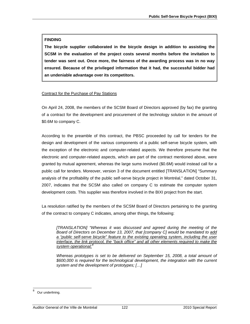# **FINDING**

**The bicycle supplier collaborated in the bicycle design in addition to assisting the SCSM in the evaluation of the project costs several months before the invitation to tender was sent out. Once more, the fairness of the awarding process was in no way ensured. Because of the privileged information that it had, the successful bidder had an undeniable advantage over its competitors.**

# Contract for the Purchase of Pay Stations

On April 24, 2008, the members of the SCSM Board of Directors approved (by fax) the granting of a contract for the development and procurement of the technology solution in the amount of \$0.6M to company C.

According to the preamble of this contract, the PBSC proceeded by call for tenders for the design and development of the various components of a public self-serve bicycle system, with the exception of the electronic and computer-related aspects. We therefore presume that the electronic and computer-related aspects, which are part of the contract mentioned above, were granted by mutual agreement, whereas the large sums involved (\$0.6M) would instead call for a public call for tenders. Moreover, version 3 of the document entitled [TRANSLATION] "Summary analysis of the profitability of the public self-serve bicycle project in Montréal," dated October 31, 2007, indicates that the SCSM also called on company C to estimate the computer system development costs. This supplier was therefore involved in the BIXI project from the start.

La resolution ratified by the members of the SCSM Board of Directors pertaining to the granting of the contract to company C indicates, among other things, the following:

*[TRANSLATION] "Whereas it was discussed and agreed during the meeting of the Board of Directors on December 13, 2007, that [company C] would be mandated to add a "public self-serve bicycle" feature to the existing operating system, including the user interface, the link protocol, the "back office" and all other elements required to make the system operational;[8](#page-123-0)*

*Whereas prototypes is set to be delivered on September 15, 2008, a total amount of \$600,000 is required for the technological development, the integration with the current system and the development of prototypes; […]* 

<span id="page-123-0"></span> 8 Our underlining.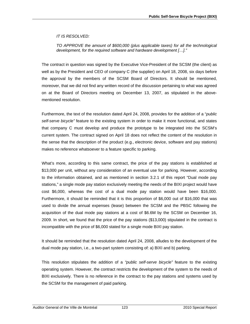#### *IT IS RESOLVED:*

*TO APPROVE the amount of \$600,000 (plus applicable taxes) for all the technological development, for the required software and hardware development […]."* 

The contract in question was signed by the Executive Vice-President of the SCSM (the client) as well as by the President and CEO of company C (the supplier) on April 18, 2008, six days before the approval by the members of the SCSM Board of Directors. It should be mentioned, moreover, that we did not find any written record of the discussion pertaining to what was agreed on at the Board of Directors meeting on December 13, 2007, as stipulated in the abovementioned resolution.

Furthermore, the text of the resolution dated April 24, 2008, provides for the addition of a "*public self-serve bicycle"* feature to the existing system in order to make it more functional, and states that company C must develop and produce the prototype to be integrated into the SCSM's current system. The contract signed on April 18 does not reflect the content of the resolution in the sense that the description of the product (e.g., electronic device, software and pay stations) makes no reference whatsoever to a feature specific to parking.

What's more, according to this same contract, the price of the pay stations is established at \$13,000 per unit, without any consideration of an eventual use for parking. However, according to the information obtained, and as mentioned in section 3.2.1 of this report "Dual mode pay stations," a single mode pay station exclusively meeting the needs of the BIXI project would have cost \$6,000, whereas the cost of a dual mode pay station would have been \$16,000. Furthermore, it should be reminded that it is this proportion of \$6,000 out of \$16,000 that was used to divide the annual expenses (lease) between the SCSM and the PBSC following the acquisition of the dual mode pay stations at a cost of \$6.6M by the SCSM on December 16, 2009. In short, we found that the price of the pay stations (\$13,000) stipulated in the contract is incompatible with the price of \$6,000 stated for a single mode BIXI pay station.

It should be reminded that the resolution dated April 24, 2008, alludes to the development of the dual mode pay station, i.e., a two-part system consisting of: a) BIXI and b) parking.

This resolution stipulates the addition of a *"public self-serve bicycle"* feature to the existing operating system. However, the contract restricts the development of the system to the needs of BIXI exclusively. There is no reference in the contract to the pay stations and systems used by the SCSM for the management of paid parking.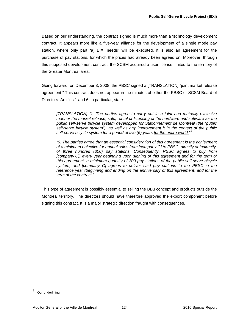Based on our understanding, the contract signed is much more than a technology development contract. It appears more like a five-year alliance for the development of a single mode pay station, where only part "a) BIXI needs" will be executed. It is also an agreement for the purchase of pay stations, for which the prices had already been agreed on. Moreover, through this supposed development contract, the SCSM acquired a user license limited to the territory of the Greater Montréal area.

Going forward, on December 3, 2008, the PBSC signed a [TRANSLATION] "joint market release agreement." This contract does not appear in the minutes of either the PBSC or SCSM Board of Directors. Articles 1 and 6, in particular, state:

*[TRANSLATION] "1. The parties agree to carry out in a joint and mutually exclusive manner the market release, sale, rental or licensing of the hardware and software for the public self-serve bicycle system developped for Stationnement de Montréal (the "public self-serve bicycle system"), as well as any improvement it in the context of the public*  self-serve bicycle system for a period of five (5) years for the entire world."<sup>[9](#page-125-0)</sup>

*"6. The parties agree that an essential consideration of this agreement is the achievment of a minimum objective for annual sales from [company C] to PBSC, directly or indirectly, of three hundred (300) pay stations. Consequently, PBSC agrees to buy from [company C], every year beginning upon signing of this agreement and for the term of this agreement, a minimum quantity of 300 pay stations of the public self-serve bicycle system, and [company C] agrees to deliver said pay stations to the PBSC in the reference year (beginning and ending on the anniversary of this agreement) and for the term of the contract."* 

This type of agreement is possibly essential to selling the BIXI concept and products outside the Montréal territory. The directors should have therefore approved the export component before signing this contract. It is a major strategic direction fraught with consequences.

<span id="page-125-0"></span><sup>-&</sup>lt;br>9 Our underlining.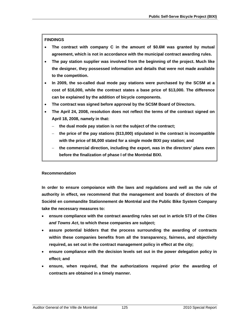### **FINDINGS**

- **The contract with company C in the amount of \$0.6M was granted by mutual agreement, which is not in accordance with the municipal contract awarding rules.**
- **The pay station supplier was involved from the beginning of the project. Much like the designer, they possessed information and details that were not made available to the competition.**
- **In 2009, the so-called dual mode pay stations were purchased by the SCSM at a cost of \$16,000, while the contract states a base price of \$13,000. The difference can be explained by the addition of bicycle components.**
- **The contract was signed before approval by the SCSM Board of Directors.**
- **The April 24, 2008, resolution does not reflect the terms of the contract signed on April 18, 2008, namely in that:** 
	- − **the dual mode pay station is not the subject of the contract;**
	- − **the price of the pay stations (\$13,000) stipulated in the contract is incompatible with the price of \$6,000 stated for a single mode BIXI pay station; and**
	- − **the commercial direction, including the export, was in the directors' plans even before the finalization of phase I of the Montréal BIXI.**

#### **Recommendation**

**In order to ensure compoiance with the laws and regulations and well as the rule of authority in effect, we recommend that the management and boards of directors of the Société en commandite Stationnement de Montréal and the Public Bike System Company take the necessary measures to:** 

- **ensure compliance with the contract awarding rules set out in article 573 of the** *Cities and Towns Act***, to which these companies are subject;**
- **assure potential bidders that the process surrounding the awarding of contracts within these companies benefits from all the transparency, fairness, and objectivity required, as set out in the contract management policy in effect at the city;**
- **ensure compliance with the decision levels set out in the power delegation policy in effect; and**
- **ensure, when required, that the authorizations required prior the awarding of contracts are obtained in a timely manner.**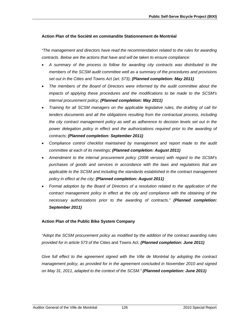#### **Action Plan of the Société en commandite Stationnement de Montréal**

*"The management and directors have read the recommendation related to the rules for awarding contracts. Below are the actions that have and will be taken to ensure compliance:* 

- *A summary of the process to follow for awarding city contracts was distributed to the members of the SCSM audit committee well as a summary of the procedures and provisions set out in the Cities and Towns Act (art. 573); (Planned completion: May 2011)*
- *The members of the Board of Directors were informed by the audit committee about the impacts of applying these procedures and the modifications to be made to the SCSM's internal procurement policy; (Planned completion: May 2011)*
- *Training for all SCSM managers on the applicable legislative rules, the drafting of call for tenders documents and all the obligations resulting from the contractual process, including the city contract management policy as well as adherence to decision levels set out in the*  power delegation policy in effect and the authorizations required prior to the awarding of *contracts; (Planned completion: September 2011)*
- *Compliance control checklist maintained by management and report made to the audit committee at each of its meetings; (Planned completion: August 2011)*
- *Amendment to the internal procurement policy (2008 version) with regard to the SCSM's purchases of goods and services in accordance with the laws and regulations that are applicable to the SCSM and including the standards established in the contract management policy in effect at the city; (Planned completion: August 2011)*
- *Formal adoption by the Board of Directors of a resolution related to the application of the*  contract management policy in effect at the city and compliance with the obtaining of the *necessary authorizations prior to the awarding of contracts." (Planned completion: September 2011)*

#### **Action Plan of the Public Bike System Company**

*"Adopt the SCSM procurement policy as modified by the addition of the contract awarding rules provided for in article 573 of the* Cities and Towns Act. *(Planned completion: June 2011)* 

*Give full effect to the agreement signed with the Ville de Montréal by adopting the contract management policy, as provided for in the agreement concluded in November 2010 and signed on May 31, 2011, adapted to the context of the SCSM." (Planned completion: June 2011)*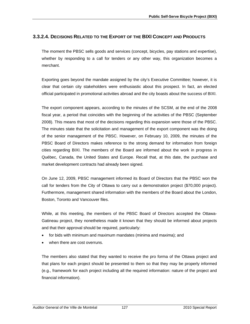# **3.3.2.4. DECISIONS RELATED TO THE EXPORT OF THE BIXI CONCEPT AND PRODUCTS**

The moment the PBSC sells goods and services (concept, bicycles, pay stations and expertise), whether by responding to a call for tenders or any other way, this organization becomes a merchant.

Exporting goes beyond the mandate assigned by the city's Executive Committee; however, it is clear that certain city stakeholders were enthusiastic about this prospect. In fact, an elected official participated in promotional activities abroad and the city boasts about the success of BIXI.

The export component appears, according to the minutes of the SCSM, at the end of the 2008 fiscal year, a period that coincides with the beginning of the activities of the PBSC (September 2008). This means that most of the decisions regarding this expansion were those of the PBSC. The minutes state that the solicitation and management of the export component was the doing of the senior management of the PBSC. However, on February 10, 2009, the minutes of the PBSC Board of Directors makes reference to the strong demand for information from foreign cities regarding BIXI. The members of the Board are informed about the work in progress in Québec, Canada, the United States and Europe. Recall that, at this date, the purchase and market development contracts had already been signed.

On June 12, 2009, PBSC management informed its Board of Directors that the PBSC won the call for tenders from the City of Ottawa to carry out a demonstration project (\$70,000 project). Furthermore, management shared information with the members of the Board about the London, Boston, Toronto and Vancouver files.

While, at this meeting, the members of the PBSC Board of Directors accepted the Ottawa-Gatineau project, they nonetheless made it known that they should be informed about projects and that their approval should be required, particularly:

- for bids with minimum and maximum mandates (minima and maxima); and
- when there are cost overruns.

The members also stated that they wanted to receive the pro forma of the Ottawa project and that plans for each project should be presented to them so that they may be properly informed (e.g., framework for each project including all the required information: nature of the project and financial information).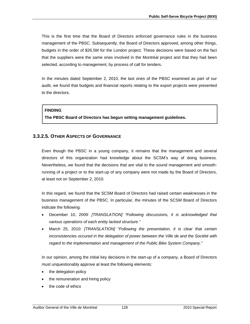This is the first time that the Board of Directors enforced governance rules in the business management of the PBSC. Subsequently, the Board of Directors approved, among other things, budgets in the order of \$26.5M for the London project. These decisions were based on the fact that the suppliers were the same ones involved in the Montréal project and that they had been selected, according to management, by process of call for tenders.

In the minutes dated September 2, 2010, the last ones of the PBSC examined as part of our audit, we found that budgets and financial reports relating to the export projects were presented to the directors.

#### **FINDING**

**The PBSC Board of Directors has begun setting management guidelines.** 

# **3.3.2.5. OTHER ASPECTS OF GOVERNANCE**

Even though the PBSC in a young company, it remains that the management and several directors of this organization had knowledge about the SCSM's way of doing business. Nevertheless, we found that the decisions that are vital to the sound management and smoothrunning of a project or to the start-up of any company were not made by the Board of Directors, at least not on September 2, 2010.

In this regard, we found that the SCSM Board of Directors had raised certain weaknesses in the business management of the PBSC. In particular, the minutes of the SCSM Board of Directors indicate the following:

- December 10, 2009: *[TRANSLATION] "Following discussions, it is acknowledged that various operations of each entity lacked structure."*
- March 25, 2010: *[TRANSLATION]* "*Following the presentation, it is clear that certain inconsistencies occured in the delegation of power between the Ville de and the Société with regard to the implementation and management of the Public Bike System Company."*

In our opinion, among the initial key decisions in the start-up of a company, a Board of Directors must unquestionably approve at least the following elements:

- the delegation policy
- the remuneration and hiring policy
- the code of ethics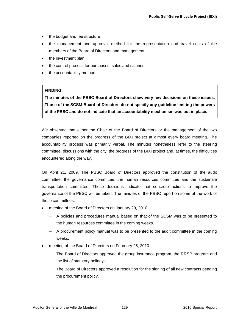- the budget and fee structure
- the management and approval method for the representation and travel costs of the members of the Board of Directors and management
- the investment plan
- the control process for purchases, sales and salaries
- the accountability method

### **FINDING**

**The minutes of the PBSC Board of Directors show very few decisions on these issues. Those of the SCSM Board of Directors do not specify any guideline limiting the powers of the PBSC and do not indicate that an accountability mechanism was put in place.** 

We observed that either the Chair of the Board of Directors or the management of the two companies reported on the progress of the BIXI project at almost every board meeting. The accountability process was primarily verbal. The minutes nonetheless refer to the steering committee, discussions with the city, the progress of the BIXI project and, at times, the difficulties encountered along the way.

On April 21, 2009, The PBSC Board of Directors approved the constitution of the audit committee, the governance committee, the human resources committee and the sustainale transportation committee. These decisions indicate that concrete actions to improve the governance of the PBSC will be taken. The minutes of the PBSC report on some of the work of these committees:

- meeting of the Board of Directors on January 29, 2010:
	- − A policies and procedures manual based on that of the SCSM was to be presented to the human resources committee in the coming weeks.
	- − A procurement policy manual was to be presented to the audit committee in the coming weeks.
- meeting of the Board of Directors on February 25, 2010:
	- The Board of Directors approved the group insurance program, the RRSP program and the list of statutory holidays.
	- − The Board of Directors approved a resolution for the signing of all new contracts pending the procurement policy.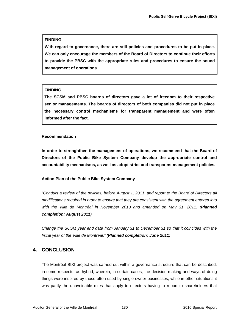# **FINDING**

**With regard to governance, there are still policies and procedures to be put in place. We can only encourage the members of the Board of Directors to continue their efforts to provide the PBSC with the appropriate rules and procedures to ensure the sound management of operations.** 

# **FINDING**

**The SCSM and PBSC boards of directors gave a lot of freedom to their respective senior managements. The boards of directors of both companies did not put in place the necessary control mechanisms for transparent management and were often informed after the fact.** 

# **Recommendation**

**In order to strenghthen the management of operations, we recommend that the Board of Directors of the Public Bike System Company develop the appropriate control and accountability mechanisms, as well as adopt strict and transparent management policies.** 

# **Action Plan of the Public Bike System Company**

*"Conduct a review of the policies, before August 1, 2011, and report to the Board of Directors all modifications required in order to ensure that they are consistent with the agreement entered into*  with the Ville de Montréal in November 2010 and amended on May 31, 2011. (Planned *completion: August 2011)* 

*Change the SCSM year end date from January 31 to December 31 so that it coincides with the fiscal year of the Ville de Montréal." (Planned completion: June 2011)* 

# **4. CONCLUSION**

The Montréal BIXI project was carried out within a governance structure that can be described, in some respects, as hybrid, wherein, in certain cases, the decision making and ways of doing things were inspired by those often used by single owner businesses, while in other situations it was partly the unavoidable rules that apply to directors having to report to shareholders that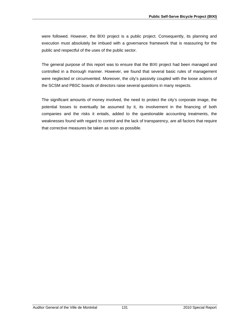were followed. However, the BIXI project is a public project. Consequently, its planning and execution must absolutely be imbued with a governance framework that is reassuring for the public and respectful of the uses of the public sector.

The general purpose of this report was to ensure that the BIXI project had been managed and controlled in a thorough manner. However, we found that several basic rules of management were neglected or circumvented. Moreover, the city's passivity coupled with the loose actions of the SCSM and PBSC boards of directors raise several questions in many respects.

The significant amounts of money involved, the need to protect the city's corporate image, the potential losses to eventually be assumed by it, its involvement in the financing of both companies and the risks it entails, added to the questionable accounting treatments, the weaknesses found with regard to control and the lack of transparency, are all factors that require that corrective measures be taken as soon as possible.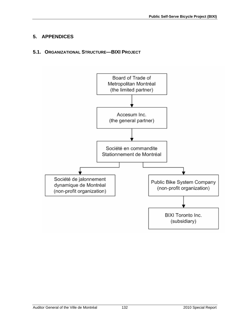# **5. APPENDICES**

# **5.1. ORGANIZATIONAL STRUCTURE—BIXI PROJECT**

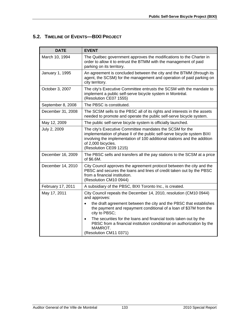# **5.2. TIMELINE OF EVENTS—BIXI PROJECT**

| <b>DATE</b>       | <b>EVENT</b>                                                                                                                                                                                                                                                    |
|-------------------|-----------------------------------------------------------------------------------------------------------------------------------------------------------------------------------------------------------------------------------------------------------------|
| March 10, 1994    | The Québec government approves the modifications to the Charter in<br>order to allow it to entrust the BTMM with the management of paid<br>parking on its territory.                                                                                            |
| January 1, 1995   | An agreement is concluded between the city and the BTMM (through its<br>agent, the SCSM) for the management and operation of paid parking on<br>city territory.                                                                                                 |
| October 3, 2007   | The city's Executive Committee entrusts the SCSM with the mandate to<br>implement a public self-serve bicycle system in Montréal.<br>(Resolution CE07 1555)                                                                                                     |
| September 8, 2008 | The PBSC is constituted.                                                                                                                                                                                                                                        |
| December 31, 2008 | The SCSM sells to the PBSC all of its rights and interests in the assets<br>needed to promote and operate the public self-serve bicycle system.                                                                                                                 |
| May 12, 2009      | The public self-serve bicycle system is officially launched.                                                                                                                                                                                                    |
| July 2, 2009      | The city's Executive Committee mandates the SCSM for the<br>implementation of phase II of the public self-serve bicycle system BIXI<br>involving the implementation of 100 additional stations and the addition<br>of 2,000 bicycles.<br>(Resolution CE09 1215) |
| December 16, 2009 | The PBSC sells and transfers all the pay stations to the SCSM at a price<br>of \$6.6M.                                                                                                                                                                          |
| December 14, 2010 | City Council approves the agreement protocol between the city and the<br>PBSC and secures the loans and lines of credit taken out by the PBSC<br>from a financial institution.<br>(Resolution CM10 0944)                                                        |
| February 17, 2011 | A subsidiary of the PBSC, BIXI Toronto Inc., is created.                                                                                                                                                                                                        |
| May 17, 2011      | City Council repeals the December 14, 2010, resolution (CM10 0944)<br>and approves:                                                                                                                                                                             |
|                   | the draft agreement between the city and the PBSC that establishes<br>$\bullet$<br>the payment and repayment conditional of a loan of \$37M from the<br>city to PBSC;                                                                                           |
|                   | The securities for the loans and financial tools taken out by the<br>$\bullet$<br>PBSC from a financial institution conditional on authorization by the<br>MAMROT.<br>(Resolution CM11 0371)                                                                    |